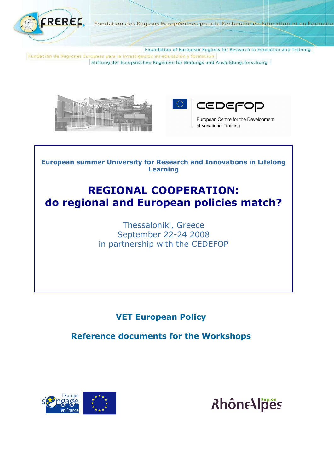

Fondation des Régions Européennes pour la Recherche en Education et en Formatio

Foundation of European Regions for Research in Education and Training

Fundación de Regiones Europeas para la investigación en educación y formación Stiftung der Europäischen Regionen für Bildungs und Ausbildungsforschung





European Centre for the Development of Vocational Training

**European summer University for Research and Innovations in Lifelong Learning** 

# **REGIONAL COOPERATION: do regional and European policies match?**

## Thessaloniki, Greece September 22-24 2008 in partnership with the CEDEFOP

## **VET European Policy**

**Reference documents for the Workshops**



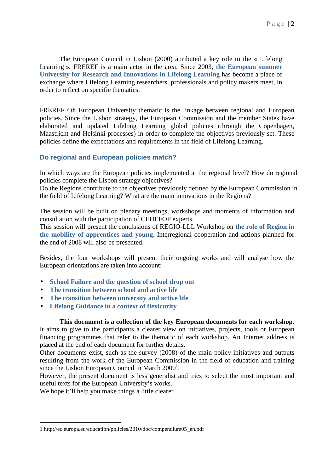The European Council in Lisbon (2000) attributed a key role to the « Lifelong Learning ». FREREF is a main actor in the area. Since 2003, **the European summer University for Research and Innovations in Lifelong Learning** has become a place of exchange where Lifelong Learning researchers, professionals and policy makers meet, in order to reflect on specific thematics.

FREREF 6th European University thematic is the linkage between regional and European policies. Since the Lisbon strategy, the European Commission and the member States have elaborated and updated Lifelong Learning global policies (through the Copenhagen, Maastricht and Helsinki processes) in order to complete the objectives previously set. These policies define the expectations and requirements in the field of Lifelong Learning.

## **Do regional and European policies match?**

In which ways are the European policies implemented at the regional level? How do regional policies complete the Lisbon strategy objectives?

Do the Regions contribute to the objectives previously defined by the European Commission in the field of Lifelong Learning? What are the main innovations in the Regions?

The session will be built on plenary meetings, workshops and moments of information and consultation with the participation of CEDEFOP experts.

This session will present the conclusions of REGIO-LLL Workshop on **the role of Region in the mobility of apprentices and young.** Interregional cooperation and actions planned for the end of 2008 will also be presented.

Besides, the four workshops will present their ongoing works and will analyse how the European orientations are taken into account:

- **School Failure and the question of school drop out**
- **The transition between school and active life**
- **The transition between university and active life**
- **Lifelong Guidance in a context of flexicurity**

## **This document is a collection of the key European documents for each workshop.**

It aims to give to the participants a clearer view on initiatives, projects, tools or European financing programmes that refer to the thematic of each workshop. An Internet address is placed at the end of each document for further details.

Other documents exist, such as the survey (2008) of the main policy initiatives and outputs resulting from the work of the European Commission in the field of education and training since the Lisbon European Council in March  $2000<sup>1</sup>$ .

However, the present document is less generalist and tries to select the most important and useful texts for the European University's works.

We hope it'll help you make things a little clearer.

 $\overline{a}$ 

<sup>1</sup> http://ec.europa.eu/education/policies/2010/doc/compendium05\_en.pdf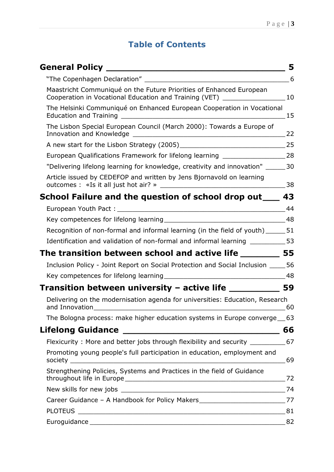## **Table of Contents**

|                                                                                                                                                                                                                                         | 5  |
|-----------------------------------------------------------------------------------------------------------------------------------------------------------------------------------------------------------------------------------------|----|
|                                                                                                                                                                                                                                         | 6  |
| Maastricht Communiqué on the Future Priorities of Enhanced European<br>Cooperation in Vocational Education and Training (VET) ________________                                                                                          | 10 |
| The Helsinki Communiqué on Enhanced European Cooperation in Vocational                                                                                                                                                                  | 15 |
| The Lisbon Special European Council (March 2000): Towards a Europe of                                                                                                                                                                   | 22 |
|                                                                                                                                                                                                                                         | 25 |
| European Qualifications Framework for lifelong learning ________________________28                                                                                                                                                      |    |
| "Delivering lifelong learning for knowledge, creativity and innovation" ______ 30                                                                                                                                                       |    |
| Article issued by CEDEFOP and written by Jens Bjornavold on learning<br>outcomes : «Is it all just hot air? »<br><u> 1980 - Johann Johann Stone, meil in der Stone aus der Stone aus der Stone aus der Stone aus der Stone aus der </u> | 38 |
| School Failure and the question of school drop out_                                                                                                                                                                                     | 43 |
|                                                                                                                                                                                                                                         | 44 |
|                                                                                                                                                                                                                                         |    |
| Recognition of non-formal and informal learning (in the field of youth) ______ 51                                                                                                                                                       |    |
| Identification and validation of non-formal and informal learning ___________53                                                                                                                                                         |    |
| The transition between school and active life __________ 55                                                                                                                                                                             |    |
| Inclusion Policy - Joint Report on Social Protection and Social Inclusion _____ 56                                                                                                                                                      |    |
|                                                                                                                                                                                                                                         |    |
| Transition between university - active life ______________ 59                                                                                                                                                                           |    |
| Delivering on the modernisation agenda for universities: Education, Research<br>and Innovation and Innovation and Innovation and Innovation and Innovation and Innovation and Innovation and I                                          | 60 |
| The Bologna process: make higher education systems in Europe converge 63                                                                                                                                                                |    |
|                                                                                                                                                                                                                                         | 66 |
| Flexicurity: More and better jobs through flexibility and security ___________67                                                                                                                                                        |    |
| Promoting young people's full participation in education, employment and                                                                                                                                                                | 69 |
| Strengthening Policies, Systems and Practices in the field of Guidance                                                                                                                                                                  |    |
|                                                                                                                                                                                                                                         |    |
| Career Guidance - A Handbook for Policy Makers________________________________77                                                                                                                                                        |    |
|                                                                                                                                                                                                                                         |    |
|                                                                                                                                                                                                                                         |    |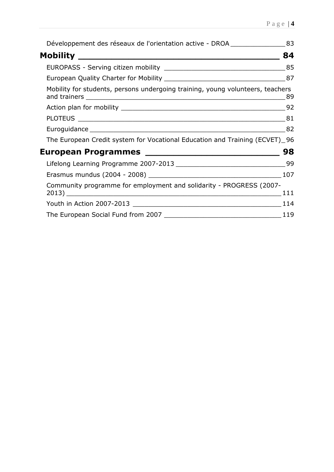| Développement des réseaux de l'orientation active - DROA __________________83  |    |
|--------------------------------------------------------------------------------|----|
|                                                                                | 84 |
|                                                                                |    |
|                                                                                |    |
| Mobility for students, persons undergoing training, young volunteers, teachers |    |
|                                                                                |    |
|                                                                                |    |
|                                                                                |    |
| The European Credit system for Vocational Education and Training (ECVET) 96    |    |
|                                                                                | 98 |
|                                                                                |    |
|                                                                                |    |
| Community programme for employment and solidarity - PROGRESS (2007-            |    |
|                                                                                |    |
|                                                                                |    |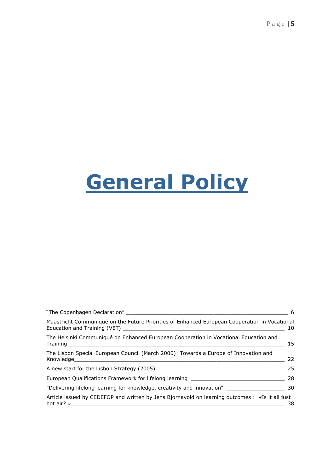# **General Policy**

| "The Copenhagen Declaration"                                                                                      | 6  |
|-------------------------------------------------------------------------------------------------------------------|----|
| Maastricht Communiqué on the Future Priorities of Enhanced European Cooperation in Vocational                     | 10 |
| The Helsinki Communiqué on Enhanced European Cooperation in Vocational Education and<br>Training                  | 15 |
| The Lisbon Special European Council (March 2000): Towards a Europe of Innovation and<br>Knowledge                 | 22 |
|                                                                                                                   | 25 |
| European Qualifications Framework for lifelong learning                                                           | 28 |
| "Delivering lifelong learning for knowledge, creativity and innovation"                                           | 30 |
| Article issued by CEDEFOP and written by Jens Bjornavold on learning outcomes : «Is it all just<br>hot air? $\gg$ | 38 |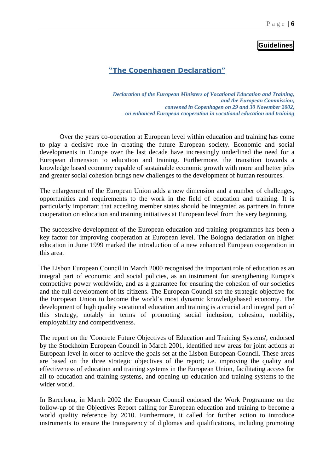## **Guidelines**

## **"The Copenhagen Declaration"**

*Declaration of the European Ministers of Vocational Education and Training, and the European Commission, convened in Copenhagen on 29 and 30 November 2002, on enhanced European cooperation in vocational education and training* 

Over the years co-operation at European level within education and training has come to play a decisive role in creating the future European society. Economic and social developments in Europe over the last decade have increasingly underlined the need for a European dimension to education and training. Furthermore, the transition towards a knowledge based economy capable of sustainable economic growth with more and better jobs and greater social cohesion brings new challenges to the development of human resources.

The enlargement of the European Union adds a new dimension and a number of challenges, opportunities and requirements to the work in the field of education and training. It is particularly important that acceding member states should be integrated as partners in future cooperation on education and training initiatives at European level from the very beginning.

The successive development of the European education and training programmes has been a key factor for improving cooperation at European level. The Bologna declaration on higher education in June 1999 marked the introduction of a new enhanced European cooperation in this area.

The Lisbon European Council in March 2000 recognised the important role of education as an integral part of economic and social policies, as an instrument for strengthening Europe's competitive power worldwide, and as a guarantee for ensuring the cohesion of our societies and the full development of its citizens. The European Council set the strategic objective for the European Union to become the world's most dynamic knowledgebased economy. The development of high quality vocational education and training is a crucial and integral part of this strategy, notably in terms of promoting social inclusion, cohesion, mobility, employability and competitiveness.

The report on the 'Concrete Future Objectives of Education and Training Systems', endorsed by the Stockholm European Council in March 2001, identified new areas for joint actions at European level in order to achieve the goals set at the Lisbon European Council. These areas are based on the three strategic objectives of the report; i.e. improving the quality and effectiveness of education and training systems in the European Union, facilitating access for all to education and training systems, and opening up education and training systems to the wider world.

In Barcelona, in March 2002 the European Council endorsed the Work Programme on the follow-up of the Objectives Report calling for European education and training to become a world quality reference by 2010. Furthermore, it called for further action to introduce instruments to ensure the transparency of diplomas and qualifications, including promoting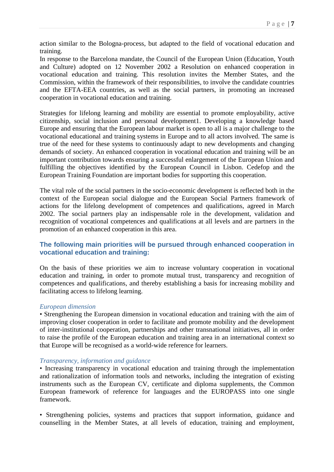action similar to the Bologna-process, but adapted to the field of vocational education and training.

In response to the Barcelona mandate, the Council of the European Union (Education, Youth and Culture) adopted on 12 November 2002 a Resolution on enhanced cooperation in vocational education and training. This resolution invites the Member States, and the Commission, within the framework of their responsibilities, to involve the candidate countries and the EFTA-EEA countries, as well as the social partners, in promoting an increased cooperation in vocational education and training.

Strategies for lifelong learning and mobility are essential to promote employability, active citizenship, social inclusion and personal development1. Developing a knowledge based Europe and ensuring that the European labour market is open to all is a major challenge to the vocational educational and training systems in Europe and to all actors involved. The same is true of the need for these systems to continuously adapt to new developments and changing demands of society. An enhanced cooperation in vocational education and training will be an important contribution towards ensuring a successful enlargement of the European Union and fulfilling the objectives identified by the European Council in Lisbon. Cedefop and the European Training Foundation are important bodies for supporting this cooperation.

The vital role of the social partners in the socio-economic development is reflected both in the context of the European social dialogue and the European Social Partners framework of actions for the lifelong development of competences and qualifications, agreed in March 2002. The social partners play an indispensable role in the development, validation and recognition of vocational competences and qualifications at all levels and are partners in the promotion of an enhanced cooperation in this area.

## **The following main priorities will be pursued through enhanced cooperation in vocational education and training:**

On the basis of these priorities we aim to increase voluntary cooperation in vocational education and training, in order to promote mutual trust, transparency and recognition of competences and qualifications, and thereby establishing a basis for increasing mobility and facilitating access to lifelong learning.

## *European dimension*

• Strengthening the European dimension in vocational education and training with the aim of improving closer cooperation in order to facilitate and promote mobility and the development of inter-institutional cooperation, partnerships and other transnational initiatives, all in order to raise the profile of the European education and training area in an international context so that Europe will be recognised as a world-wide reference for learners.

## *Transparency, information and guidance*

• Increasing transparency in vocational education and training through the implementation and rationalization of information tools and networks, including the integration of existing instruments such as the European CV, certificate and diploma supplements, the Common European framework of reference for languages and the EUROPASS into one single framework.

• Strengthening policies, systems and practices that support information, guidance and counselling in the Member States, at all levels of education, training and employment,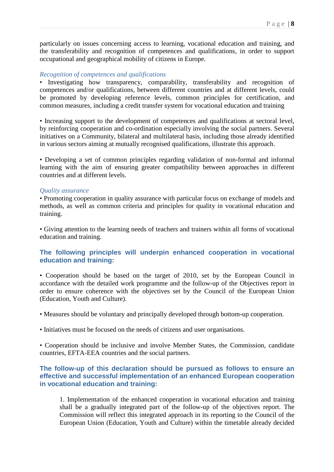particularly on issues concerning access to learning, vocational education and training, and the transferability and recognition of competences and qualifications, in order to support occupational and geographical mobility of citizens in Europe.

## *Recognition of competences and qualifications*

• Investigating how transparency, comparability, transferability and recognition of competences and/or qualifications, between different countries and at different levels, could be promoted by developing reference levels, common principles for certification, and common measures, including a credit transfer system for vocational education and training

• Increasing support to the development of competences and qualifications at sectoral level, by reinforcing cooperation and co-ordination especially involving the social partners. Several initiatives on a Community, bilateral and multilateral basis, including those already identified in various sectors aiming at mutually recognised qualifications, illustrate this approach.

• Developing a set of common principles regarding validation of non-formal and informal learning with the aim of ensuring greater compatibility between approaches in different countries and at different levels.

## *Quality assurance*

• Promoting cooperation in quality assurance with particular focus on exchange of models and methods, as well as common criteria and principles for quality in vocational education and training.

• Giving attention to the learning needs of teachers and trainers within all forms of vocational education and training.

## **The following principles will underpin enhanced cooperation in vocational education and training:**

• Cooperation should be based on the target of 2010, set by the European Council in accordance with the detailed work programme and the follow-up of the Objectives report in order to ensure coherence with the objectives set by the Council of the European Union (Education, Youth and Culture).

- Measures should be voluntary and principally developed through bottom-up cooperation.
- Initiatives must be focused on the needs of citizens and user organisations.

• Cooperation should be inclusive and involve Member States, the Commission, candidate countries, EFTA-EEA countries and the social partners.

## **The follow-up of this declaration should be pursued as follows to ensure an effective and successful implementation of an enhanced European cooperation in vocational education and training:**

1. Implementation of the enhanced cooperation in vocational education and training shall be a gradually integrated part of the follow-up of the objectives report. The Commission will reflect this integrated approach in its reporting to the Council of the European Union (Education, Youth and Culture) within the timetable already decided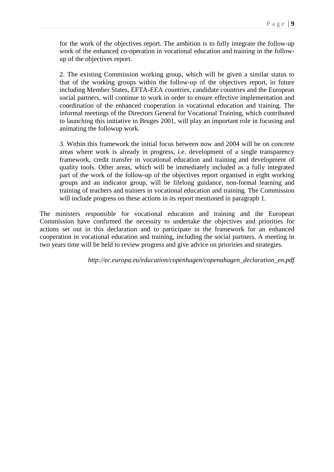for the work of the objectives report. The ambition is to fully integrate the follow-up work of the enhanced co-operation in vocational education and training in the followup of the objectives report.

2. The existing Commission working group, which will be given a similar status to that of the working groups within the follow-up of the objectives report, in future including Member States, EFTA-EEA countries, candidate countries and the European social partners, will continue to work in order to ensure effective implementation and coordination of the enhanced cooperation in vocational education and training. The informal meetings of the Directors General for Vocational Training, which contributed to launching this initiative in Bruges 2001, will play an important role in focusing and animating the followup work.

3. Within this framework the initial focus between now and 2004 will be on concrete areas where work is already in progress, i.e. development of a single transparency framework, credit transfer in vocational education and training and development of quality tools. Other areas, which will be immediately included as a fully integrated part of the work of the follow-up of the objectives report organised in eight working groups and an indicator group, will be lifelong guidance, non-formal learning and training of teachers and trainers in vocational education and training. The Commission will include progress on these actions in its report mentioned in paragraph 1.

The ministers responsible for vocational education and training and the European Commission have confirmed the necessity to undertake the objectives and priorities for actions set out in this declaration and to participate in the framework for an enhanced cooperation in vocational education and training, including the social partners. A meeting in two years time will be held to review progress and give advice on priorities and strategies.

*http://ec.europa.eu/education/copenhagen/copenahagen\_declaration\_en.pdf*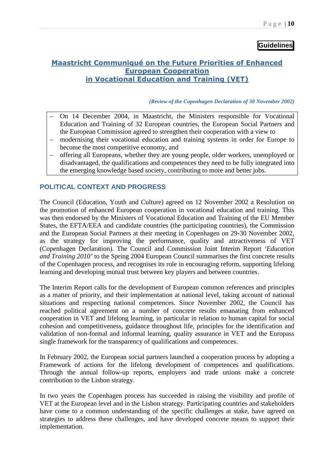## **Guidelines**

## **Maastricht Communiqué on the Future Priorities of Enhanced European Cooperation in Vocational Education and Training (VET)**

#### *(Review of the Copenhagen Declaration of 30 November 2002)*

- On 14 December 2004, in Maastricht, the Ministers responsible for Vocational Education and Training of 32 European countries, the European Social Partners and the European Commission agreed to strengthen their cooperation with a view to
- modernising their vocational education and training systems in order for Europe to become the most competitive economy, and
- offering all Europeans, whether they are young people, older workers, unemployed or disadvantaged, the qualifications and competences they need to be fully integrated into the emerging knowledge based society, contributing to more and better jobs.

## **POLITICAL CONTEXT AND PROGRESS**

The Council (Education, Youth and Culture) agreed on 12 November 2002 a Resolution on the promotion of enhanced European cooperation in vocational education and training. This was then endorsed by the Ministers of Vocational Education and Training of the EU Member States, the EFTA/EEA and candidate countries (the participating countries), the Commission and the European Social Partners at their meeting in Copenhagen on 29-30 November 2002, as the strategy for improving the performance, quality and attractiveness of VET (Copenhagen Declaration). The Council and Commission Joint Interim Report *'Education and Training 2010'* to the Spring 2004 European Council summarises the first concrete results of the Copenhagen process, and recognises its role in encouraging reform, supporting lifelong learning and developing mutual trust between key players and between countries.

The Interim Report calls for the development of European common references and principles as a matter of priority, and their implementation at national level, taking account of national situations and respecting national competences. Since November 2002, the Council has reached political agreement on a number of concrete results emanating from enhanced cooperation in VET and lifelong learning, in particular in relation to human capital for social cohesion and competitiveness, guidance throughout life, principles for the identification and validation of non-formal and informal learning, quality assurance in VET and the Europass single framework for the transparency of qualifications and competences.

In February 2002, the European social partners launched a cooperation process by adopting a Framework of actions for the lifelong development of competences and qualifications. Through the annual follow-up reports, employers and trade unions make a concrete contribution to the Lisbon strategy.

In two years the Copenhagen process has succeeded in raising the visibility and profile of VET at the European level and in the Lisbon strategy. Participating countries and stakeholders have come to a common understanding of the specific challenges at stake, have agreed on strategies to address these challenges, and have developed concrete means to support their implementation.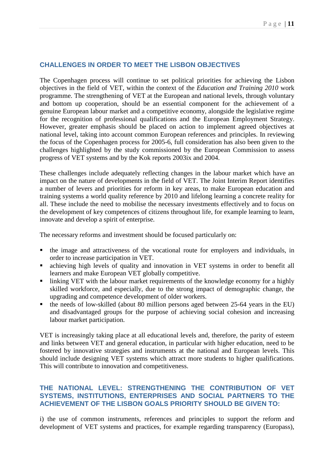## **CHALLENGES IN ORDER TO MEET THE LISBON OBJECTIVES**

The Copenhagen process will continue to set political priorities for achieving the Lisbon objectives in the field of VET, within the context of the *Education and Training 2010* work programme. The strengthening of VET at the European and national levels, through voluntary and bottom up cooperation, should be an essential component for the achievement of a genuine European labour market and a competitive economy, alongside the legislative regime for the recognition of professional qualifications and the European Employment Strategy. However, greater emphasis should be placed on action to implement agreed objectives at national level, taking into account common European references and principles. In reviewing the focus of the Copenhagen process for 2005-6, full consideration has also been given to the challenges highlighted by the study commissioned by the European Commission to assess progress of VET systems and by the Kok reports 2003ix and 2004.

These challenges include adequately reflecting changes in the labour market which have an impact on the nature of developments in the field of VET. The Joint Interim Report identifies a number of levers and priorities for reform in key areas, to make European education and training systems a world quality reference by 2010 and lifelong learning a concrete reality for all. These include the need to mobilise the necessary investments effectively and to focus on the development of key competences of citizens throughout life, for example learning to learn, innovate and develop a spirit of enterprise.

The necessary reforms and investment should be focused particularly on:

- the image and attractiveness of the vocational route for employers and individuals, in order to increase participation in VET.
- achieving high levels of quality and innovation in VET systems in order to benefit all learners and make European VET globally competitive.
- linking VET with the labour market requirements of the knowledge economy for a highly skilled workforce, and especially, due to the strong impact of demographic change, the upgrading and competence development of older workers.
- the needs of low-skilled (about 80 million persons aged between 25-64 years in the EU) and disadvantaged groups for the purpose of achieving social cohesion and increasing labour market participation.

VET is increasingly taking place at all educational levels and, therefore, the parity of esteem and links between VET and general education, in particular with higher education, need to be fostered by innovative strategies and instruments at the national and European levels. This should include designing VET systems which attract more students to higher qualifications. This will contribute to innovation and competitiveness.

## **THE NATIONAL LEVEL: STRENGTHENING THE CONTRIBUTION OF VET SYSTEMS, INSTITUTIONS, ENTERPRISES AND SOCIAL PARTNERS TO THE ACHIEVEMENT OF THE LISBON GOALS PRIORITY SHOULD BE GIVEN TO:**

i) the use of common instruments, references and principles to support the reform and development of VET systems and practices, for example regarding transparency (Europass),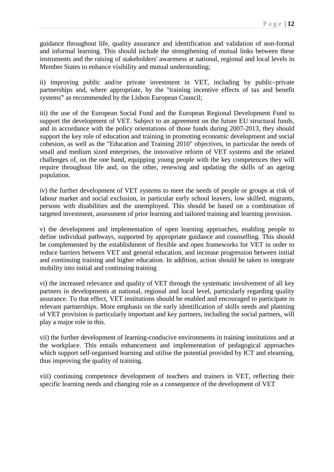guidance throughout life, quality assurance and identification and validation of non-formal and informal learning. This should include the strengthening of mutual links between these instruments and the raising of stakeholders' awareness at national, regional and local levels in Member States to enhance visibility and mutual understanding;

ii) improving public and/or private investment in VET, including by public–private partnerships and, where appropriate, by the "training incentive effects of tax and benefit systems" as recommended by the Lisbon European Council;

iii) the use of the European Social Fund and the European Regional Development Fund to support the development of VET. Subject to an agreement on the future EU structural funds, and in accordance with the policy orientations of those funds during 2007-2013, they should support the key role of education and training in promoting economic development and social cohesion, as well as the "Education and Training 2010" objectives, in particular the needs of small and medium sized enterprises, the innovative reform of VET systems and the related challenges of, on the one hand, equipping young people with the key competences they will require throughout life and, on the other, renewing and updating the skills of an ageing population.

iv) the further development of VET systems to meet the needs of people or groups at risk of labour market and social exclusion, in particular early school leavers, low skilled, migrants, persons with disabilities and the unemployed. This should be based on a combination of targeted investment, assessment of prior learning and tailored training and learning provision.

v) the development and implementation of open learning approaches, enabling people to define individual pathways, supported by appropriate guidance and counselling. This should be complemented by the establishment of flexible and open frameworks for VET in order to reduce barriers between VET and general education, and increase progression between initial and continuing training and higher education. In addition, action should be taken to integrate mobility into initial and continuing training

vi) the increased relevance and quality of VET through the systematic involvement of all key partners in developments at national, regional and local level, particularly regarding quality assurance. To that effect, VET institutions should be enabled and encouraged to participate in relevant partnerships. More emphasis on the early identification of skills needs and planning of VET provision is particularly important and key partners, including the social partners, will play a major role in this.

vii) the further development of learning-conducive environments in training institutions and at the workplace. This entails enhancement and implementation of pedagogical approaches which support self-organised learning and utilise the potential provided by ICT and elearning, thus improving the quality of training.

viii) continuing competence development of teachers and trainers in VET, reflecting their specific learning needs and changing role as a consequence of the development of VET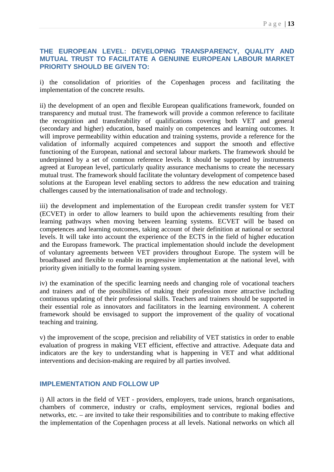## **THE EUROPEAN LEVEL: DEVELOPING TRANSPARENCY, QUALITY AND MUTUAL TRUST TO FACILITATE A GENUINE EUROPEAN LABOUR MARKET PRIORITY SHOULD BE GIVEN TO:**

i) the consolidation of priorities of the Copenhagen process and facilitating the implementation of the concrete results.

ii) the development of an open and flexible European qualifications framework, founded on transparency and mutual trust. The framework will provide a common reference to facilitate the recognition and transferability of qualifications covering both VET and general (secondary and higher) education, based mainly on competences and learning outcomes. It will improve permeability within education and training systems, provide a reference for the validation of informally acquired competences and support the smooth and effective functioning of the European, national and sectoral labour markets. The framework should be underpinned by a set of common reference levels. It should be supported by instruments agreed at European level, particularly quality assurance mechanisms to create the necessary mutual trust. The framework should facilitate the voluntary development of competence based solutions at the European level enabling sectors to address the new education and training challenges caused by the internationalisation of trade and technology.

iii) the development and implementation of the European credit transfer system for VET (ECVET) in order to allow learners to build upon the achievements resulting from their learning pathways when moving between learning systems. ECVET will be based on competences and learning outcomes, taking account of their definition at national or sectoral levels. It will take into account the experience of the ECTS in the field of higher education and the Europass framework. The practical implementation should include the development of voluntary agreements between VET providers throughout Europe. The system will be broadbased and flexible to enable its progressive implementation at the national level, with priority given initially to the formal learning system.

iv) the examination of the specific learning needs and changing role of vocational teachers and trainers and of the possibilities of making their profession more attractive including continuous updating of their professional skills. Teachers and trainers should be supported in their essential role as innovators and facilitators in the learning environment. A coherent framework should be envisaged to support the improvement of the quality of vocational teaching and training.

v) the improvement of the scope, precision and reliability of VET statistics in order to enable evaluation of progress in making VET efficient, effective and attractive. Adequate data and indicators are the key to understanding what is happening in VET and what additional interventions and decision-making are required by all parties involved.

## **IMPLEMENTATION AND FOLLOW UP**

i) All actors in the field of VET - providers, employers, trade unions, branch organisations, chambers of commerce, industry or crafts, employment services, regional bodies and networks, etc. – are invited to take their responsibilities and to contribute to making effective the implementation of the Copenhagen process at all levels. National networks on which all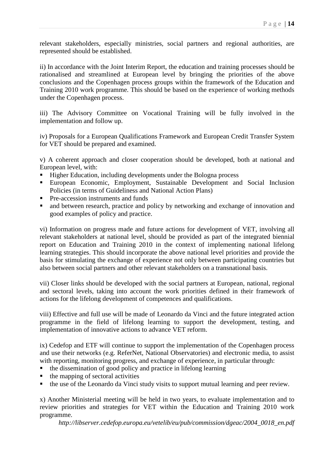relevant stakeholders, especially ministries, social partners and regional authorities, are represented should be established.

ii) In accordance with the Joint Interim Report, the education and training processes should be rationalised and streamlined at European level by bringing the priorities of the above conclusions and the Copenhagen process groups within the framework of the Education and Training 2010 work programme. This should be based on the experience of working methods under the Copenhagen process.

iii) The Advisory Committee on Vocational Training will be fully involved in the implementation and follow up.

iv) Proposals for a European Qualifications Framework and European Credit Transfer System for VET should be prepared and examined.

v) A coherent approach and closer cooperation should be developed, both at national and European level, with:

- -Higher Education, including developments under the Bologna process
- - European Economic, Employment, Sustainable Development and Social Inclusion Policies (in terms of Guideliness and National Action Plans)
- **Pre-accession instruments and funds**
- and between research, practice and policy by networking and exchange of innovation and good examples of policy and practice.

vi) Information on progress made and future actions for development of VET, involving all relevant stakeholders at national level, should be provided as part of the integrated biennial report on Education and Training 2010 in the context of implementing national lifelong learning strategies. This should incorporate the above national level priorities and provide the basis for stimulating the exchange of experience not only between participating countries but also between social partners and other relevant stakeholders on a transnational basis.

vii) Closer links should be developed with the social partners at European, national, regional and sectoral levels, taking into account the work priorities defined in their framework of actions for the lifelong development of competences and qualifications.

viii) Effective and full use will be made of Leonardo da Vinci and the future integrated action programme in the field of lifelong learning to support the development, testing, and implementation of innovative actions to advance VET reform.

ix) Cedefop and ETF will continue to support the implementation of the Copenhagen process and use their networks (e.g. ReferNet, National Observatories) and electronic media, to assist with reporting, monitoring progress, and exchange of experience, in particular through:

- the dissemination of good policy and practice in lifelong learning
- the mapping of sectoral activities
- the use of the Leonardo da Vinci study visits to support mutual learning and peer review.

x) Another Ministerial meeting will be held in two years, to evaluate implementation and to review priorities and strategies for VET within the Education and Training 2010 work programme.

*http://libserver.cedefop.europa.eu/vetelib/eu/pub/commission/dgeac/2004\_0018\_en.pdf*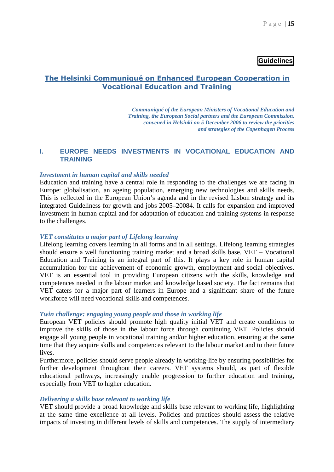**Guidelines**

## **The Helsinki Communiqué on Enhanced European Cooperation in Vocational Education and Training**

*Communiqué of the European Ministers of Vocational Education and Training, the European Social partners and the European Commission, convened in Helsinki on 5 December 2006 to review the priorities and strategies of the Copenhagen Process* 

## **I. EUROPE NEEDS INVESTMENTS IN VOCATIONAL EDUCATION AND TRAINING**

#### *Investment in human capital and skills needed*

Education and training have a central role in responding to the challenges we are facing in Europe: globalisation, an ageing population, emerging new technologies and skills needs. This is reflected in the European Union's agenda and in the revised Lisbon strategy and its integrated Guideliness for growth and jobs 2005–20084. It calls for expansion and improved investment in human capital and for adaptation of education and training systems in response to the challenges.

#### *VET constitutes a major part of Lifelong learning*

Lifelong learning covers learning in all forms and in all settings. Lifelong learning strategies should ensure a well functioning training market and a broad skills base. VET – Vocational Education and Training is an integral part of this. It plays a key role in human capital accumulation for the achievement of economic growth, employment and social objectives. VET is an essential tool in providing European citizens with the skills, knowledge and competences needed in the labour market and knowledge based society. The fact remains that VET caters for a major part of learners in Europe and a significant share of the future workforce will need vocational skills and competences.

#### *Twin challenge: engaging young people and those in working life*

European VET policies should promote high quality initial VET and create conditions to improve the skills of those in the labour force through continuing VET. Policies should engage all young people in vocational training and/or higher education, ensuring at the same time that they acquire skills and competences relevant to the labour market and to their future lives.

Furthermore, policies should serve people already in working-life by ensuring possibilities for further development throughout their careers. VET systems should, as part of flexible educational pathways, increasingly enable progression to further education and training, especially from VET to higher education.

#### *Delivering a skills base relevant to working life*

VET should provide a broad knowledge and skills base relevant to working life, highlighting at the same time excellence at all levels. Policies and practices should assess the relative impacts of investing in different levels of skills and competences. The supply of intermediary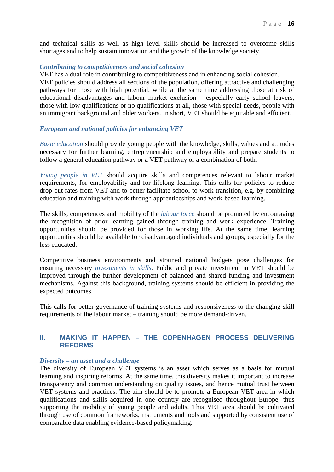and technical skills as well as high level skills should be increased to overcome skills shortages and to help sustain innovation and the growth of the knowledge society.

## *Contributing to competitiveness and social cohesion*

VET has a dual role in contributing to competitiveness and in enhancing social cohesion. VET policies should address all sections of the population, offering attractive and challenging pathways for those with high potential, while at the same time addressing those at risk of educational disadvantages and labour market exclusion – especially early school leavers, those with low qualifications or no qualifications at all, those with special needs, people with an immigrant background and older workers. In short, VET should be equitable and efficient.

## *European and national policies for enhancing VET*

*Basic education* should provide young people with the knowledge, skills, values and attitudes necessary for further learning, entrepreneurship and employability and prepare students to follow a general education pathway or a VET pathway or a combination of both.

*Young people in VET* should acquire skills and competences relevant to labour market requirements, for employability and for lifelong learning. This calls for policies to reduce drop-out rates from VET and to better facilitate school-to-work transition, e.g. by combining education and training with work through apprenticeships and work-based learning.

The skills, competences and mobility of the *labour force* should be promoted by encouraging the recognition of prior learning gained through training and work experience. Training opportunities should be provided for those in working life. At the same time, learning opportunities should be available for disadvantaged individuals and groups, especially for the less educated.

Competitive business environments and strained national budgets pose challenges for ensuring necessary *investments in skills.* Public and private investment in VET should be improved through the further development of balanced and shared funding and investment mechanisms. Against this background, training systems should be efficient in providing the expected outcomes.

This calls for better governance of training systems and responsiveness to the changing skill requirements of the labour market – training should be more demand-driven.

## **II. MAKING IT HAPPEN – THE COPENHAGEN PROCESS DELIVERING REFORMS**

#### *Diversity – an asset and a challenge*

The diversity of European VET systems is an asset which serves as a basis for mutual learning and inspiring reforms. At the same time, this diversity makes it important to increase transparency and common understanding on quality issues, and hence mutual trust between VET systems and practices. The aim should be to promote a European VET area in which qualifications and skills acquired in one country are recognised throughout Europe, thus supporting the mobility of young people and adults. This VET area should be cultivated through use of common frameworks, instruments and tools and supported by consistent use of comparable data enabling evidence-based policymaking.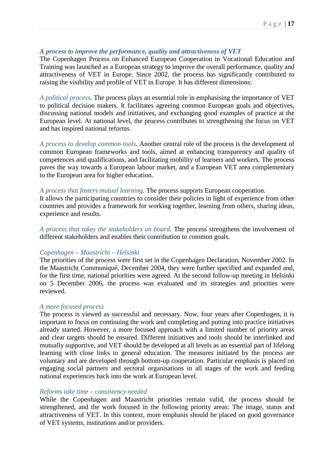## *A process to improve the performance, quality and attractiveness of VET*

The Copenhagen Process on Enhanced European Cooperation in Vocational Education and Training was launched as a European strategy to improve the overall performance, quality and attractiveness of VET in Europe. Since 2002, the process has significantly contributed to raising the visibility and profile of VET in Europe. It has different dimensions:

*A political process.* The process plays an essential role in emphasising the importance of VET to political decision makers. It facilitates agreeing common European goals and objectives, discussing national models and initiatives, and exchanging good examples of practice at the European level. At national level, the process contributes to strengthening the focus on VET and has inspired national reforms.

*A process to develop common tools.* Another central role of the process is the development of common European frameworks and tools, aimed at enhancing transparency and quality of competences and qualifications, and facilitating mobility of learners and workers. The process paves the way towards a European labour market, and a European VET area complementary to the European area for higher education.

#### *A process that fosters mutual learning.* The process supports European cooperation.

It allows the participating countries to consider their policies in light of experience from other countries and provides a framework for working together, learning from others, sharing ideas, experience and results.

*A process that takes the stakeholders on board.* The process strengthens the involvement of different stakeholders and enables their contribution to common goals.

#### *Copenhagen – Maastricht – Helsinki*

The priorities of the process were first set in the Copenhagen Declaration, November 2002. In the Maastricht Communiqué, December 2004, they were further specified and expanded and, for the first time, national priorities were agreed. At the second follow-up meeting in Helsinki on 5 December 2006, the process was evaluated and its strategies and priorities were reviewed.

#### *A more focused process*

The process is viewed as successful and necessary. Now, four years after Copenhagen, it is important to focus on continuing the work and completing and putting into practice initiatives already started. However, a more focused approach with a limited number of priority areas and clear targets should be ensured. Different initiatives and tools should be interlinked and mutually supportive, and VET should be developed at all levels as an essential part of lifelong learning with close links to general education. The measures initiated by the process are voluntary and are developed through bottom-up cooperation. Particular emphasis is placed on engaging social partners and sectoral organisations in all stages of the work and feeding national experiences back into the work at European level.

#### *Reforms take time – consistency needed*

While the Copenhagen and Maastricht priorities remain valid, the process should be strengthened, and the work focused in the following priority areas: The image, status and attractiveness of VET. In this context, more emphasis should be placed on good governance of VET systems, institutions and/or providers.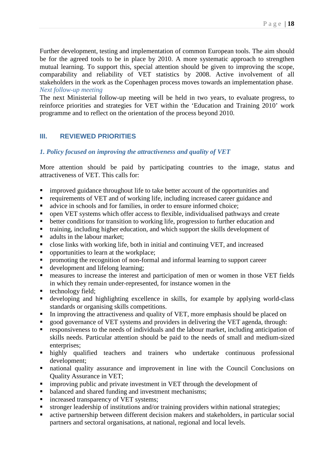Further development, testing and implementation of common European tools. The aim should be for the agreed tools to be in place by 2010. A more systematic approach to strengthen mutual learning. To support this, special attention should be given to improving the scope, comparability and reliability of VET statistics by 2008. Active involvement of all stakeholders in the work as the Copenhagen process moves towards an implementation phase. *Next follow-up meeting* 

The next Ministerial follow-up meeting will be held in two years, to evaluate progress, to reinforce priorities and strategies for VET within the 'Education and Training 2010' work programme and to reflect on the orientation of the process beyond 2010.

## **III. REVIEWED PRIORITIES**

## *1. Policy focused on improving the attractiveness and quality of VET*

More attention should be paid by participating countries to the image, status and attractiveness of VET. This calls for:

- improved guidance throughout life to take better account of the opportunities and
- requirements of VET and of working life, including increased career guidance and
- advice in schools and for families, in order to ensure informed choice;
- open VET systems which offer access to flexible, individualised pathways and create
- better conditions for transition to working life, progression to further education and
- training, including higher education, and which support the skills development of
- adults in the labour market;
- close links with working life, both in initial and continuing VET, and increased
- opportunities to learn at the workplace;
- promoting the recognition of non-formal and informal learning to support career
- development and lifelong learning;
- measures to increase the interest and participation of men or women in those VET fields in which they remain under-represented, for instance women in the
- technology field;
- $\blacksquare$  developing and highlighting excellence in skills, for example by applying world-class standards or organising skills competitions.
- -In improving the attractiveness and quality of VET, more emphasis should be placed on
- good governance of VET systems and providers in delivering the VET agenda, through:
- responsiveness to the needs of individuals and the labour market, including anticipation of skills needs. Particular attention should be paid to the needs of small and medium-sized enterprises;
- highly qualified teachers and trainers who undertake continuous professional development;
- national quality assurance and improvement in line with the Council Conclusions on Quality Assurance in VET;
- improving public and private investment in VET through the development of
- balanced and shared funding and investment mechanisms;
- increased transparency of VET systems;
- stronger leadership of institutions and/or training providers within national strategies;
- active partnership between different decision makers and stakeholders, in particular social partners and sectoral organisations, at national, regional and local levels.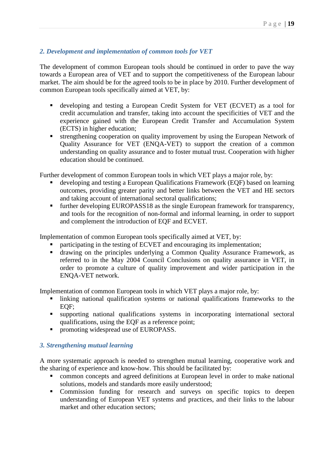## *2. Development and implementation of common tools for VET*

The development of common European tools should be continued in order to pave the way towards a European area of VET and to support the competitiveness of the European labour market. The aim should be for the agreed tools to be in place by 2010. Further development of common European tools specifically aimed at VET, by:

- developing and testing a European Credit System for VET (ECVET) as a tool for credit accumulation and transfer, taking into account the specificities of VET and the experience gained with the European Credit Transfer and Accumulation System (ECTS) in higher education;
- **Extrengthening cooperation on quality improvement by using the European Network of** Quality Assurance for VET (ENQA-VET) to support the creation of a common understanding on quality assurance and to foster mutual trust. Cooperation with higher education should be continued.

Further development of common European tools in which VET plays a major role, by:

- developing and testing a European Qualifications Framework (EQF) based on learning outcomes, providing greater parity and better links between the VET and HE sectors and taking account of international sectoral qualifications;
- further developing EUROPASS18 as the single European framework for transparency, and tools for the recognition of non-formal and informal learning, in order to support and complement the introduction of EQF and ECVET.

Implementation of common European tools specifically aimed at VET, by:

- participating in the testing of ECVET and encouraging its implementation;
- drawing on the principles underlying a Common Quality Assurance Framework, as referred to in the May 2004 Council Conclusions on quality assurance in VET, in order to promote a culture of quality improvement and wider participation in the ENQA-VET network.

Implementation of common European tools in which VET plays a major role, by:

- linking national qualification systems or national qualifications frameworks to the EQF;
- supporting national qualifications systems in incorporating international sectoral qualifications, using the EQF as a reference point;
- promoting widespread use of EUROPASS.

## *3. Strengthening mutual learning*

A more systematic approach is needed to strengthen mutual learning, cooperative work and the sharing of experience and know-how. This should be facilitated by:

- common concepts and agreed definitions at European level in order to make national solutions, models and standards more easily understood;
- Commission funding for research and surveys on specific topics to deepen understanding of European VET systems and practices, and their links to the labour market and other education sectors;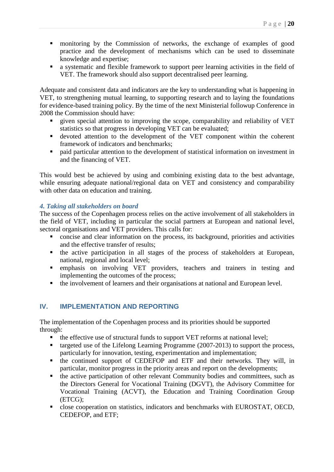- monitoring by the Commission of networks, the exchange of examples of good practice and the development of mechanisms which can be used to disseminate knowledge and expertise;
- a systematic and flexible framework to support peer learning activities in the field of VET. The framework should also support decentralised peer learning.

Adequate and consistent data and indicators are the key to understanding what is happening in VET, to strengthening mutual learning, to supporting research and to laying the foundations for evidence-based training policy. By the time of the next Ministerial followup Conference in 2008 the Commission should have:

- given special attention to improving the scope, comparability and reliability of VET statistics so that progress in developing VET can be evaluated;
- **-** devoted attention to the development of the VET component within the coherent framework of indicators and benchmarks;
- paid particular attention to the development of statistical information on investment in and the financing of VET.

This would best be achieved by using and combining existing data to the best advantage, while ensuring adequate national/regional data on VET and consistency and comparability with other data on education and training.

## *4. Taking all stakeholders on board*

The success of the Copenhagen process relies on the active involvement of all stakeholders in the field of VET, including in particular the social partners at European and national level, sectoral organisations and VET providers. This calls for:

- **•** concise and clear information on the process, its background, priorities and activities and the effective transfer of results;
- the active participation in all stages of the process of stakeholders at European, national, regional and local level;
- emphasis on involving VET providers, teachers and trainers in testing and implementing the outcomes of the process;
- $\blacksquare$  the involvement of learners and their organisations at national and European level.

## **IV. IMPLEMENTATION AND REPORTING**

The implementation of the Copenhagen process and its priorities should be supported through:

- the effective use of structural funds to support VET reforms at national level;
- targeted use of the Lifelong Learning Programme (2007-2013) to support the process, particularly for innovation, testing, experimentation and implementation;
- the continued support of CEDEFOP and ETF and their networks. They will, in particular, monitor progress in the priority areas and report on the developments;
- the active participation of other relevant Community bodies and committees, such as the Directors General for Vocational Training (DGVT), the Advisory Committee for Vocational Training (ACVT), the Education and Training Coordination Group (ETCG);
- **-** close cooperation on statistics, indicators and benchmarks with EUROSTAT, OECD, CEDEFOP, and ETF;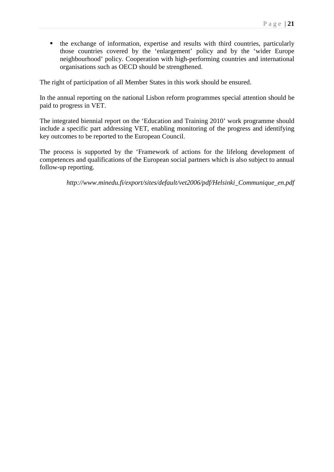- the exchange of information, expertise and results with third countries, particularly those countries covered by the 'enlargement' policy and by the 'wider Europe neighbourhood' policy. Cooperation with high-performing countries and international organisations such as OECD should be strengthened.

The right of participation of all Member States in this work should be ensured.

In the annual reporting on the national Lisbon reform programmes special attention should be paid to progress in VET.

The integrated biennial report on the 'Education and Training 2010' work programme should include a specific part addressing VET, enabling monitoring of the progress and identifying key outcomes to be reported to the European Council.

The process is supported by the 'Framework of actions for the lifelong development of competences and qualifications of the European social partners which is also subject to annual follow-up reporting.

*http://www.minedu.fi/export/sites/default/vet2006/pdf/Helsinki\_Communique\_en.pdf*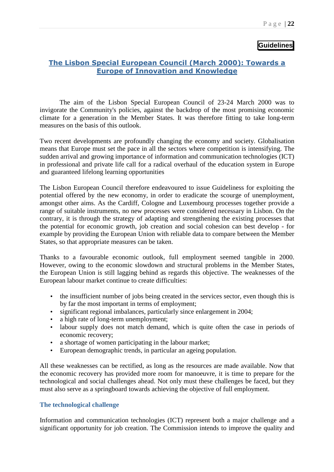## **Guidelines**

## **The Lisbon Special European Council (March 2000): Towards a Europe of Innovation and Knowledge**

The aim of the Lisbon Special European Council of 23-24 March 2000 was to invigorate the Community's policies, against the backdrop of the most promising economic climate for a generation in the Member States. It was therefore fitting to take long-term measures on the basis of this outlook.

Two recent developments are profoundly changing the economy and society. Globalisation means that Europe must set the pace in all the sectors where competition is intensifying. The sudden arrival and growing importance of information and communication technologies (ICT) in professional and private life call for a radical overhaul of the education system in Europe and guaranteed lifelong learning opportunities

The Lisbon European Council therefore endeavoured to issue Guideliness for exploiting the potential offered by the new economy, in order to eradicate the scourge of unemployment, amongst other aims. As the Cardiff, Cologne and Luxembourg processes together provide a range of suitable instruments, no new processes were considered necessary in Lisbon. On the contrary, it is through the strategy of adapting and strengthening the existing processes that the potential for economic growth, job creation and social cohesion can best develop - for example by providing the European Union with reliable data to compare between the Member States, so that appropriate measures can be taken.

Thanks to a favourable economic outlook, full employment seemed tangible in 2000. However, owing to the economic slowdown and structural problems in the Member States, the European Union is still lagging behind as regards this objective. The weaknesses of the European labour market continue to create difficulties:

- the insufficient number of jobs being created in the services sector, even though this is by far the most important in terms of employment;
- significant regional imbalances, particularly since enlargement in 2004;
- a high rate of long-term unemployment;
- labour supply does not match demand, which is quite often the case in periods of economic recovery;
- a shortage of women participating in the labour market;
- European demographic trends, in particular an ageing population.

All these weaknesses can be rectified, as long as the resources are made available. Now that the economic recovery has provided more room for manoeuvre, it is time to prepare for the technological and social challenges ahead. Not only must these challenges be faced, but they must also serve as a springboard towards achieving the objective of full employment.

## **The technological challenge**

Information and communication technologies (ICT) represent both a major challenge and a significant opportunity for job creation. The Commission intends to improve the quality and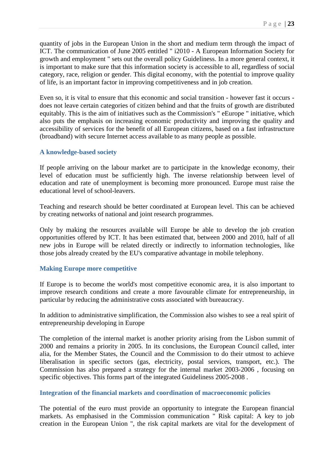quantity of jobs in the European Union in the short and medium term through the impact of ICT. The communication of June 2005 entitled " i2010 - A European Information Society for growth and employment " sets out the overall policy Guideliness. In a more general context, it is important to make sure that this information society is accessible to all, regardless of social category, race, religion or gender. This digital economy, with the potential to improve quality of life, is an important factor in improving competitiveness and in job creation.

Even so, it is vital to ensure that this economic and social transition - however fast it occurs does not leave certain categories of citizen behind and that the fruits of growth are distributed equitably. This is the aim of initiatives such as the Commission's " eEurope " initiative, which also puts the emphasis on increasing economic productivity and improving the quality and accessibility of services for the benefit of all European citizens, based on a fast infrastructure (broadband) with secure Internet access available to as many people as possible.

## **A knowledge-based society**

If people arriving on the labour market are to participate in the knowledge economy, their level of education must be sufficiently high. The inverse relationship between level of education and rate of unemployment is becoming more pronounced. Europe must raise the educational level of school-leavers.

Teaching and research should be better coordinated at European level. This can be achieved by creating networks of national and joint research programmes.

Only by making the resources available will Europe be able to develop the job creation opportunities offered by ICT. It has been estimated that, between 2000 and 2010, half of all new jobs in Europe will be related directly or indirectly to information technologies, like those jobs already created by the EU's comparative advantage in mobile telephony.

## **Making Europe more competitive**

If Europe is to become the world's most competitive economic area, it is also important to improve research conditions and create a more favourable climate for entrepreneurship, in particular by reducing the administrative costs associated with bureaucracy.

In addition to administrative simplification, the Commission also wishes to see a real spirit of entrepreneurship developing in Europe

The completion of the internal market is another priority arising from the Lisbon summit of 2000 and remains a priority in 2005. In its conclusions, the European Council called, inter alia, for the Member States, the Council and the Commission to do their utmost to achieve liberalisation in specific sectors (gas, electricity, postal services, transport, etc.). The Commission has also prepared a strategy for the internal market 2003-2006 , focusing on specific objectives. This forms part of the integrated Guideliness 2005-2008 .

## **Integration of the financial markets and coordination of macroeconomic policies**

The potential of the euro must provide an opportunity to integrate the European financial markets. As emphasised in the Commission communication " Risk capital: A key to job creation in the European Union ", the risk capital markets are vital for the development of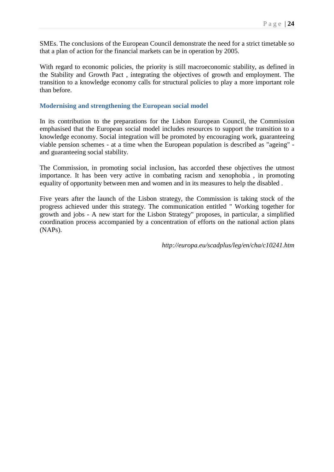SMEs. The conclusions of the European Council demonstrate the need for a strict timetable so that a plan of action for the financial markets can be in operation by 2005.

With regard to economic policies, the priority is still macroeconomic stability, as defined in the Stability and Growth Pact , integrating the objectives of growth and employment. The transition to a knowledge economy calls for structural policies to play a more important role than before.

## **Modernising and strengthening the European social model**

In its contribution to the preparations for the Lisbon European Council, the Commission emphasised that the European social model includes resources to support the transition to a knowledge economy. Social integration will be promoted by encouraging work, guaranteeing viable pension schemes - at a time when the European population is described as "ageing" and guaranteeing social stability.

The Commission, in promoting social inclusion, has accorded these objectives the utmost importance. It has been very active in combating racism and xenophobia , in promoting equality of opportunity between men and women and in its measures to help the disabled .

Five years after the launch of the Lisbon strategy, the Commission is taking stock of the progress achieved under this strategy. The communication entitled " Working together for growth and jobs - A new start for the Lisbon Strategy" proposes, in particular, a simplified coordination process accompanied by a concentration of efforts on the national action plans (NAPs).

*http://europa.eu/scadplus/leg/en/cha/c10241.htm*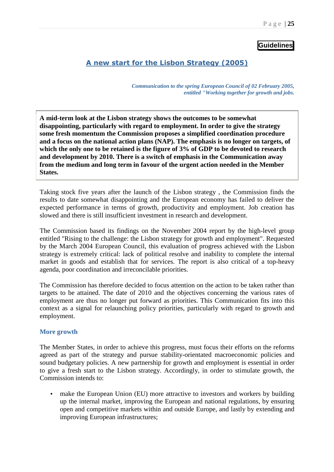**Guidelines**

## **A new start for the Lisbon Strategy (2005)**

*Communication to the spring European Council of 02 February 2005, entitled "Working together for growth and jobs.* 

**A mid-term look at the Lisbon strategy shows the outcomes to be somewhat disappointing, particularly with regard to employment. In order to give the strategy some fresh momentum the Commission proposes a simplified coordination procedure and a focus on the national action plans (NAP). The emphasis is no longer on targets, of which the only one to be retained is the figure of 3% of GDP to be devoted to research and development by 2010. There is a switch of emphasis in the Communication away from the medium and long term in favour of the urgent action needed in the Member States.** 

Taking stock five years after the launch of the Lisbon strategy , the Commission finds the results to date somewhat disappointing and the European economy has failed to deliver the expected performance in terms of growth, productivity and employment. Job creation has slowed and there is still insufficient investment in research and development.

The Commission based its findings on the November 2004 report by the high-level group entitled "Rising to the challenge: the Lisbon strategy for growth and employment". Requested by the March 2004 European Council, this evaluation of progress achieved with the Lisbon strategy is extremely critical: lack of political resolve and inability to complete the internal market in goods and establish that for services. The report is also critical of a top-heavy agenda, poor coordination and irreconcilable priorities.

The Commission has therefore decided to focus attention on the action to be taken rather than targets to be attained. The date of 2010 and the objectives concerning the various rates of employment are thus no longer put forward as priorities. This Communication fits into this context as a signal for relaunching policy priorities, particularly with regard to growth and employment.

## **More growth**

The Member States, in order to achieve this progress, must focus their efforts on the reforms agreed as part of the strategy and pursue stability-orientated macroeconomic policies and sound budgetary policies. A new partnership for growth and employment is essential in order to give a fresh start to the Lisbon strategy. Accordingly, in order to stimulate growth, the Commission intends to:

• make the European Union (EU) more attractive to investors and workers by building up the internal market, improving the European and national regulations, by ensuring open and competitive markets within and outside Europe, and lastly by extending and improving European infrastructures;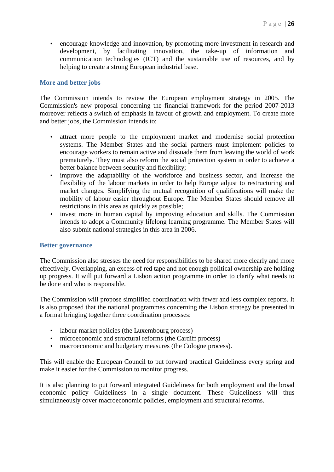• encourage knowledge and innovation, by promoting more investment in research and development, by facilitating innovation, the take-up of information and communication technologies (ICT) and the sustainable use of resources, and by helping to create a strong European industrial base.

## **More and better jobs**

The Commission intends to review the European employment strategy in 2005. The Commission's new proposal concerning the financial framework for the period 2007-2013 moreover reflects a switch of emphasis in favour of growth and employment. To create more and better jobs, the Commission intends to:

- attract more people to the employment market and modernise social protection systems. The Member States and the social partners must implement policies to encourage workers to remain active and dissuade them from leaving the world of work prematurely. They must also reform the social protection system in order to achieve a better balance between security and flexibility;
- improve the adaptability of the workforce and business sector, and increase the flexibility of the labour markets in order to help Europe adjust to restructuring and market changes. Simplifying the mutual recognition of qualifications will make the mobility of labour easier throughout Europe. The Member States should remove all restrictions in this area as quickly as possible;
- invest more in human capital by improving education and skills. The Commission intends to adopt a Community lifelong learning programme. The Member States will also submit national strategies in this area in 2006.

## **Better governance**

The Commission also stresses the need for responsibilities to be shared more clearly and more effectively. Overlapping, an excess of red tape and not enough political ownership are holding up progress. It will put forward a Lisbon action programme in order to clarify what needs to be done and who is responsible.

The Commission will propose simplified coordination with fewer and less complex reports. It is also proposed that the national programmes concerning the Lisbon strategy be presented in a format bringing together three coordination processes:

- labour market policies (the Luxembourg process)
- microeconomic and structural reforms (the Cardiff process)
- macroeconomic and budgetary measures (the Cologne process).

This will enable the European Council to put forward practical Guideliness every spring and make it easier for the Commission to monitor progress.

It is also planning to put forward integrated Guideliness for both employment and the broad economic policy Guideliness in a single document. These Guideliness will thus simultaneously cover macroeconomic policies, employment and structural reforms.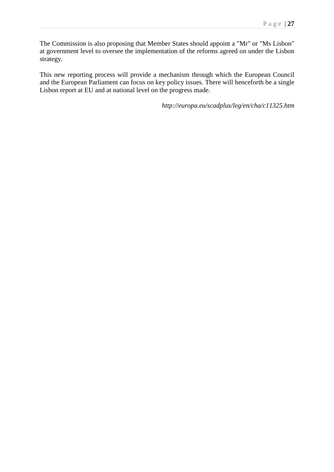The Commission is also proposing that Member States should appoint a "Mr" or "Ms Lisbon" at government level to oversee the implementation of the reforms agreed on under the Lisbon strategy.

This new reporting process will provide a mechanism through which the European Council and the European Parliament can focus on key policy issues. There will henceforth be a single Lisbon report at EU and at national level on the progress made.

*http://europa.eu/scadplus/leg/en/cha/c11325.htm*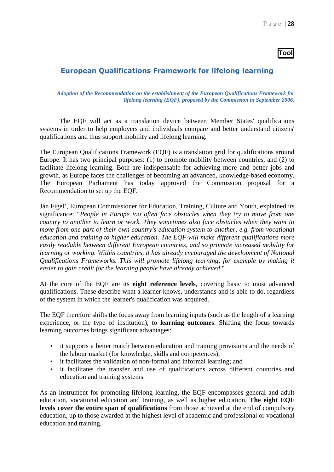## **Tool**

## **European Qualifications Framework for lifelong learning**

*Adoption of the Recommendation on the establishment of the European Qualifications Framework for lifelong learning (EQF), proposed by the Commission in September 2006.* 

The EQF will act as a translation device between Member States' qualifications systems in order to help employers and individuals compare and better understand citizens' qualifications and thus support mobility and lifelong learning.

The European Qualifications Framework (EQF) is a translation grid for qualifications around Europe. It has two principal purposes: (1) to promote mobility between countries, and (2) to facilitate lifelong learning. Both are indispensable for achieving more and better jobs and growth, as Europe faces the challenges of becoming an advanced, knowledge-based economy. The European Parliament has today approved the Commission proposal for a Recommendation to set up the EQF.

Ján Figel', European Commissioner for Education, Training, Culture and Youth, explained its significance: "*People in Europe too often face obstacles when they try to move from one country to another to learn or work. They sometimes also face obstacles when they want to move from one part of their own country's education system to another, e.g. from vocational education and training to higher education. The EQF will make different qualifications more easily readable between different European countries, and so promote increased mobility for learning or working. Within countries, it has already encouraged the development of National Qualifications Frameworks. This will promote lifelong learning, for example by making it easier to gain credit for the learning people have already achieved*."

At the core of the EQF are its **eight reference levels**, covering basic to most advanced qualifications. These describe what a learner knows, understands and is able to do, regardless of the system in which the learner's qualification was acquired.

The EQF therefore shifts the focus away from learning inputs (such as the length of a learning experience, or the type of institution), to **learning outcomes**. Shifting the focus towards learning outcomes brings significant advantages:

- it supports a better match between education and training provisions and the needs of the labour market (for knowledge, skills and competences);
- it facilitates the validation of non-formal and informal learning; and
- it facilitates the transfer and use of qualifications across different countries and education and training systems.

As an instrument for promoting lifelong learning, the EQF encompasses general and adult education, vocational education and training, as well as higher education. **The eight EQF levels cover the entire span of qualifications** from those achieved at the end of compulsory education, up to those awarded at the highest level of academic and professional or vocational education and training.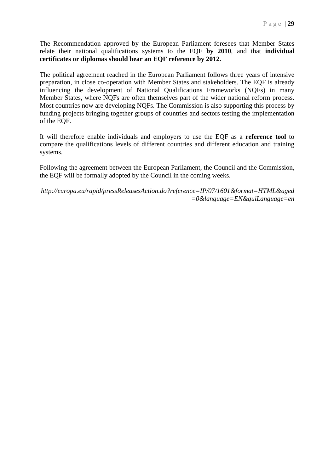The Recommendation approved by the European Parliament foresees that Member States relate their national qualifications systems to the EQF **by 2010**, and that **individual certificates or diplomas should bear an EQF reference by 2012.** 

The political agreement reached in the European Parliament follows three years of intensive preparation, in close co-operation with Member States and stakeholders. The EQF is already influencing the development of National Qualifications Frameworks (NQFs) in many Member States, where NQFs are often themselves part of the wider national reform process. Most countries now are developing NQFs. The Commission is also supporting this process by funding projects bringing together groups of countries and sectors testing the implementation of the EQF.

It will therefore enable individuals and employers to use the EQF as a **reference tool** to compare the qualifications levels of different countries and different education and training systems.

Following the agreement between the European Parliament, the Council and the Commission, the EQF will be formally adopted by the Council in the coming weeks.

*http://europa.eu/rapid/pressReleasesAction.do?reference=IP/07/1601&format=HTML&aged =0&language=EN&guiLanguage=en*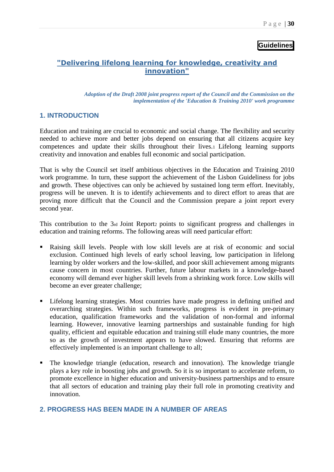## **Guidelines**

## **"Delivering lifelong learning for knowledge, creativity and innovation"**

*Adoption of the Draft 2008 joint progress report of the Council and the Commission on the implementation of the 'Education & Training 2010' work programme* 

## **1. INTRODUCTION**

Education and training are crucial to economic and social change. The flexibility and security needed to achieve more and better jobs depend on ensuring that all citizens acquire key competences and update their skills throughout their lives.1 Lifelong learning supports creativity and innovation and enables full economic and social participation.

That is why the Council set itself ambitious objectives in the Education and Training 2010 work programme. In turn, these support the achievement of the Lisbon Guideliness for jobs and growth. These objectives can only be achieved by sustained long term effort. Inevitably, progress will be uneven. It is to identify achievements and to direct effort to areas that are proving more difficult that the Council and the Commission prepare a joint report every second year.

This contribution to the 3rd Joint Report2 points to significant progress and challenges in education and training reforms. The following areas will need particular effort:

- - Raising skill levels. People with low skill levels are at risk of economic and social exclusion. Continued high levels of early school leaving, low participation in lifelong learning by older workers and the low-skilled, and poor skill achievement among migrants cause concern in most countries. Further, future labour markets in a knowledge-based economy will demand ever higher skill levels from a shrinking work force. Low skills will become an ever greater challenge;
- - Lifelong learning strategies. Most countries have made progress in defining unified and overarching strategies. Within such frameworks, progress is evident in pre-primary education, qualification frameworks and the validation of non-formal and informal learning. However, innovative learning partnerships and sustainable funding for high quality, efficient and equitable education and training still elude many countries, the more so as the growth of investment appears to have slowed. Ensuring that reforms are effectively implemented is an important challenge to all;
- - The knowledge triangle (education, research and innovation). The knowledge triangle plays a key role in boosting jobs and growth. So it is so important to accelerate reform, to promote excellence in higher education and university-business partnerships and to ensure that all sectors of education and training play their full role in promoting creativity and innovation.

## **2. PROGRESS HAS BEEN MADE IN A NUMBER OF AREAS**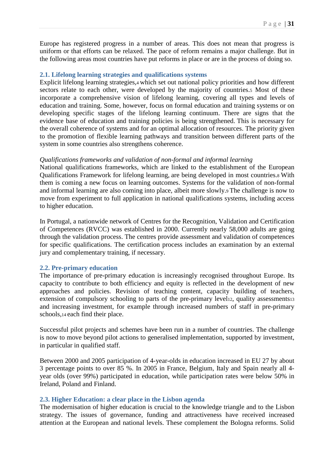Europe has registered progress in a number of areas. This does not mean that progress is uniform or that efforts can be relaxed. The pace of reform remains a major challenge. But in the following areas most countries have put reforms in place or are in the process of doing so.

## **2.1. Lifelong learning strategies and qualifications systems**

Explicit lifelong learning strategies,4 which set out national policy priorities and how different sectors relate to each other, were developed by the majority of countries.<sup>5</sup> Most of these incorporate a comprehensive vision of lifelong learning, covering all types and levels of education and training. Some, however, focus on formal education and training systems or on developing specific stages of the lifelong learning continuum. There are signs that the evidence base of education and training policies is being strengthened. This is necessary for the overall coherence of systems and for an optimal allocation of resources. The priority given to the promotion of flexible learning pathways and transition between different parts of the system in some countries also strengthens coherence.

#### *Qualifications frameworks and validation of non-formal and informal learning*

National qualifications frameworks, which are linked to the establishment of the European Qualifications Framework for lifelong learning, are being developed in most countries.8 With them is coming a new focus on learning outcomes. Systems for the validation of non-formal and informal learning are also coming into place, albeit more slowly.9 The challenge is now to move from experiment to full application in national qualifications systems, including access to higher education.

In Portugal, a nationwide network of Centres for the Recognition, Validation and Certification of Competences (RVCC) was established in 2000. Currently nearly 58,000 adults are going through the validation process. The centres provide assessment and validation of competences for specific qualifications. The certification process includes an examination by an external jury and complementary training, if necessary.

## **2.2. Pre-primary education**

The importance of pre-primary education is increasingly recognised throughout Europe. Its capacity to contribute to both efficiency and equity is reflected in the development of new approaches and policies. Revision of teaching content, capacity building of teachers, extension of compulsory schooling to parts of the pre-primary level<sub>12</sub>, quality assessments13 and increasing investment, for example through increased numbers of staff in pre-primary schools,14 each find their place.

Successful pilot projects and schemes have been run in a number of countries. The challenge is now to move beyond pilot actions to generalised implementation, supported by investment, in particular in qualified staff.

Between 2000 and 2005 participation of 4-year-olds in education increased in EU 27 by about 3 percentage points to over 85 %. In 2005 in France, Belgium, Italy and Spain nearly all 4 year olds (over 99%) participated in education, while participation rates were below 50% in Ireland, Poland and Finland.

## **2.3. Higher Education: a clear place in the Lisbon agenda**

The modernisation of higher education is crucial to the knowledge triangle and to the Lisbon strategy. The issues of governance, funding and attractiveness have received increased attention at the European and national levels. These complement the Bologna reforms. Solid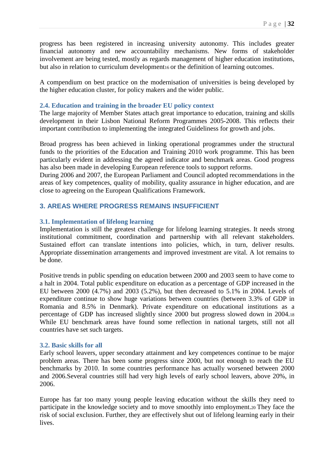progress has been registered in increasing university autonomy. This includes greater financial autonomy and new accountability mechanisms. New forms of stakeholder involvement are being tested, mostly as regards management of higher education institutions, but also in relation to curriculum development<sub>16</sub> or the definition of learning outcomes.

A compendium on best practice on the modernisation of universities is being developed by the higher education cluster, for policy makers and the wider public.

#### **2.4. Education and training in the broader EU policy context**

The large majority of Member States attach great importance to education, training and skills development in their Lisbon National Reform Programmes 2005-2008. This reflects their important contribution to implementing the integrated Guideliness for growth and jobs.

Broad progress has been achieved in linking operational programmes under the structural funds to the priorities of the Education and Training 2010 work programme. This has been particularly evident in addressing the agreed indicator and benchmark areas. Good progress has also been made in developing European reference tools to support reforms.

During 2006 and 2007, the European Parliament and Council adopted recommendations in the areas of key competences, quality of mobility, quality assurance in higher education, and are close to agreeing on the European Qualifications Framework.

## **3. AREAS WHERE PROGRESS REMAINS INSUFFICIENT**

## **3.1. Implementation of lifelong learning**

Implementation is still the greatest challenge for lifelong learning strategies. It needs strong institutional commitment, coordination and partnership with all relevant stakeholders. Sustained effort can translate intentions into policies, which, in turn, deliver results. Appropriate dissemination arrangements and improved investment are vital. A lot remains to be done.

Positive trends in public spending on education between 2000 and 2003 seem to have come to a halt in 2004. Total public expenditure on education as a percentage of GDP increased in the EU between 2000 (4.7%) and 2003 (5.2%), but then decreased to 5.1% in 2004. Levels of expenditure continue to show huge variations between countries (between 3.3% of GDP in Romania and 8.5% in Denmark). Private expenditure on educational institutions as a percentage of GDP has increased slightly since 2000 but progress slowed down in 2004.<sup>18</sup> While EU benchmark areas have found some reflection in national targets, still not all countries have set such targets.

#### **3.2. Basic skills for all**

Early school leavers, upper secondary attainment and key competences continue to be major problem areas. There has been some progress since 2000, but not enough to reach the EU benchmarks by 2010. In some countries performance has actually worsened between 2000 and 2006.Several countries still had very high levels of early school leavers, above 20%, in 2006.

Europe has far too many young people leaving education without the skills they need to participate in the knowledge society and to move smoothly into employment.20 They face the risk of social exclusion. Further, they are effectively shut out of lifelong learning early in their lives.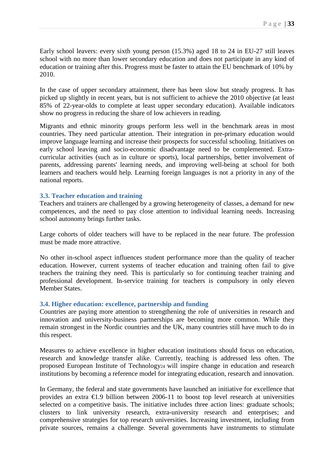Early school leavers: every sixth young person (15.3%) aged 18 to 24 in EU-27 still leaves school with no more than lower secondary education and does not participate in any kind of education or training after this. Progress must be faster to attain the EU benchmark of 10% by 2010.

In the case of upper secondary attainment, there has been slow but steady progress. It has picked up slightly in recent years, but is not sufficient to achieve the 2010 objective (at least 85% of 22-year-olds to complete at least upper secondary education). Available indicators show no progress in reducing the share of low achievers in reading.

Migrants and ethnic minority groups perform less well in the benchmark areas in most countries. They need particular attention. Their integration in pre-primary education would improve language learning and increase their prospects for successful schooling. Initiatives on early school leaving and socio-economic disadvantage need to be complemented. Extracurricular activities (such as in culture or sports), local partnerships, better involvement of parents, addressing parents' learning needs, and improving well-being at school for both learners and teachers would help. Learning foreign languages is not a priority in any of the national reports.

#### **3.3. Teacher education and training**

Teachers and trainers are challenged by a growing heterogeneity of classes, a demand for new competences, and the need to pay close attention to individual learning needs. Increasing school autonomy brings further tasks.

Large cohorts of older teachers will have to be replaced in the near future. The profession must be made more attractive.

No other in-school aspect influences student performance more than the quality of teacher education. However, current systems of teacher education and training often fail to give teachers the training they need. This is particularly so for continuing teacher training and professional development. In-service training for teachers is compulsory in only eleven Member States.

## **3.4. Higher education: excellence, partnership and funding**

Countries are paying more attention to strengthening the role of universities in research and innovation and university-business partnerships are becoming more common. While they remain strongest in the Nordic countries and the UK, many countries still have much to do in this respect.

Measures to achieve excellence in higher education institutions should focus on education, research and knowledge transfer alike. Currently, teaching is addressed less often. The proposed European Institute of Technology24 will inspire change in education and research institutions by becoming a reference model for integrating education, research and innovation.

In Germany, the federal and state governments have launched an initiative for excellence that provides an extra  $\epsilon$ 1.9 billion between 2006-11 to boost top level research at universities selected on a competitive basis. The initiative includes three action lines: graduate schools; clusters to link university research, extra-university research and enterprises; and comprehensive strategies for top research universities. Increasing investment, including from private sources, remains a challenge. Several governments have instruments to stimulate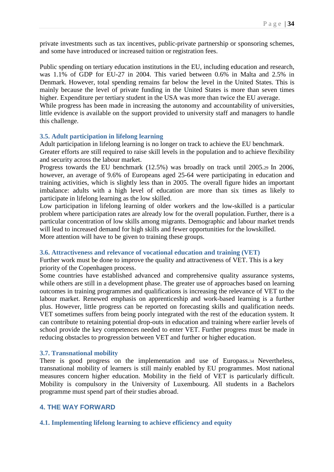private investments such as tax incentives, public-private partnership or sponsoring schemes, and some have introduced or increased tuition or registration fees.

Public spending on tertiary education institutions in the EU, including education and research, was 1.1% of GDP for EU-27 in 2004. This varied between 0.6% in Malta and 2.5% in Denmark. However, total spending remains far below the level in the United States. This is mainly because the level of private funding in the United States is more than seven times higher. Expenditure per tertiary student in the USA was more than twice the EU average. While progress has been made in increasing the autonomy and accountability of universities,

little evidence is available on the support provided to university staff and managers to handle this challenge.

#### **3.5. Adult participation in lifelong learning**

Adult participation in lifelong learning is no longer on track to achieve the EU benchmark. Greater efforts are still required to raise skill levels in the population and to achieve flexibility and security across the labour market.

Progress towards the EU benchmark (12.5%) was broadly on track until 2005.29 In 2006, however, an average of 9.6% of Europeans aged 25-64 were participating in education and training activities, which is slightly less than in 2005. The overall figure hides an important imbalance: adults with a high level of education are more than six times as likely to participate in lifelong learning as the low skilled.

Low participation in lifelong learning of older workers and the low-skilled is a particular problem where participation rates are already low for the overall population. Further, there is a particular concentration of low skills among migrants. Demographic and labour market trends will lead to increased demand for high skills and fewer opportunities for the lowskilled. More attention will have to be given to training these groups.

#### **3.6. Attractiveness and relevance of vocational education and training (VET)**

Further work must be done to improve the quality and attractiveness of VET. This is a key priority of the Copenhagen process.

Some countries have established advanced and comprehensive quality assurance systems, while others are still in a development phase. The greater use of approaches based on learning outcomes in training programmes and qualifications is increasing the relevance of VET to the labour market. Renewed emphasis on apprenticeship and work-based learning is a further plus. However, little progress can be reported on forecasting skills and qualification needs. VET sometimes suffers from being poorly integrated with the rest of the education system. It can contribute to retaining potential drop-outs in education and training where earlier levels of school provide the key competences needed to enter VET. Further progress must be made in reducing obstacles to progression between VET and further or higher education.

#### **3.7. Transnational mobility**

There is good progress on the implementation and use of Europass.34 Nevertheless, transnational mobility of learners is still mainly enabled by EU programmes. Most national measures concern higher education. Mobility in the field of VET is particularly difficult. Mobility is compulsory in the University of Luxembourg. All students in a Bachelors programme must spend part of their studies abroad.

## **4. THE WAY FORWARD**

## **4.1. Implementing lifelong learning to achieve efficiency and equity**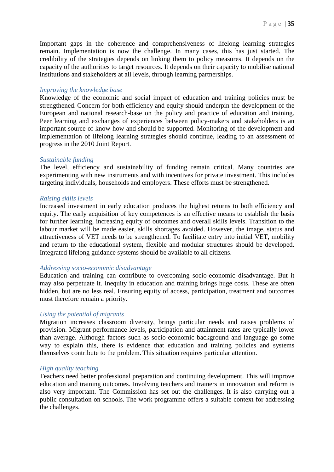Important gaps in the coherence and comprehensiveness of lifelong learning strategies remain. Implementation is now the challenge. In many cases, this has just started. The credibility of the strategies depends on linking them to policy measures. It depends on the capacity of the authorities to target resources. It depends on their capacity to mobilise national institutions and stakeholders at all levels, through learning partnerships.

## *Improving the knowledge base*

Knowledge of the economic and social impact of education and training policies must be strengthened. Concern for both efficiency and equity should underpin the development of the European and national research-base on the policy and practice of education and training. Peer learning and exchanges of experiences between policy-makers and stakeholders is an important source of know-how and should be supported. Monitoring of the development and implementation of lifelong learning strategies should continue, leading to an assessment of progress in the 2010 Joint Report.

## *Sustainable funding*

The level, efficiency and sustainability of funding remain critical. Many countries are experimenting with new instruments and with incentives for private investment. This includes targeting individuals, households and employers. These efforts must be strengthened.

## *Raising skills levels*

Increased investment in early education produces the highest returns to both efficiency and equity. The early acquisition of key competences is an effective means to establish the basis for further learning, increasing equity of outcomes and overall skills levels. Transition to the labour market will be made easier, skills shortages avoided. However, the image, status and attractiveness of VET needs to be strengthened. To facilitate entry into initial VET, mobility and return to the educational system, flexible and modular structures should be developed. Integrated lifelong guidance systems should be available to all citizens.

## *Addressing socio-economic disadvantage*

Education and training can contribute to overcoming socio-economic disadvantage. But it may also perpetuate it. Inequity in education and training brings huge costs. These are often hidden, but are no less real. Ensuring equity of access, participation, treatment and outcomes must therefore remain a priority.

## *Using the potential of migrants*

Migration increases classroom diversity, brings particular needs and raises problems of provision. Migrant performance levels, participation and attainment rates are typically lower than average. Although factors such as socio-economic background and language go some way to explain this, there is evidence that education and training policies and systems themselves contribute to the problem. This situation requires particular attention.

## *High quality teaching*

Teachers need better professional preparation and continuing development. This will improve education and training outcomes. Involving teachers and trainers in innovation and reform is also very important. The Commission has set out the challenges. It is also carrying out a public consultation on schools. The work programme offers a suitable context for addressing the challenges.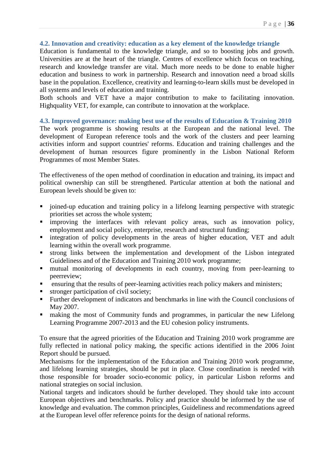## **4.2. Innovation and creativity: education as a key element of the knowledge triangle**

Education is fundamental to the knowledge triangle, and so to boosting jobs and growth. Universities are at the heart of the triangle. Centres of excellence which focus on teaching, research and knowledge transfer are vital. Much more needs to be done to enable higher education and business to work in partnership. Research and innovation need a broad skills base in the population. Excellence, creativity and learning-to-learn skills must be developed in all systems and levels of education and training.

Both schools and VET have a major contribution to make to facilitating innovation. Highquality VET, for example, can contribute to innovation at the workplace.

## **4.3. Improved governance: making best use of the results of Education & Training 2010**

The work programme is showing results at the European and the national level. The development of European reference tools and the work of the clusters and peer learning activities inform and support countries' reforms. Education and training challenges and the development of human resources figure prominently in the Lisbon National Reform Programmes of most Member States.

The effectiveness of the open method of coordination in education and training, its impact and political ownership can still be strengthened. Particular attention at both the national and European levels should be given to:

- joined-up education and training policy in a lifelong learning perspective with strategic priorities set across the whole system;
- improving the interfaces with relevant policy areas, such as innovation policy, employment and social policy, enterprise, research and structural funding;
- $\blacksquare$  . integration of policy developments in the areas of higher education, VET and adult learning within the overall work programme.
- strong links between the implementation and development of the Lisbon integrated Guideliness and of the Education and Training 2010 work programme;
- mutual monitoring of developments in each country, moving from peer-learning to peerreview;
- ensuring that the results of peer-learning activities reach policy makers and ministers;
- stronger participation of civil society;
- Further development of indicators and benchmarks in line with the Council conclusions of May 2007.
- making the most of Community funds and programmes, in particular the new Lifelong Learning Programme 2007-2013 and the EU cohesion policy instruments.

To ensure that the agreed priorities of the Education and Training 2010 work programme are fully reflected in national policy making, the specific actions identified in the 2006 Joint Report should be pursued.

Mechanisms for the implementation of the Education and Training 2010 work programme, and lifelong learning strategies, should be put in place. Close coordination is needed with those responsible for broader socio-economic policy, in particular Lisbon reforms and national strategies on social inclusion.

National targets and indicators should be further developed. They should take into account European objectives and benchmarks. Policy and practice should be informed by the use of knowledge and evaluation. The common principles, Guideliness and recommendations agreed at the European level offer reference points for the design of national reforms.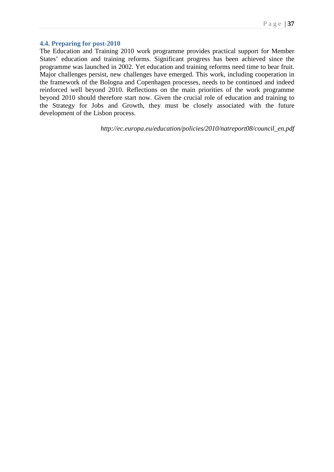#### **4.4. Preparing for post-2010**

The Education and Training 2010 work programme provides practical support for Member States' education and training reforms. Significant progress has been achieved since the programme was launched in 2002. Yet education and training reforms need time to bear fruit. Major challenges persist, new challenges have emerged. This work, including cooperation in the framework of the Bologna and Copenhagen processes, needs to be continued and indeed reinforced well beyond 2010. Reflections on the main priorities of the work programme beyond 2010 should therefore start now. Given the crucial role of education and training to the Strategy for Jobs and Growth, they must be closely associated with the future development of the Lisbon process.

*http://ec.europa.eu/education/policies/2010/natreport08/council\_en.pdf*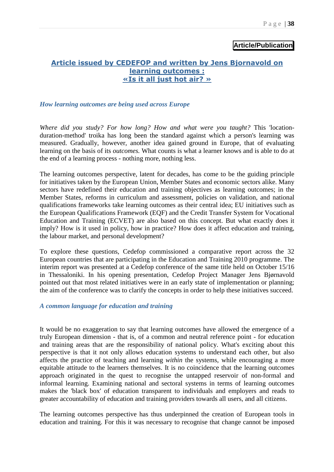# **Article/Publication**

## **Article issued by CEDEFOP and written by Jens Bjornavold on learning outcomes : «Is it all just hot air? »**

#### *How learning outcomes are being used across Europe*

*Where did you study? For how long? How and what were you taught?* This 'locationduration-method' troika has long been the standard against which a person's learning was measured. Gradually, however, another idea gained ground in Europe, that of evaluating learning on the basis of its *outcomes.* What counts is what a learner knows and is able to do at the end of a learning process - nothing more, nothing less.

The learning outcomes perspective, latent for decades, has come to be the guiding principle for initiatives taken by the European Union, Member States and economic sectors alike. Many sectors have redefined their education and training objectives as learning outcomes; in the Member States, reforms in curriculum and assessment, policies on validation, and national qualifications frameworks take learning outcomes as their central idea; EU initiatives such as the European Qualifications Framework (EQF) and the Credit Transfer System for Vocational Education and Training (ECVET) are also based on this concept. But what exactly does it imply? How is it used in policy, how in practice? How does it affect education and training, the labour market, and personal development?

To explore these questions, Cedefop commissioned a comparative report across the 32 European countries that are participating in the Education and Training 2010 programme. The interim report was presented at a Cedefop conference of the same title held on October 15/16 in Thessaloniki. In his opening presentation, Cedefop Project Manager Jens Bjørnavold pointed out that most related initiatives were in an early state of implementation or planning; the aim of the conference was to clarify the concepts in order to help these initiatives succeed.

#### *A common language for education and training*

It would be no exaggeration to say that learning outcomes have allowed the emergence of a truly European dimension - that is, of a common and neutral reference point - for education and training areas that are the responsibility of national policy. What's exciting about this perspective is that it not only allows education systems to understand each other, but also affects the practice of teaching and learning *within* the systems, while encouraging a more equitable attitude to the learners themselves. It is no coincidence that the learning outcomes approach originated in the quest to recognise the untapped reservoir of non-formal and informal learning. Examining national and sectoral systems in terms of learning outcomes makes the 'black box' of education transparent to individuals and employers and reads to greater accountability of education and training providers towards all users, and all citizens.

The learning outcomes perspective has thus underpinned the creation of European tools in education and training. For this it was necessary to recognise that change cannot be imposed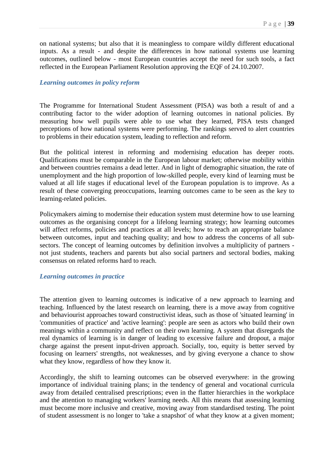on national systems; but also that it is meaningless to compare wildly different educational inputs. As a result - and despite the differences in how national systems use learning outcomes, outlined below - most European countries accept the need for such tools, a fact reflected in the European Parliament Resolution approving the EQF of 24.10.2007.

#### *Learning outcomes in policy reform*

The Programme for International Student Assessment (PISA) was both a result of and a contributing factor to the wider adoption of learning outcomes in national policies. By measuring how well pupils were able to use what they learned, PISA tests changed perceptions of how national systems were performing. The rankings served to alert countries to problems in their education system, leading to reflection and reform.

But the political interest in reforming and modernising education has deeper roots. Qualifications must be comparable in the European labour market; otherwise mobility within and between countries remains a dead letter. And in light of demographic situation, the rate of unemployment and the high proportion of low-skilled people, every kind of learning must be valued at all life stages if educational level of the European population is to improve. As a result of these converging preoccupations, learning outcomes came to be seen as the key to learning-related policies.

Policymakers aiming to modernise their education system must determine how to use learning outcomes as the organising concept for a lifelong learning strategy; how learning outcomes will affect reforms, policies and practices at all levels; how to reach an appropriate balance between outcomes, input and teaching quality; and how to address the concerns of all subsectors. The concept of learning outcomes by definition involves a multiplicity of partners not just students, teachers and parents but also social partners and sectoral bodies, making consensus on related reforms hard to reach.

#### *Learning outcomes in practice*

The attention given to learning outcomes is indicative of a new approach to learning and teaching. Influenced by the latest research on learning, there is a move away from cognitive and behaviourist approaches toward constructivist ideas, such as those of 'situated learning' in 'communities of practice' and 'active learning': people are seen as actors who build their own meanings within a community and reflect on their own learning. A system that disregards the real dynamics of learning is in danger of leading to excessive failure and dropout, a major charge against the present input-driven approach. Socially, too, equity is better served by focusing on learners' strengths, not weaknesses, and by giving everyone a chance to show what they know, regardless of how they know it.

Accordingly, the shift to learning outcomes can be observed everywhere: in the growing importance of individual training plans; in the tendency of general and vocational curricula away from detailed centralised prescriptions; even in the flatter hierarchies in the workplace and the attention to managing workers' learning needs. All this means that assessing learning must become more inclusive and creative, moving away from standardised testing. The point of student assessment is no longer to 'take a snapshot' of what they know at a given moment;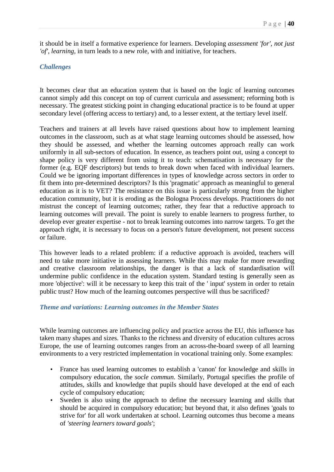it should be in itself a formative experience for learners. Developing *assessment 'for', not just 'of', learning,* in turn leads to a new role, with and initiative, for teachers.

## *Challenges*

It becomes clear that an education system that is based on the logic of learning outcomes cannot simply add this concept on top of current curricula and assessment; reforming both is necessary. The greatest sticking point in changing educational practice is to be found at upper secondary level (offering access to tertiary) and, to a lesser extent, at the tertiary level itself.

Teachers and trainers at all levels have raised questions about how to implement learning outcomes in the classroom, such as at what stage learning outcomes should be assessed, how they should be assessed, and whether the learning outcomes approach really can work uniformly in all sub-sectors of education. In essence, as teachers point out, using a concept to shape policy is very different from using it to teach: schematisation is necessary for the former (e.g. EQF descriptors) but tends to break down when faced with individual learners. Could we be ignoring important differences in types of knowledge across sectors in order to fit them into pre-determined descriptors? Is this 'pragmatic' approach as meaningful to general education as it is to VET? The resistance on this issue is particularly strong from the higher education community, but it is eroding as the Bologna Process develops. Practitioners do not mistrust the concept of learning outcomes; rather, they fear that a reductive approach to learning outcomes will prevail. The point is surely to enable learners to progress further, to develop ever greater expertise - not to break learning outcomes into narrow targets. To get the approach right, it is necessary to focus on a person's future development, not present success or failure.

This however leads to a related problem: if a reductive approach is avoided, teachers will need to take more initiative in assessing learners. While this may make for more rewarding and creative classroom relationships, the danger is that a lack of standardisation will undermine public confidence in the education system. Standard testing is generally seen as more 'objective': will it be necessary to keep this trait of the ' input' system in order to retain public trust? How much of the learning outcomes perspective will thus be sacrificed?

## *Theme and variations: Learning outcomes in the Member States*

While learning outcomes are influencing policy and practice across the EU, this influence has taken many shapes and sizes. Thanks to the richness and diversity of education cultures across Europe, the use of learning outcomes ranges from an across-the-board sweep of all learning environments to a very restricted implementation in vocational training only. Some examples:

- France has used learning outcomes to establish a 'canon' for knowledge and skills in compulsory education, the *socle commun.* Similarly, Portugal specifies the profile of attitudes, skills and knowledge that pupils should have developed at the end of each cycle of compulsory education;
- Sweden is also using the approach to define the necessary learning and skills that should be acquired in compulsory education; but beyond that, it also defines 'goals to strive for' for all work undertaken at school. Learning outcomes thus become a means of *'steering learners toward goals'*;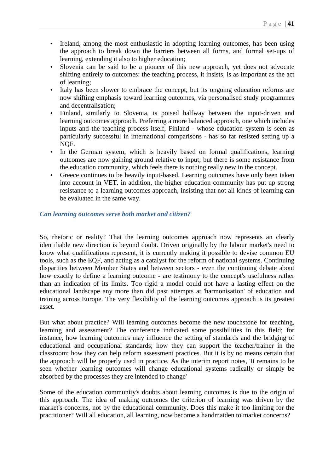- Ireland, among the most enthusiastic in adopting learning outcomes, has been using the approach to break down the barriers between all forms, and formal set-ups of learning, extending it also to higher education;
- Slovenia can be said to be a pioneer of this new approach, yet does not advocate shifting entirely to outcomes: the teaching process, it insists, is as important as the act of learning;
- Italy has been slower to embrace the concept, but its ongoing education reforms are now shifting emphasis toward learning outcomes, via personalised study programmes and decentralisation;
- Finland, similarly to Slovenia, is poised halfway between the input-driven and learning outcomes approach. Preferring a more balanced approach, one which includes inputs and the teaching process itself, Finland - whose education system is seen as particularly successful in international comparisons - has so far resisted setting up a NQF.
- In the German system, which is heavily based on formal qualifications, learning outcomes are now gaining ground relative to input; but there is some resistance from the education community, which feels there is nothing really new in the concept.
- Greece continues to be heavily input-based. Learning outcomes have only been taken into account in VET. in addition, the higher education community has put up strong resistance to a learning outcomes approach, insisting that not all kinds of learning can be evaluated in the same way.

## *Can learning outcomes serve both market and citizen?*

So, rhetoric or reality? That the learning outcomes approach now represents an clearly identifiable new direction is beyond doubt. Driven originally by the labour market's need to know what qualifications represent, it is currently making it possible to devise common EU tools, such as the EQF, and acting as a catalyst for the reform of national systems. Continuing disparities between Member States and between sectors - even the continuing debate about how exactly to define a learning outcome - are testimony to the concept's usefulness rather than an indication of its limits. Too rigid a model could not have a lasting effect on the educational landscape any more than did past attempts at 'harmonisation' of education and training across Europe. The very flexibility of the learning outcomes approach is its greatest asset.

But what about practice? Will learning outcomes become the new touchstone for teaching, learning and assessment? The conference indicated some possibilities in this field; for instance, how learning outcomes may influence the setting of standards and the bridging of educational and occupational standards; how they can support the teacher/trainer in the classroom; how they can help reform assessment practices. But it is by no means certain that the approach will be properly used in practice. As the interim report notes, 'It remains to be seen whether learning outcomes will change educational systems radically or simply be absorbed by the processes they are intended to change'

Some of the education community's doubts about learning outcomes is due to the origin of this approach. The idea of making outcomes the criterion of learning was driven by the market's concerns, not by the educational community. Does this make it too limiting for the practitioner? Will all education, all learning, now become a handmaiden to market concerns?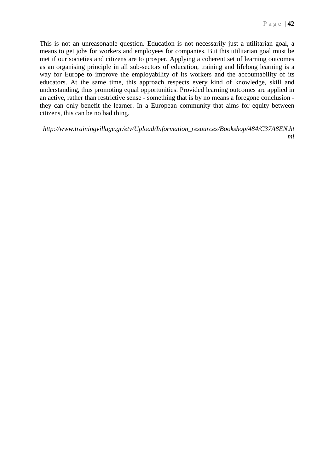This is not an unreasonable question. Education is not necessarily just a utilitarian goal, a means to get jobs for workers and employees for companies. But this utilitarian goal must be met if our societies and citizens are to prosper. Applying a coherent set of learning outcomes as an organising principle in all sub-sectors of education, training and lifelong learning is a way for Europe to improve the employability of its workers and the accountability of its educators. At the same time, this approach respects every kind of knowledge, skill and understanding, thus promoting equal opportunities. Provided learning outcomes are applied in an active, rather than restrictive sense - something that is by no means a foregone conclusion they can only benefit the learner. In a European community that aims for equity between citizens, this can be no bad thing.

*http://www.trainingvillage.gr/etv/Upload/Information\_resources/Bookshop/484/C37A8EN.ht ml*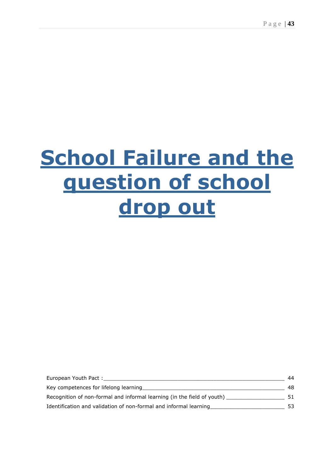# **School Failure and the question of school drop out**

| European Youth Pact:                                                    | 44 |
|-------------------------------------------------------------------------|----|
| Key competences for lifelong learning                                   | 48 |
| Recognition of non-formal and informal learning (in the field of youth) | 51 |
| Identification and validation of non-formal and informal learning       | 53 |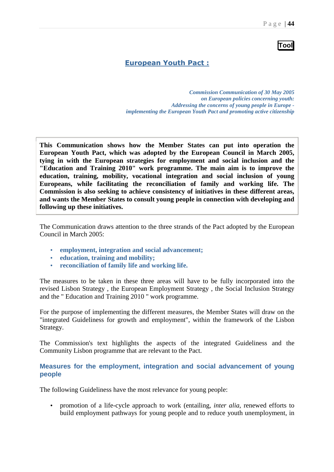**Tool**

# **European Youth Pact :**

*Commission Communication of 30 May 2005 on European policies concerning youth: Addressing the concerns of young people in Europe implementing the European Youth Pact and promoting active citizenship* 

**This Communication shows how the Member States can put into operation the European Youth Pact, which was adopted by the European Council in March 2005, tying in with the European strategies for employment and social inclusion and the "Education and Training 2010" work programme. The main aim is to improve the education, training, mobility, vocational integration and social inclusion of young Europeans, while facilitating the reconciliation of family and working life. The Commission is also seeking to achieve consistency of initiatives in these different areas, and wants the Member States to consult young people in connection with developing and following up these initiatives.** 

The Communication draws attention to the three strands of the Pact adopted by the European Council in March 2005:

- **employment, integration and social advancement;**
- **education, training and mobility;**
- **reconciliation of family life and working life.**

The measures to be taken in these three areas will have to be fully incorporated into the revised Lisbon Strategy , the European Employment Strategy , the Social Inclusion Strategy and the " Education and Training 2010 " work programme.

For the purpose of implementing the different measures, the Member States will draw on the "integrated Guideliness for growth and employment", within the framework of the Lisbon Strategy.

The Commission's text highlights the aspects of the integrated Guideliness and the Community Lisbon programme that are relevant to the Pact.

## **Measures for the employment, integration and social advancement of young people**

The following Guideliness have the most relevance for young people:

• promotion of a life-cycle approach to work (entailing, *inter alia*, renewed efforts to build employment pathways for young people and to reduce youth unemployment, in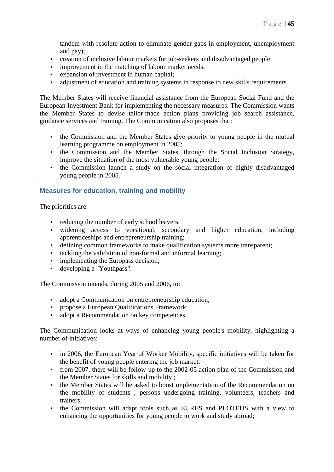tandem with resolute action to eliminate gender gaps in employment, unemployment and pay);

- creation of inclusive labour markets for job-seekers and disadvantaged people;
- improvement in the matching of labour market needs;
- expansion of investment in human capital;
- adjustment of education and training systems in response to new skills requirements.

The Member States will receive financial assistance from the European Social Fund and the European Investment Bank for implementing the necessary measures. The Commission wants the Member States to devise tailor-made action plans providing job search assistance, guidance services and training. The Communication also proposes that:

- the Commission and the Member States give priority to young people in the mutual learning programme on employment in 2005;
- the Commission and the Member States, through the Social Inclusion Strategy, improve the situation of the most vulnerable young people;
- the Commission launch a study on the social integration of highly disadvantaged young people in 2005.

## **Measures for education, training and mobility**

The priorities are:

- reducing the number of early school leavers;
- widening access to vocational, secondary and higher education, including apprenticeships and entrepreneurship training;
- defining common frameworks to make qualification systems more transparent;
- tackling the validation of non-formal and informal learning;
- implementing the Europass decision;
- developing a "Youthpass".

The Commission intends, during 2005 and 2006, to:

- adopt a Communication on entrepreneurship education;
- propose a European Qualifications Framework;
- adopt a Recommendation on key competences.

The Communication looks at ways of enhancing young people's mobility, highlighting a number of initiatives:

- in 2006, the European Year of Worker Mobility, specific initiatives will be taken for the benefit of young people entering the job market;
- from 2007, there will be follow-up to the 2002-05 action plan of the Commission and the Member States for skills and mobility ;
- the Member States will be asked to boost implementation of the Recommendation on the mobility of students , persons undergoing training, volunteers, teachers and trainers;
- the Commission will adapt tools such as EURES and PLOTEUS with a view to enhancing the opportunities for young people to work and study abroad;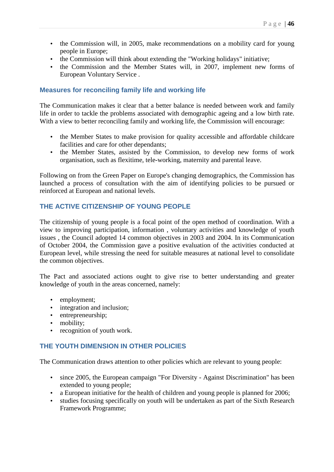- the Commission will, in 2005, make recommendations on a mobility card for young people in Europe;
- the Commission will think about extending the "Working holidays" initiative;
- the Commission and the Member States will, in 2007, implement new forms of European Voluntary Service .

## **Measures for reconciling family life and working life**

The Communication makes it clear that a better balance is needed between work and family life in order to tackle the problems associated with demographic ageing and a low birth rate. With a view to better reconciling family and working life, the Commission will encourage:

- the Member States to make provision for quality accessible and affordable childcare facilities and care for other dependants;
- the Member States, assisted by the Commission, to develop new forms of work organisation, such as flexitime, tele-working, maternity and parental leave.

Following on from the Green Paper on Europe's changing demographics, the Commission has launched a process of consultation with the aim of identifying policies to be pursued or reinforced at European and national levels.

## **THE ACTIVE CITIZENSHIP OF YOUNG PEOPLE**

The citizenship of young people is a focal point of the open method of coordination. With a view to improving participation, information , voluntary activities and knowledge of youth issues , the Council adopted 14 common objectives in 2003 and 2004. In its Communication of October 2004, the Commission gave a positive evaluation of the activities conducted at European level, while stressing the need for suitable measures at national level to consolidate the common objectives.

The Pact and associated actions ought to give rise to better understanding and greater knowledge of youth in the areas concerned, namely:

- employment;
- integration and inclusion;
- entrepreneurship;
- mobility;
- recognition of youth work.

## **THE YOUTH DIMENSION IN OTHER POLICIES**

The Communication draws attention to other policies which are relevant to young people:

- since 2005, the European campaign "For Diversity Against Discrimination" has been extended to young people;
- a European initiative for the health of children and young people is planned for 2006;
- studies focusing specifically on youth will be undertaken as part of the Sixth Research Framework Programme;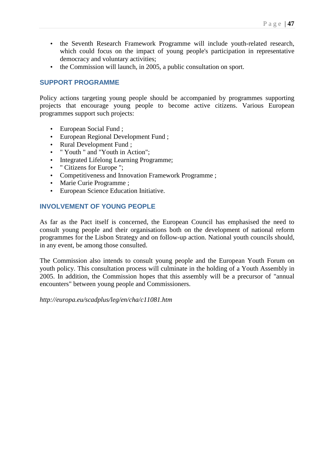- the Seventh Research Framework Programme will include youth-related research, which could focus on the impact of young people's participation in representative democracy and voluntary activities;
- the Commission will launch, in 2005, a public consultation on sport.

## **SUPPORT PROGRAMME**

Policy actions targeting young people should be accompanied by programmes supporting projects that encourage young people to become active citizens. Various European programmes support such projects:

- European Social Fund ;
- European Regional Development Fund ;
- Rural Development Fund ;
- " Youth " and "Youth in Action";
- Integrated Lifelong Learning Programme;
- " Citizens for Europe ";
- Competitiveness and Innovation Framework Programme ;
- Marie Curie Programme ;
- European Science Education Initiative.

# **INVOLVEMENT OF YOUNG PEOPLE**

As far as the Pact itself is concerned, the European Council has emphasised the need to consult young people and their organisations both on the development of national reform programmes for the Lisbon Strategy and on follow-up action. National youth councils should, in any event, be among those consulted.

The Commission also intends to consult young people and the European Youth Forum on youth policy. This consultation process will culminate in the holding of a Youth Assembly in 2005. In addition, the Commission hopes that this assembly will be a precursor of "annual encounters" between young people and Commissioners.

*http://europa.eu/scadplus/leg/en/cha/c11081.htm*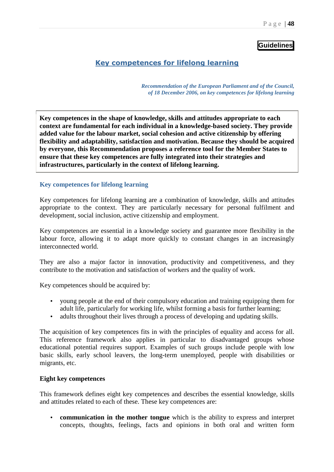## **Guidelines**

# **Key competences for lifelong learning**

*Recommendation of the European Parliament and of the Council, of 18 December 2006, on key competences for lifelong learning* 

**Key competences in the shape of knowledge, skills and attitudes appropriate to each context are fundamental for each individual in a knowledge-based society. They provide added value for the labour market, social cohesion and active citizenship by offering flexibility and adaptability, satisfaction and motivation. Because they should be acquired by everyone, this Recommendation proposes a reference tool for the Member States to ensure that these key competences are fully integrated into their strategies and infrastructures, particularly in the context of lifelong learning.** 

## **Key competences for lifelong learning**

Key competences for lifelong learning are a combination of knowledge, skills and attitudes appropriate to the context. They are particularly necessary for personal fulfilment and development, social inclusion, active citizenship and employment.

Key competences are essential in a knowledge society and guarantee more flexibility in the labour force, allowing it to adapt more quickly to constant changes in an increasingly interconnected world.

They are also a major factor in innovation, productivity and competitiveness, and they contribute to the motivation and satisfaction of workers and the quality of work.

Key competences should be acquired by:

- young people at the end of their compulsory education and training equipping them for adult life, particularly for working life, whilst forming a basis for further learning;
- adults throughout their lives through a process of developing and updating skills.

The acquisition of key competences fits in with the principles of equality and access for all. This reference framework also applies in particular to disadvantaged groups whose educational potential requires support. Examples of such groups include people with low basic skills, early school leavers, the long-term unemployed, people with disabilities or migrants, etc.

## **Eight key competences**

This framework defines eight key competences and describes the essential knowledge, skills and attitudes related to each of these. These key competences are:

• **communication in the mother tongue** which is the ability to express and interpret concepts, thoughts, feelings, facts and opinions in both oral and written form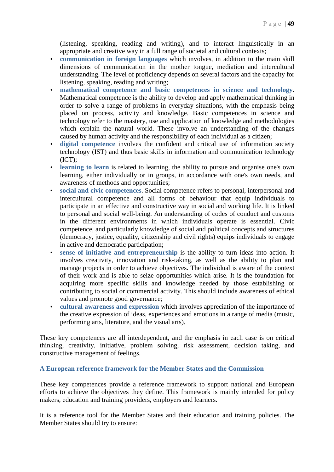(listening, speaking, reading and writing), and to interact linguistically in an appropriate and creative way in a full range of societal and cultural contexts;

- **communication in foreign languages** which involves, in addition to the main skill dimensions of communication in the mother tongue, mediation and intercultural understanding. The level of proficiency depends on several factors and the capacity for listening, speaking, reading and writing;
- **mathematical competence and basic competences in science and technology**. Mathematical competence is the ability to develop and apply mathematical thinking in order to solve a range of problems in everyday situations, with the emphasis being placed on process, activity and knowledge. Basic competences in science and technology refer to the mastery, use and application of knowledge and methodologies which explain the natural world. These involve an understanding of the changes caused by human activity and the responsibility of each individual as a citizen;
- digital competence involves the confident and critical use of information society technology (IST) and thus basic skills in information and communication technology (ICT);
- **learning to learn** is related to learning, the ability to pursue and organise one's own learning, either individually or in groups, in accordance with one's own needs, and awareness of methods and opportunities;
- **social and civic competences**. Social competence refers to personal, interpersonal and intercultural competence and all forms of behaviour that equip individuals to participate in an effective and constructive way in social and working life. It is linked to personal and social well-being. An understanding of codes of conduct and customs in the different environments in which individuals operate is essential. Civic competence, and particularly knowledge of social and political concepts and structures (democracy, justice, equality, citizenship and civil rights) equips individuals to engage in active and democratic participation;
- sense of initiative and entrepreneurship is the ability to turn ideas into action. It involves creativity, innovation and risk-taking, as well as the ability to plan and manage projects in order to achieve objectives. The individual is aware of the context of their work and is able to seize opportunities which arise. It is the foundation for acquiring more specific skills and knowledge needed by those establishing or contributing to social or commercial activity. This should include awareness of ethical values and promote good governance;
- **cultural awareness and expression** which involves appreciation of the importance of the creative expression of ideas, experiences and emotions in a range of media (music, performing arts, literature, and the visual arts).

These key competences are all interdependent, and the emphasis in each case is on critical thinking, creativity, initiative, problem solving, risk assessment, decision taking, and constructive management of feelings.

## **A European reference framework for the Member States and the Commission**

These key competences provide a reference framework to support national and European efforts to achieve the objectives they define. This framework is mainly intended for policy makers, education and training providers, employers and learners.

It is a reference tool for the Member States and their education and training policies. The Member States should try to ensure: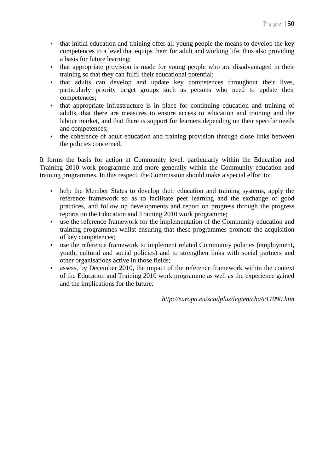- that initial education and training offer all young people the means to develop the key competences to a level that equips them for adult and working life, thus also providing a basis for future learning;
- that appropriate provision is made for young people who are disadvantaged in their training so that they can fulfil their educational potential;
- that adults can develop and update key competences throughout their lives, particularly priority target groups such as persons who need to update their competences;
- that appropriate infrastructure is in place for continuing education and training of adults, that there are measures to ensure access to education and training and the labour market, and that there is support for learners depending on their specific needs and competences;
- the coherence of adult education and training provision through close links between the policies concerned.

It forms the basis for action at Community level, particularly within the Education and Training 2010 work programme and more generally within the Community education and training programmes. In this respect, the Commission should make a special effort to:

- help the Member States to develop their education and training systems, apply the reference framework so as to facilitate peer learning and the exchange of good practices, and follow up developments and report on progress through the progress reports on the Education and Training 2010 work programme;
- use the reference framework for the implementation of the Community education and training programmes whilst ensuring that these programmes promote the acquisition of key competences;
- use the reference framework to implement related Community policies (employment, youth, cultural and social policies) and to strengthen links with social partners and other organisations active in those fields;
- assess, by December 2010, the impact of the reference framework within the context of the Education and Training 2010 work programme as well as the experience gained and the implications for the future.

*http://europa.eu/scadplus/leg/en/cha/c11090.htm*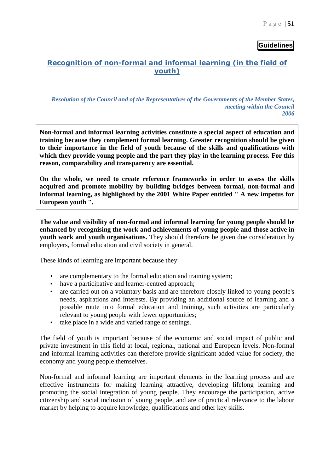# **Guidelines**

# **Recognition of non-formal and informal learning (in the field of youth)**

*Resolution of the Council and of the Representatives of the Governments of the Member States, meeting within the Council 2006* 

**Non-formal and informal learning activities constitute a special aspect of education and training because they complement formal learning. Greater recognition should be given to their importance in the field of youth because of the skills and qualifications with which they provide young people and the part they play in the learning process. For this reason, comparability and transparency are essential.** 

**On the whole, we need to create reference frameworks in order to assess the skills acquired and promote mobility by building bridges between formal, non-formal and informal learning, as highlighted by the 2001 White Paper entitled " A new impetus for European youth ".** 

**The value and visibility of non-formal and informal learning for young people should be enhanced by recognising the work and achievements of young people and those active in youth work and youth organisations.** They should therefore be given due consideration by employers, formal education and civil society in general.

These kinds of learning are important because they:

- are complementary to the formal education and training system;
- have a participative and learner-centred approach;
- are carried out on a voluntary basis and are therefore closely linked to young people's needs, aspirations and interests. By providing an additional source of learning and a possible route into formal education and training, such activities are particularly relevant to young people with fewer opportunities;
- take place in a wide and varied range of settings.

The field of youth is important because of the economic and social impact of public and private investment in this field at local, regional, national and European levels. Non-formal and informal learning activities can therefore provide significant added value for society, the economy and young people themselves.

Non-formal and informal learning are important elements in the learning process and are effective instruments for making learning attractive, developing lifelong learning and promoting the social integration of young people. They encourage the participation, active citizenship and social inclusion of young people, and are of practical relevance to the labour market by helping to acquire knowledge, qualifications and other key skills.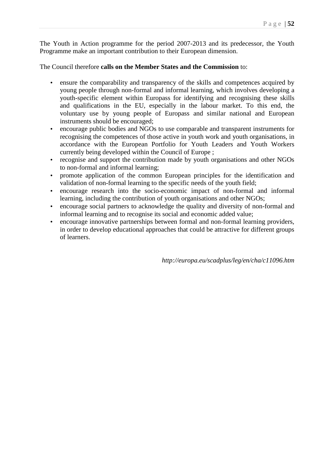The Youth in Action programme for the period 2007-2013 and its predecessor, the Youth Programme make an important contribution to their European dimension.

The Council therefore **calls on the Member States and the Commission** to:

- ensure the comparability and transparency of the skills and competences acquired by young people through non-formal and informal learning, which involves developing a youth-specific element within Europass for identifying and recognising these skills and qualifications in the EU, especially in the labour market. To this end, the voluntary use by young people of Europass and similar national and European instruments should be encouraged;
- encourage public bodies and NGOs to use comparable and transparent instruments for recognising the competences of those active in youth work and youth organisations, in accordance with the European Portfolio for Youth Leaders and Youth Workers currently being developed within the Council of Europe ;
- recognise and support the contribution made by youth organisations and other NGOs to non-formal and informal learning;
- promote application of the common European principles for the identification and validation of non-formal learning to the specific needs of the youth field;
- encourage research into the socio-economic impact of non-formal and informal learning, including the contribution of youth organisations and other NGOs;
- encourage social partners to acknowledge the quality and diversity of non-formal and informal learning and to recognise its social and economic added value;
- encourage innovative partnerships between formal and non-formal learning providers, in order to develop educational approaches that could be attractive for different groups of learners.

*http://europa.eu/scadplus/leg/en/cha/c11096.htm*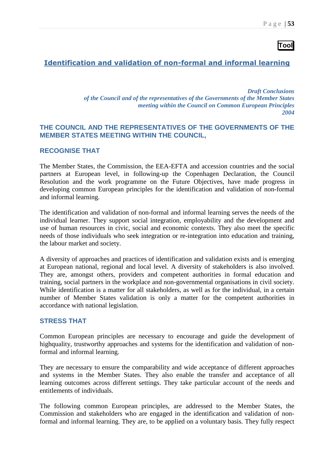# **Tool**

# **Identification and validation of non-formal and informal learning**

*Draft Conclusions of the Council and of the representatives of the Governments of the Member States meeting within the Council on Common European Principles 2004* 

## **THE COUNCIL AND THE REPRESENTATIVES OF THE GOVERNMENTS OF THE MEMBER STATES MEETING WITHIN THE COUNCIL,**

# **RECOGNISE THAT**

The Member States, the Commission, the EEA-EFTA and accession countries and the social partners at European level, in following-up the Copenhagen Declaration, the Council Resolution and the work programme on the Future Objectives, have made progress in developing common European principles for the identification and validation of non-formal and informal learning.

The identification and validation of non-formal and informal learning serves the needs of the individual learner. They support social integration, employability and the development and use of human resources in civic, social and economic contexts. They also meet the specific needs of those individuals who seek integration or re-integration into education and training, the labour market and society.

A diversity of approaches and practices of identification and validation exists and is emerging at European national, regional and local level. A diversity of stakeholders is also involved. They are, amongst others, providers and competent authorities in formal education and training, social partners in the workplace and non-governmental organisations in civil society. While identification is a matter for all stakeholders, as well as for the individual, in a certain number of Member States validation is only a matter for the competent authorities in accordance with national legislation.

## **STRESS THAT**

Common European principles are necessary to encourage and guide the development of highquality, trustworthy approaches and systems for the identification and validation of nonformal and informal learning.

They are necessary to ensure the comparability and wide acceptance of different approaches and systems in the Member States. They also enable the transfer and acceptance of all learning outcomes across different settings. They take particular account of the needs and entitlements of individuals.

The following common European principles, are addressed to the Member States, the Commission and stakeholders who are engaged in the identification and validation of nonformal and informal learning. They are, to be applied on a voluntary basis. They fully respect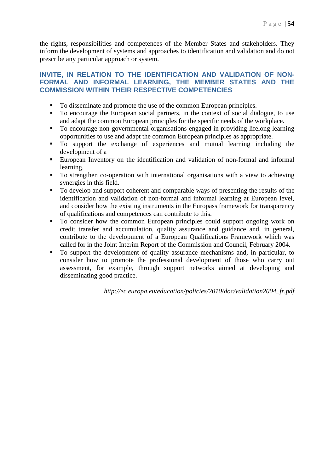the rights, responsibilities and competences of the Member States and stakeholders. They inform the development of systems and approaches to identification and validation and do not prescribe any particular approach or system.

## **INVITE, IN RELATION TO THE IDENTIFICATION AND VALIDATION OF NON-FORMAL AND INFORMAL LEARNING, THE MEMBER STATES AND THE COMMISSION WITHIN THEIR RESPECTIVE COMPETENCIES**

- $\blacksquare$  To disseminate and promote the use of the common European principles.
- To encourage the European social partners, in the context of social dialogue, to use and adapt the common European principles for the specific needs of the workplace.
- To encourage non-governmental organisations engaged in providing lifelong learning opportunities to use and adapt the common European principles as appropriate.
- - To support the exchange of experiences and mutual learning including the development of a
- **European Inventory on the identification and validation of non-formal and informal** learning.
- - To strengthen co-operation with international organisations with a view to achieving synergies in this field.
- - To develop and support coherent and comparable ways of presenting the results of the identification and validation of non-formal and informal learning at European level, and consider how the existing instruments in the Europass framework for transparency of qualifications and competences can contribute to this.
- - To consider how the common European principles could support ongoing work on credit transfer and accumulation, quality assurance and guidance and, in general, contribute to the development of a European Qualifications Framework which was called for in the Joint Interim Report of the Commission and Council, February 2004.
- - To support the development of quality assurance mechanisms and, in particular, to consider how to promote the professional development of those who carry out assessment, for example, through support networks aimed at developing and disseminating good practice.

*http://ec.europa.eu/education/policies/2010/doc/validation2004\_fr.pdf*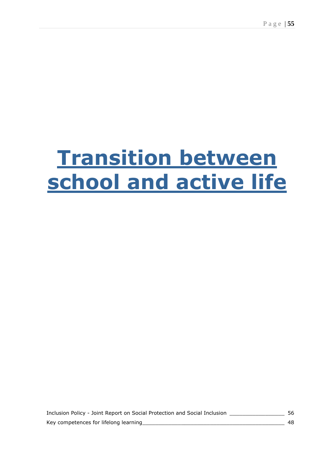# **Transition between school and active life**

Inclusion Policy - Joint Report on Social Protection and Social Inclusion \_\_\_\_\_\_\_\_\_\_\_\_\_\_\_\_\_\_\_\_\_\_\_ 56 Key competences for lifelong learning 200 and 200 and 200 and 200 and 200 and 200 and 200 and 200 and 200 and 200 and 200 and 200 and 200 and 200 and 200 and 200 and 200 and 200 and 200 and 200 and 200 and 200 and 200 and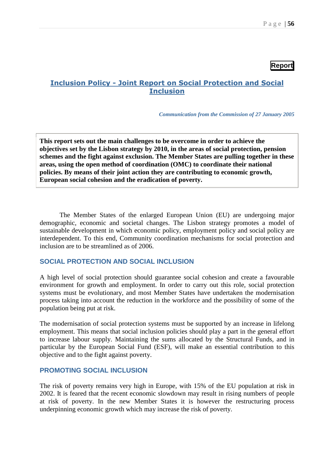## **Report**

# **Inclusion Policy - Joint Report on Social Protection and Social Inclusion**

*Communication from the Commission of 27 January 2005* 

**This report sets out the main challenges to be overcome in order to achieve the objectives set by the Lisbon strategy by 2010, in the areas of social protection, pension schemes and the fight against exclusion. The Member States are pulling together in these areas, using the open method of coordination (OMC) to coordinate their national policies. By means of their joint action they are contributing to economic growth, European social cohesion and the eradication of poverty.** 

The Member States of the enlarged European Union (EU) are undergoing major demographic, economic and societal changes. The Lisbon strategy promotes a model of sustainable development in which economic policy, employment policy and social policy are interdependent. To this end, Community coordination mechanisms for social protection and inclusion are to be streamlined as of 2006.

## **SOCIAL PROTECTION AND SOCIAL INCLUSION**

A high level of social protection should guarantee social cohesion and create a favourable environment for growth and employment. In order to carry out this role, social protection systems must be evolutionary, and most Member States have undertaken the modernisation process taking into account the reduction in the workforce and the possibility of some of the population being put at risk.

The modernisation of social protection systems must be supported by an increase in lifelong employment. This means that social inclusion policies should play a part in the general effort to increase labour supply. Maintaining the sums allocated by the Structural Funds, and in particular by the European Social Fund (ESF), will make an essential contribution to this objective and to the fight against poverty.

## **PROMOTING SOCIAL INCLUSION**

The risk of poverty remains very high in Europe, with 15% of the EU population at risk in 2002. It is feared that the recent economic slowdown may result in rising numbers of people at risk of poverty. In the new Member States it is however the restructuring process underpinning economic growth which may increase the risk of poverty.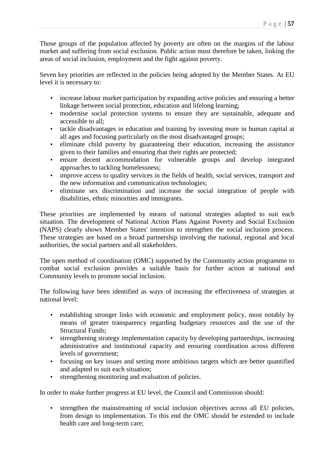Those groups of the population affected by poverty are often on the margins of the labour market and suffering from social exclusion. Public action must therefore be taken, linking the areas of social inclusion, employment and the fight against poverty.

Seven key priorities are reflected in the policies being adopted by the Member States. At EU level it is necessary to:

- increase labour market participation by expanding active policies and ensuring a better linkage between social protection, education and lifelong learning;
- modernise social protection systems to ensure they are sustainable, adequate and accessible to all;
- tackle disadvantages in education and training by investing more in human capital at all ages and focusing particularly on the most disadvantaged groups;
- eliminate child poverty by guaranteeing their education, increasing the assistance given to their families and ensuring that their rights are protected;
- ensure decent accommodation for vulnerable groups and develop integrated approaches to tackling homelessness;
- improve access to quality services in the fields of health, social services, transport and the new information and communication technologies;
- eliminate sex discrimination and increase the social integration of people with disabilities, ethnic minorities and immigrants.

These priorities are implemented by means of national strategies adapted to suit each situation. The development of National Action Plans Against Poverty and Social Exclusion (NAPS) clearly shows Member States' intention to strengthen the social inclusion process. These strategies are based on a broad partnership involving the national, regional and local authorities, the social partners and all stakeholders.

The open method of coordination (OMC) supported by the Community action programme to combat social exclusion provides a suitable basis for further action at national and Community levels to promote social inclusion.

The following have been identified as ways of increasing the effectiveness of strategies at national level:

- establishing stronger links with economic and employment policy, most notably by means of greater transparency regarding budgetary resources and the use of the Structural Funds;
- strengthening strategy implementation capacity by developing partnerships, increasing administrative and institutional capacity and ensuring coordination across different levels of government;
- focusing on key issues and setting more ambitious targets which are better quantified and adapted to suit each situation;
- strengthening monitoring and evaluation of policies.

In order to make further progress at EU level, the Council and Commission should:

• strengthen the mainstreaming of social inclusion objectives across all EU policies, from design to implementation. To this end the OMC should be extended to include health care and long-term care;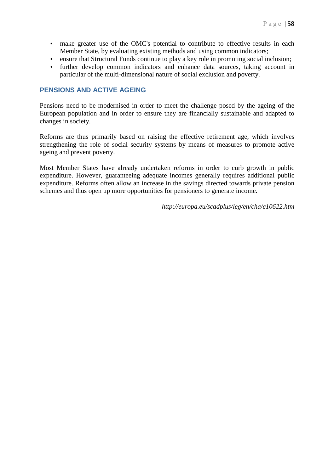- make greater use of the OMC's potential to contribute to effective results in each Member State, by evaluating existing methods and using common indicators;
- ensure that Structural Funds continue to play a key role in promoting social inclusion;
- further develop common indicators and enhance data sources, taking account in particular of the multi-dimensional nature of social exclusion and poverty.

## **PENSIONS AND ACTIVE AGEING**

Pensions need to be modernised in order to meet the challenge posed by the ageing of the European population and in order to ensure they are financially sustainable and adapted to changes in society.

Reforms are thus primarily based on raising the effective retirement age, which involves strengthening the role of social security systems by means of measures to promote active ageing and prevent poverty.

Most Member States have already undertaken reforms in order to curb growth in public expenditure. However, guaranteeing adequate incomes generally requires additional public expenditure. Reforms often allow an increase in the savings directed towards private pension schemes and thus open up more opportunities for pensioners to generate income.

*http://europa.eu/scadplus/leg/en/cha/c10622.htm*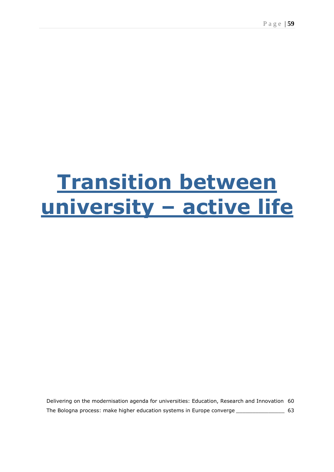# **Transition between university – active life**

Delivering on the modernisation agenda for universities: Education, Research and Innovation 60 The Bologna process: make higher education systems in Europe converge \_\_\_\_\_\_\_\_\_\_\_\_\_\_\_\_\_ 63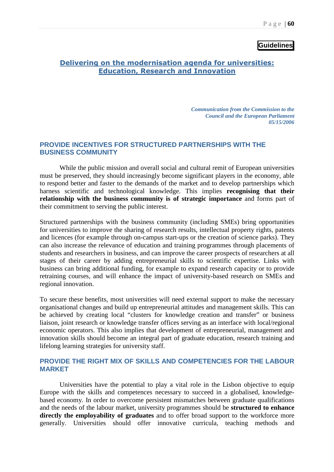## **Guidelines**

## **Delivering on the modernisation agenda for universities: Education, Research and Innovation**

*Communication from the Commission to the Council and the European Parliament 05/15/2006* 

## **PROVIDE INCENTIVES FOR STRUCTURED PARTNERSHIPS WITH THE BUSINESS COMMUNITY**

While the public mission and overall social and cultural remit of European universities must be preserved, they should increasingly become significant players in the economy, able to respond better and faster to the demands of the market and to develop partnerships which harness scientific and technological knowledge. This implies **recognising that their relationship with the business community is of strategic importance** and forms part of their commitment to serving the public interest.

Structured partnerships with the business community (including SMEs) bring opportunities for universities to improve the sharing of research results, intellectual property rights, patents and licences (for example through on-campus start-ups or the creation of science parks). They can also increase the relevance of education and training programmes through placements of students and researchers in business, and can improve the career prospects of researchers at all stages of their career by adding entrepreneurial skills to scientific expertise. Links with business can bring additional funding, for example to expand research capacity or to provide retraining courses, and will enhance the impact of university-based research on SMEs and regional innovation.

To secure these benefits, most universities will need external support to make the necessary organisational changes and build up entrepreneurial attitudes and management skills. This can be achieved by creating local "clusters for knowledge creation and transfer" or business liaison, joint research or knowledge transfer offices serving as an interface with local/regional economic operators. This also implies that development of entrepreneurial, management and innovation skills should become an integral part of graduate education, research training and lifelong learning strategies for university staff.

## **PROVIDE THE RIGHT MIX OF SKILLS AND COMPETENCIES FOR THE LABOUR MARKET**

Universities have the potential to play a vital role in the Lisbon objective to equip Europe with the skills and competences necessary to succeed in a globalised, knowledgebased economy. In order to overcome persistent mismatches between graduate qualifications and the needs of the labour market, university programmes should be **structured to enhance directly the employability of graduates** and to offer broad support to the workforce more generally. Universities should offer innovative curricula, teaching methods and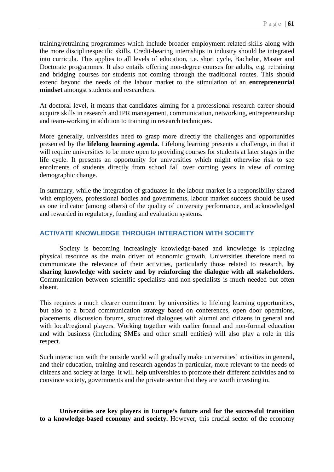training/retraining programmes which include broader employment-related skills along with the more disciplinespecific skills. Credit-bearing internships in industry should be integrated into curricula. This applies to all levels of education, i.e. short cycle, Bachelor, Master and Doctorate programmes. It also entails offering non-degree courses for adults, e.g. retraining and bridging courses for students not coming through the traditional routes. This should extend beyond the needs of the labour market to the stimulation of an **entrepreneurial mindset** amongst students and researchers.

At doctoral level, it means that candidates aiming for a professional research career should acquire skills in research and IPR management, communication, networking, entrepreneurship and team-working in addition to training in research techniques.

More generally, universities need to grasp more directly the challenges and opportunities presented by the **lifelong learning agenda**. Lifelong learning presents a challenge, in that it will require universities to be more open to providing courses for students at later stages in the life cycle. It presents an opportunity for universities which might otherwise risk to see enrolments of students directly from school fall over coming years in view of coming demographic change.

In summary, while the integration of graduates in the labour market is a responsibility shared with employers, professional bodies and governments, labour market success should be used as one indicator (among others) of the quality of university performance, and acknowledged and rewarded in regulatory, funding and evaluation systems.

## **ACTIVATE KNOWLEDGE THROUGH INTERACTION WITH SOCIETY**

Society is becoming increasingly knowledge-based and knowledge is replacing physical resource as the main driver of economic growth. Universities therefore need to communicate the relevance of their activities, particularly those related to research, **by sharing knowledge with society and by reinforcing the dialogue with all stakeholders**. Communication between scientific specialists and non-specialists is much needed but often absent.

This requires a much clearer commitment by universities to lifelong learning opportunities, but also to a broad communication strategy based on conferences, open door operations, placements, discussion forums, structured dialogues with alumni and citizens in general and with local/regional players. Working together with earlier formal and non-formal education and with business (including SMEs and other small entities) will also play a role in this respect.

Such interaction with the outside world will gradually make universities' activities in general, and their education, training and research agendas in particular, more relevant to the needs of citizens and society at large. It will help universities to promote their different activities and to convince society, governments and the private sector that they are worth investing in.

**Universities are key players in Europe's future and for the successful transition to a knowledge-based economy and society.** However, this crucial sector of the economy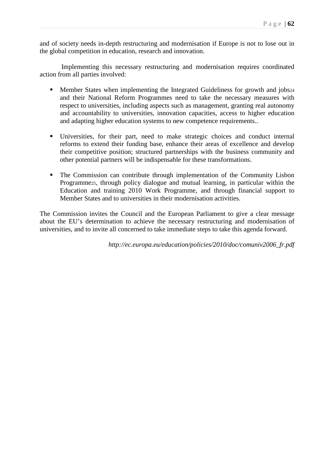and of society needs in-depth restructuring and modernisation if Europe is not to lose out in the global competition in education, research and innovation.

 Implementing this necessary restructuring and modernisation requires coordinated action from all parties involved:

- **In Member States when implementing the Integrated Guideliness for growth and jobs24** and their National Reform Programmes need to take the necessary measures with respect to universities, including aspects such as management, granting real autonomy and accountability to universities, innovation capacities, access to higher education and adapting higher education systems to new competence requirements..
- Universities, for their part, need to make strategic choices and conduct internal reforms to extend their funding base, enhance their areas of excellence and develop their competitive position; structured partnerships with the business community and other potential partners will be indispensable for these transformations.
- - The Commission can contribute through implementation of the Community Lisbon Programme25, through policy dialogue and mutual learning, in particular within the Education and training 2010 Work Programme, and through financial support to Member States and to universities in their modernisation activities.

The Commission invites the Council and the European Parliament to give a clear message about the EU's determination to achieve the necessary restructuring and modernisation of universities, and to invite all concerned to take immediate steps to take this agenda forward.

*http://ec.europa.eu/education/policies/2010/doc/comuniv2006\_fr.pdf*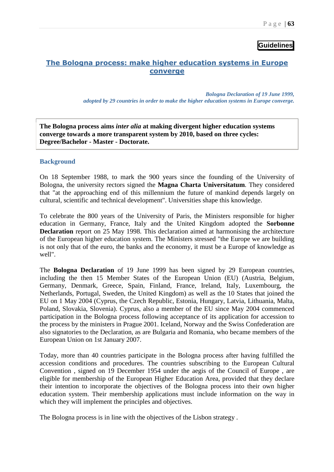**Guidelines**

# **The Bologna process: make higher education systems in Europe converge**

*Bologna Declaration of 19 June 1999, adopted by 29 countries in order to make the higher education systems in Europe converge.* 

**The Bologna process aims** *inter alia* **at making divergent higher education systems converge towards a more transparent system by 2010, based on three cycles: Degree/Bachelor - Master - Doctorate.** 

#### **Background**

On 18 September 1988, to mark the 900 years since the founding of the University of Bologna, the university rectors signed the **Magna Charta Universitatum**. They considered that "at the approaching end of this millennium the future of mankind depends largely on cultural, scientific and technical development". Universities shape this knowledge.

To celebrate the 800 years of the University of Paris, the Ministers responsible for higher education in Germany, France, Italy and the United Kingdom adopted the **Sorbonne Declaration** report on 25 May 1998. This declaration aimed at harmonising the architecture of the European higher education system. The Ministers stressed "the Europe we are building is not only that of the euro, the banks and the economy, it must be a Europe of knowledge as well".

The **Bologna Declaration** of 19 June 1999 has been signed by 29 European countries, including the then 15 Member States of the European Union (EU) (Austria, Belgium, Germany, Denmark, Greece, Spain, Finland, France, Ireland, Italy, Luxembourg, the Netherlands, Portugal, Sweden, the United Kingdom) as well as the 10 States that joined the EU on 1 May 2004 (Cyprus, the Czech Republic, Estonia, Hungary, Latvia, Lithuania, Malta, Poland, Slovakia, Slovenia). Cyprus, also a member of the EU since May 2004 commenced participation in the Bologna process following acceptance of its application for accession to the process by the ministers in Prague 2001. Iceland, Norway and the Swiss Confederation are also signatories to the Declaration, as are Bulgaria and Romania, who became members of the European Union on 1st January 2007.

Today, more than 40 countries participate in the Bologna process after having fulfilled the accession conditions and procedures. The countries subscribing to the European Cultural Convention , signed on 19 December 1954 under the aegis of the Council of Europe , are eligible for membership of the European Higher Education Area, provided that they declare their intention to incorporate the objectives of the Bologna process into their own higher education system. Their membership applications must include information on the way in which they will implement the principles and objectives.

The Bologna process is in line with the objectives of the Lisbon strategy .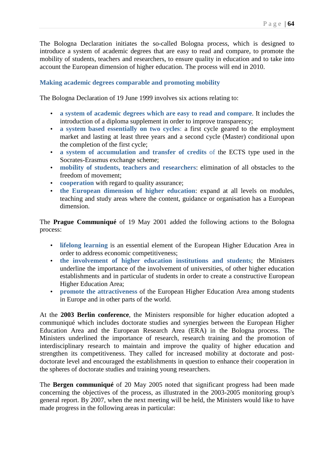The Bologna Declaration initiates the so-called Bologna process, which is designed to introduce a system of academic degrees that are easy to read and compare, to promote the mobility of students, teachers and researchers, to ensure quality in education and to take into account the European dimension of higher education. The process will end in 2010.

## **Making academic degrees comparable and promoting mobility**

The Bologna Declaration of 19 June 1999 involves six actions relating to:

- **a system of academic degrees which are easy to read and compare**. It includes the introduction of a diploma supplement in order to improve transparency;
- **a system based essentially on two cycles**: a first cycle geared to the employment market and lasting at least three years and a second cycle (Master) conditional upon the completion of the first cycle;
- **a system of accumulation and transfer of credits** of the ECTS type used in the Socrates-Erasmus exchange scheme;
- **mobility of students, teachers and researchers**: elimination of all obstacles to the freedom of movement;
- **cooperation** with regard to quality assurance;
- **the European dimension of higher education**: expand at all levels on modules, teaching and study areas where the content, guidance or organisation has a European dimension.

The **Prague Communiqué** of 19 May 2001 added the following actions to the Bologna process:

- **lifelong learning** is an essential element of the European Higher Education Area in order to address economic competitiveness;
- **the involvement of higher education institutions and students**; the Ministers underline the importance of the involvement of universities, of other higher education establishments and in particular of students in order to create a constructive European Higher Education Area;
- **promote the attractiveness** of the European Higher Education Area among students in Europe and in other parts of the world.

At the **2003 Berlin conference**, the Ministers responsible for higher education adopted a communiqué which includes doctorate studies and synergies between the European Higher Education Area and the European Research Area (ERA) in the Bologna process. The Ministers underlined the importance of research, research training and the promotion of interdisciplinary research to maintain and improve the quality of higher education and strengthen its competitiveness. They called for increased mobility at doctorate and postdoctorate level and encouraged the establishments in question to enhance their cooperation in the spheres of doctorate studies and training young researchers.

The **Bergen communiqué** of 20 May 2005 noted that significant progress had been made concerning the objectives of the process, as illustrated in the 2003-2005 monitoring group's general report. By 2007, when the next meeting will be held, the Ministers would like to have made progress in the following areas in particular: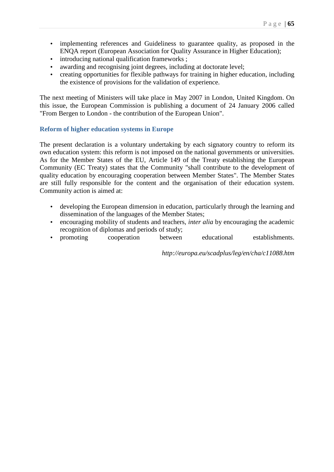- implementing references and Guideliness to guarantee quality, as proposed in the ENQA report (European Association for Quality Assurance in Higher Education);
- introducing national qualification frameworks ;
- awarding and recognising joint degrees, including at doctorate level;
- creating opportunities for flexible pathways for training in higher education, including the existence of provisions for the validation of experience.

The next meeting of Ministers will take place in May 2007 in London, United Kingdom. On this issue, the European Commission is publishing a document of 24 January 2006 called "From Bergen to London - the contribution of the European Union".

## **Reform of higher education systems in Europe**

The present declaration is a voluntary undertaking by each signatory country to reform its own education system: this reform is not imposed on the national governments or universities. As for the Member States of the EU, Article 149 of the Treaty establishing the European Community (EC Treaty) states that the Community "shall contribute to the development of quality education by encouraging cooperation between Member States". The Member States are still fully responsible for the content and the organisation of their education system. Community action is aimed at:

- developing the European dimension in education, particularly through the learning and dissemination of the languages of the Member States;
- encouraging mobility of students and teachers, *inter alia* by encouraging the academic recognition of diplomas and periods of study;
- promoting cooperation between educational establishments.

*http://europa.eu/scadplus/leg/en/cha/c11088.htm*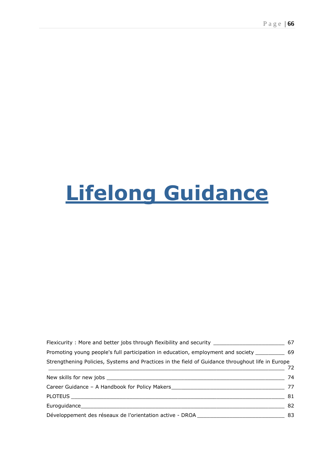# **Lifelong Guidance**

| Flexicurity: More and better jobs through flexibility and security ______________                  | -67 |
|----------------------------------------------------------------------------------------------------|-----|
| Promoting young people's full participation in education, employment and society ______________ 69 |     |
| Strengthening Policies, Systems and Practices in the field of Guidance throughout life in Europe   | 72  |
|                                                                                                    | 74  |
| Career Guidance - A Handbook for Policy Makers__________________________________                   | 77  |
|                                                                                                    | 81  |
|                                                                                                    | 82  |
| Développement des réseaux de l'orientation active - DROA _______________________                   | 83  |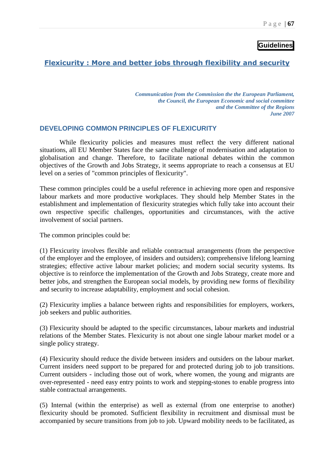# **Guidelines**

# **Flexicurity : More and better jobs through flexibility and security**

*Communication from the Commission the the European Parliament, the Council, the European Economic and social committee and the Committee of the Regions June 2007* 

## **DEVELOPING COMMON PRINCIPLES OF FLEXICURITY**

While flexicurity policies and measures must reflect the very different national situations, all EU Member States face the same challenge of modernisation and adaptation to globalisation and change. Therefore, to facilitate national debates within the common objectives of the Growth and Jobs Strategy, it seems appropriate to reach a consensus at EU level on a series of "common principles of flexicurity".

These common principles could be a useful reference in achieving more open and responsive labour markets and more productive workplaces. They should help Member States in the establishment and implementation of flexicurity strategies which fully take into account their own respective specific challenges, opportunities and circumstances, with the active involvement of social partners.

The common principles could be:

(1) Flexicurity involves flexible and reliable contractual arrangements (from the perspective of the employer and the employee, of insiders and outsiders); comprehensive lifelong learning strategies; effective active labour market policies; and modern social security systems. Its objective is to reinforce the implementation of the Growth and Jobs Strategy, create more and better jobs, and strengthen the European social models, by providing new forms of flexibility and security to increase adaptability, employment and social cohesion.

(2) Flexicurity implies a balance between rights and responsibilities for employers, workers, job seekers and public authorities.

(3) Flexicurity should be adapted to the specific circumstances, labour markets and industrial relations of the Member States. Flexicurity is not about one single labour market model or a single policy strategy.

(4) Flexicurity should reduce the divide between insiders and outsiders on the labour market. Current insiders need support to be prepared for and protected during job to job transitions. Current outsiders - including those out of work, where women, the young and migrants are over-represented - need easy entry points to work and stepping-stones to enable progress into stable contractual arrangements.

(5) Internal (within the enterprise) as well as external (from one enterprise to another) flexicurity should be promoted. Sufficient flexibility in recruitment and dismissal must be accompanied by secure transitions from job to job. Upward mobility needs to be facilitated, as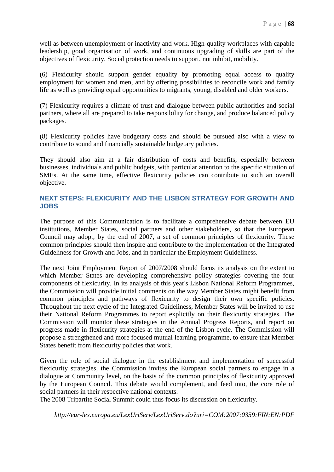well as between unemployment or inactivity and work. High-quality workplaces with capable leadership, good organisation of work, and continuous upgrading of skills are part of the objectives of flexicurity. Social protection needs to support, not inhibit, mobility.

(6) Flexicurity should support gender equality by promoting equal access to quality employment for women and men, and by offering possibilities to reconcile work and family life as well as providing equal opportunities to migrants, young, disabled and older workers.

(7) Flexicurity requires a climate of trust and dialogue between public authorities and social partners, where all are prepared to take responsibility for change, and produce balanced policy packages.

(8) Flexicurity policies have budgetary costs and should be pursued also with a view to contribute to sound and financially sustainable budgetary policies.

They should also aim at a fair distribution of costs and benefits, especially between businesses, individuals and public budgets, with particular attention to the specific situation of SMEs. At the same time, effective flexicurity policies can contribute to such an overall objective.

# **NEXT STEPS: FLEXICURITY AND THE LISBON STRATEGY FOR GROWTH AND JOBS**

The purpose of this Communication is to facilitate a comprehensive debate between EU institutions, Member States, social partners and other stakeholders, so that the European Council may adopt, by the end of 2007, a set of common principles of flexicurity. These common principles should then inspire and contribute to the implementation of the Integrated Guideliness for Growth and Jobs, and in particular the Employment Guideliness.

The next Joint Employment Report of 2007/2008 should focus its analysis on the extent to which Member States are developing comprehensive policy strategies covering the four components of flexicurity. In its analysis of this year's Lisbon National Reform Programmes, the Commission will provide initial comments on the way Member States might benefit from common principles and pathways of flexicurity to design their own specific policies. Throughout the next cycle of the Integrated Guideliness, Member States will be invited to use their National Reform Programmes to report explicitly on their flexicurity strategies. The Commission will monitor these strategies in the Annual Progress Reports, and report on progress made in flexicurity strategies at the end of the Lisbon cycle. The Commission will propose a strengthened and more focused mutual learning programme, to ensure that Member States benefit from flexicurity policies that work.

Given the role of social dialogue in the establishment and implementation of successful flexicurity strategies, the Commission invites the European social partners to engage in a dialogue at Community level, on the basis of the common principles of flexicurity approved by the European Council. This debate would complement, and feed into, the core role of social partners in their respective national contexts.

The 2008 Tripartite Social Summit could thus focus its discussion on flexicurity.

*http://eur-lex.europa.eu/LexUriServ/LexUriServ.do?uri=COM:2007:0359:FIN:EN:PDF*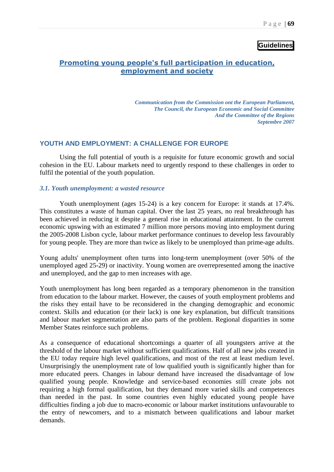## **Guidelines**

# **Promoting young people's full participation in education, employment and society**

*Communication from the Commission ont the European Parliament, The Council, the European Economic and Social Committee And the Committee of the Regions Septembre 2007* 

## **YOUTH AND EMPLOYMENT: A CHALLENGE FOR EUROPE**

Using the full potential of youth is a requisite for future economic growth and social cohesion in the EU. Labour markets need to urgently respond to these challenges in order to fulfil the potential of the youth population.

#### *3.1. Youth unemployment: a wasted resource*

Youth unemployment (ages 15-24) is a key concern for Europe: it stands at 17.4%. This constitutes a waste of human capital. Over the last 25 years, no real breakthrough has been achieved in reducing it despite a general rise in educational attainment. In the current economic upswing with an estimated 7 million more persons moving into employment during the 2005-2008 Lisbon cycle, labour market performance continues to develop less favourably for young people. They are more than twice as likely to be unemployed than prime-age adults.

Young adults' unemployment often turns into long-term unemployment (over 50% of the unemployed aged 25-29) or inactivity. Young women are overrepresented among the inactive and unemployed, and the gap to men increases with age.

Youth unemployment has long been regarded as a temporary phenomenon in the transition from education to the labour market. However, the causes of youth employment problems and the risks they entail have to be reconsidered in the changing demographic and economic context. Skills and education (or their lack) is one key explanation, but difficult transitions and labour market segmentation are also parts of the problem. Regional disparities in some Member States reinforce such problems.

As a consequence of educational shortcomings a quarter of all youngsters arrive at the threshold of the labour market without sufficient qualifications. Half of all new jobs created in the EU today require high level qualifications, and most of the rest at least medium level. Unsurprisingly the unemployment rate of low qualified youth is significantly higher than for more educated peers. Changes in labour demand have increased the disadvantage of low qualified young people. Knowledge and service-based economies still create jobs not requiring a high formal qualification, but they demand more varied skills and competences than needed in the past. In some countries even highly educated young people have difficulties finding a job due to macro-economic or labour market institutions unfavourable to the entry of newcomers, and to a mismatch between qualifications and labour market demands.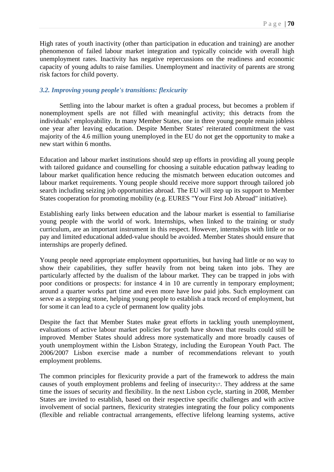High rates of youth inactivity (other than participation in education and training) are another phenomenon of failed labour market integration and typically coincide with overall high unemployment rates. Inactivity has negative repercussions on the readiness and economic capacity of young adults to raise families. Unemployment and inactivity of parents are strong risk factors for child poverty.

## *3.2. Improving young people's transitions: flexicurity*

Settling into the labour market is often a gradual process, but becomes a problem if nonemployment spells are not filled with meaningful activity; this detracts from the individuals' employability. In many Member States, one in three young people remain jobless one year after leaving education. Despite Member States' reiterated commitment the vast majority of the 4.6 million young unemployed in the EU do not get the opportunity to make a new start within 6 months.

Education and labour market institutions should step up efforts in providing all young people with tailored guidance and counselling for choosing a suitable education pathway leading to labour market qualification hence reducing the mismatch between education outcomes and labour market requirements. Young people should receive more support through tailored job search including seizing job opportunities abroad. The EU will step up its support to Member States cooperation for promoting mobility (e.g. EURES "Your First Job Abroad" initiative).

Establishing early links between education and the labour market is essential to familiarise young people with the world of work. Internships, when linked to the training or study curriculum, are an important instrument in this respect. However, internships with little or no pay and limited educational added-value should be avoided. Member States should ensure that internships are properly defined.

Young people need appropriate employment opportunities, but having had little or no way to show their capabilities, they suffer heavily from not being taken into jobs. They are particularly affected by the dualism of the labour market. They can be trapped in jobs with poor conditions or prospects: for instance 4 in 10 are currently in temporary employment; around a quarter works part time and even more have low paid jobs. Such employment can serve as a stepping stone, helping young people to establish a track record of employment, but for some it can lead to a cycle of permanent low quality jobs.

Despite the fact that Member States make great efforts in tackling youth unemployment, evaluations of active labour market policies for youth have shown that results could still be improved. Member States should address more systematically and more broadly causes of youth unemployment within the Lisbon Strategy, including the European Youth Pact. The 2006/2007 Lisbon exercise made a number of recommendations relevant to youth employment problems.

The common principles for flexicurity provide a part of the framework to address the main causes of youth employment problems and feeling of insecurity17. They address at the same time the issues of security and flexibility. In the next Lisbon cycle, starting in 2008, Member States are invited to establish, based on their respective specific challenges and with active involvement of social partners, flexicurity strategies integrating the four policy components (flexible and reliable contractual arrangements, effective lifelong learning systems, active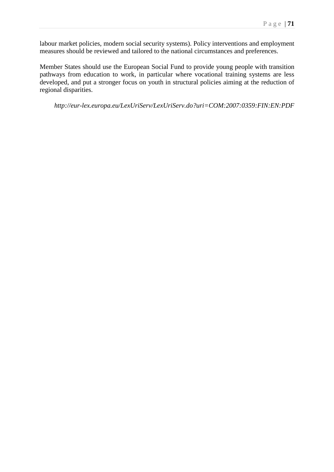labour market policies, modern social security systems). Policy interventions and employment measures should be reviewed and tailored to the national circumstances and preferences.

Member States should use the European Social Fund to provide young people with transition pathways from education to work, in particular where vocational training systems are less developed, and put a stronger focus on youth in structural policies aiming at the reduction of regional disparities.

*http://eur-lex.europa.eu/LexUriServ/LexUriServ.do?uri=COM:2007:0359:FIN:EN:PDF*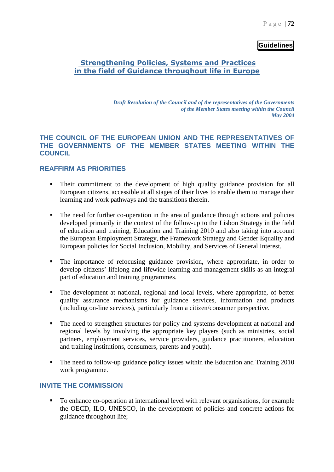**Guidelines**

# **Strengthening Policies, Systems and Practices in the field of Guidance throughout life in Europe**

*Draft Resolution of the Council and of the representatives of the Governments of the Member States meeting within the Council May 2004* 

## **THE COUNCIL OF THE EUROPEAN UNION AND THE REPRESENTATIVES OF THE GOVERNMENTS OF THE MEMBER STATES MEETING WITHIN THE COUNCIL**

## **REAFFIRM AS PRIORITIES**

- - Their commitment to the development of high quality guidance provision for all European citizens, accessible at all stages of their lives to enable them to manage their learning and work pathways and the transitions therein.
- The need for further co-operation in the area of guidance through actions and policies developed primarily in the context of the follow-up to the Lisbon Strategy in the field of education and training, Education and Training 2010 and also taking into account the European Employment Strategy, the Framework Strategy and Gender Equality and European policies for Social Inclusion, Mobility, and Services of General Interest.
- - The importance of refocusing guidance provision, where appropriate, in order to develop citizens' lifelong and lifewide learning and management skills as an integral part of education and training programmes.
- The development at national, regional and local levels, where appropriate, of better quality assurance mechanisms for guidance services, information and products (including on-line services), particularly from a citizen/consumer perspective.
- - The need to strengthen structures for policy and systems development at national and regional levels by involving the appropriate key players (such as ministries, social partners, employment services, service providers, guidance practitioners, education and training institutions, consumers, parents and youth).
- - The need to follow-up guidance policy issues within the Education and Training 2010 work programme.

## **INVITE THE COMMISSION**

- To enhance co-operation at international level with relevant organisations, for example the OECD, ILO, UNESCO, in the development of policies and concrete actions for guidance throughout life;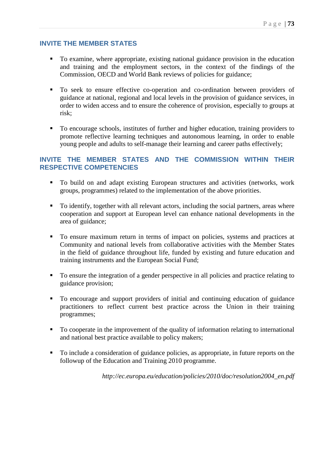# **INVITE THE MEMBER STATES**

- To examine, where appropriate, existing national guidance provision in the education and training and the employment sectors, in the context of the findings of the Commission, OECD and World Bank reviews of policies for guidance;
- To seek to ensure effective co-operation and co-ordination between providers of guidance at national, regional and local levels in the provision of guidance services, in order to widen access and to ensure the coherence of provision, especially to groups at risk;
- To encourage schools, institutes of further and higher education, training providers to promote reflective learning techniques and autonomous learning, in order to enable young people and adults to self-manage their learning and career paths effectively;

# **INVITE THE MEMBER STATES AND THE COMMISSION WITHIN THEIR RESPECTIVE COMPETENCIES**

- To build on and adapt existing European structures and activities (networks, work groups, programmes) related to the implementation of the above priorities.
- To identify, together with all relevant actors, including the social partners, areas where cooperation and support at European level can enhance national developments in the area of guidance;
- To ensure maximum return in terms of impact on policies, systems and practices at Community and national levels from collaborative activities with the Member States in the field of guidance throughout life, funded by existing and future education and training instruments and the European Social Fund;
- - To ensure the integration of a gender perspective in all policies and practice relating to guidance provision;
- - To encourage and support providers of initial and continuing education of guidance practitioners to reflect current best practice across the Union in their training programmes;
- To cooperate in the improvement of the quality of information relating to international and national best practice available to policy makers;
- To include a consideration of guidance policies, as appropriate, in future reports on the followup of the Education and Training 2010 programme.

*http://ec.europa.eu/education/policies/2010/doc/resolution2004\_en.pdf*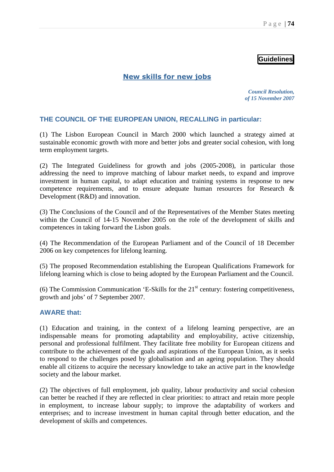# **Guidelines**

# **New skills for new jobs**

*Council Resolution, of 15 November 2007* 

# **THE COUNCIL OF THE EUROPEAN UNION, RECALLING in particular:**

(1) The Lisbon European Council in March 2000 which launched a strategy aimed at sustainable economic growth with more and better jobs and greater social cohesion, with long term employment targets.

(2) The Integrated Guideliness for growth and jobs (2005-2008), in particular those addressing the need to improve matching of labour market needs, to expand and improve investment in human capital, to adapt education and training systems in response to new competence requirements, and to ensure adequate human resources for Research & Development (R&D) and innovation.

(3) The Conclusions of the Council and of the Representatives of the Member States meeting within the Council of 14-15 November 2005 on the role of the development of skills and competences in taking forward the Lisbon goals.

(4) The Recommendation of the European Parliament and of the Council of 18 December 2006 on key competences for lifelong learning.

(5) The proposed Recommendation establishing the European Qualifications Framework for lifelong learning which is close to being adopted by the European Parliament and the Council.

(6) The Commission Communication 'E-Skills for the  $21<sup>st</sup>$  century: fostering competitiveness, growth and jobs' of 7 September 2007.

## **AWARE that:**

(1) Education and training, in the context of a lifelong learning perspective, are an indispensable means for promoting adaptability and employability, active citizenship, personal and professional fulfilment. They facilitate free mobility for European citizens and contribute to the achievement of the goals and aspirations of the European Union, as it seeks to respond to the challenges posed by globalisation and an ageing population. They should enable all citizens to acquire the necessary knowledge to take an active part in the knowledge society and the labour market.

(2) The objectives of full employment, job quality, labour productivity and social cohesion can better be reached if they are reflected in clear priorities: to attract and retain more people in employment, to increase labour supply; to improve the adaptability of workers and enterprises; and to increase investment in human capital through better education, and the development of skills and competences.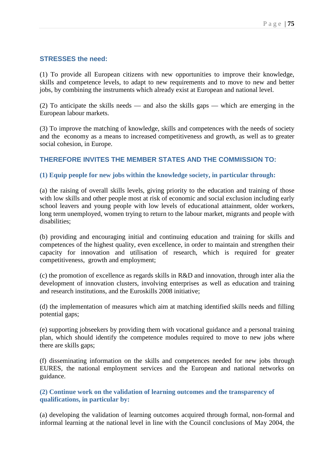# **STRESSES the need:**

(1) To provide all European citizens with new opportunities to improve their knowledge, skills and competence levels, to adapt to new requirements and to move to new and better jobs, by combining the instruments which already exist at European and national level.

(2) To anticipate the skills needs — and also the skills gaps — which are emerging in the European labour markets.

(3) To improve the matching of knowledge, skills and competences with the needs of society and the economy as a means to increased competitiveness and growth, as well as to greater social cohesion, in Europe.

# **THEREFORE INVITES THE MEMBER STATES AND THE COMMISSION TO:**

## **(1) Equip people for new jobs within the knowledge society, in particular through:**

(a) the raising of overall skills levels, giving priority to the education and training of those with low skills and other people most at risk of economic and social exclusion including early school leavers and young people with low levels of educational attainment, older workers, long term unemployed, women trying to return to the labour market, migrants and people with disabilities;

(b) providing and encouraging initial and continuing education and training for skills and competences of the highest quality, even excellence, in order to maintain and strengthen their capacity for innovation and utilisation of research, which is required for greater competitiveness, growth and employment;

(c) the promotion of excellence as regards skills in R&D and innovation, through inter alia the development of innovation clusters, involving enterprises as well as education and training and research institutions, and the Euroskills 2008 initiative;

(d) the implementation of measures which aim at matching identified skills needs and filling potential gaps;

(e) supporting jobseekers by providing them with vocational guidance and a personal training plan, which should identify the competence modules required to move to new jobs where there are skills gaps;

(f) disseminating information on the skills and competences needed for new jobs through EURES, the national employment services and the European and national networks on guidance.

**(2) Continue work on the validation of learning outcomes and the transparency of qualifications, in particular by:** 

(a) developing the validation of learning outcomes acquired through formal, non-formal and informal learning at the national level in line with the Council conclusions of May 2004, the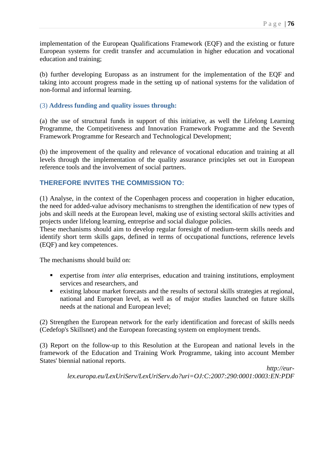implementation of the European Qualifications Framework (EQF) and the existing or future European systems for credit transfer and accumulation in higher education and vocational education and training;

(b) further developing Europass as an instrument for the implementation of the EQF and taking into account progress made in the setting up of national systems for the validation of non-formal and informal learning.

# (3) **Address funding and quality issues through:**

(a) the use of structural funds in support of this initiative, as well the Lifelong Learning Programme, the Competitiveness and Innovation Framework Programme and the Seventh Framework Programme for Research and Technological Development;

(b) the improvement of the quality and relevance of vocational education and training at all levels through the implementation of the quality assurance principles set out in European reference tools and the involvement of social partners.

# **THEREFORE INVITES THE COMMISSION TO:**

(1) Analyse, in the context of the Copenhagen process and cooperation in higher education, the need for added-value advisory mechanisms to strengthen the identification of new types of jobs and skill needs at the European level, making use of existing sectoral skills activities and projects under lifelong learning, entreprise and social dialogue policies.

These mechanisms should aim to develop regular foresight of medium-term skills needs and identify short term skills gaps, defined in terms of occupational functions, reference levels (EQF) and key competences.

The mechanisms should build on:

- expertise from *inter alia* enterprises, education and training institutions, employment services and researchers, and
- existing labour market forecasts and the results of sectoral skills strategies at regional, national and European level, as well as of major studies launched on future skills needs at the national and European level;

(2) Strengthen the European network for the early identification and forecast of skills needs (Cedefop's Skillsnet) and the European forecasting system on employment trends.

(3) Report on the follow-up to this Resolution at the European and national levels in the framework of the Education and Training Work Programme, taking into account Member States' biennial national reports.

> *http://eurlex.europa.eu/LexUriServ/LexUriServ.do?uri=OJ:C:2007:290:0001:0003:EN:PDF*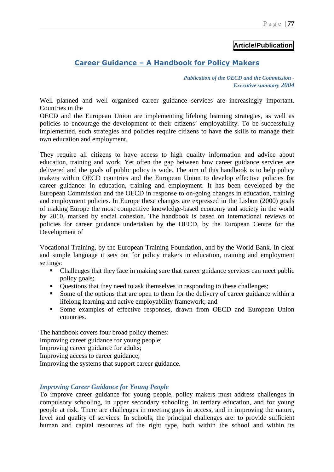# **Article/Publication**

# **Career Guidance – A Handbook for Policy Makers**

*Publication of the OECD and the Commission - Executive summary 2004* 

Well planned and well organised career guidance services are increasingly important. Countries in the

OECD and the European Union are implementing lifelong learning strategies, as well as policies to encourage the development of their citizens' employability. To be successfully implemented, such strategies and policies require citizens to have the skills to manage their own education and employment.

They require all citizens to have access to high quality information and advice about education, training and work. Yet often the gap between how career guidance services are delivered and the goals of public policy is wide. The aim of this handbook is to help policy makers within OECD countries and the European Union to develop effective policies for career guidance: in education, training and employment. It has been developed by the European Commission and the OECD in response to on-going changes in education, training and employment policies. In Europe these changes are expressed in the Lisbon (2000) goals of making Europe the most competitive knowledge-based economy and society in the world by 2010, marked by social cohesion. The handbook is based on international reviews of policies for career guidance undertaken by the OECD, by the European Centre for the Development of

Vocational Training, by the European Training Foundation, and by the World Bank. In clear and simple language it sets out for policy makers in education, training and employment settings:

- Challenges that they face in making sure that career guidance services can meet public policy goals;
- Questions that they need to ask themselves in responding to these challenges;
- Some of the options that are open to them for the delivery of career guidance within a lifelong learning and active employability framework; and
- - Some examples of effective responses, drawn from OECD and European Union countries.

The handbook covers four broad policy themes: Improving career guidance for young people; Improving career guidance for adults; Improving access to career guidance; Improving the systems that support career guidance.

## *Improving Career Guidance for Young People*

To improve career guidance for young people, policy makers must address challenges in compulsory schooling, in upper secondary schooling, in tertiary education, and for young people at risk. There are challenges in meeting gaps in access, and in improving the nature, level and quality of services. In schools, the principal challenges are: to provide sufficient human and capital resources of the right type, both within the school and within its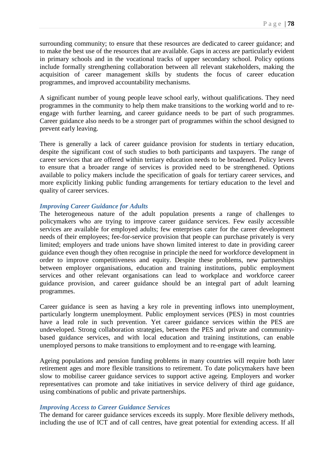surrounding community; to ensure that these resources are dedicated to career guidance; and to make the best use of the resources that are available. Gaps in access are particularly evident in primary schools and in the vocational tracks of upper secondary school. Policy options include formally strengthening collaboration between all relevant stakeholders, making the acquisition of career management skills by students the focus of career education programmes, and improved accountability mechanisms.

A significant number of young people leave school early, without qualifications. They need programmes in the community to help them make transitions to the working world and to reengage with further learning, and career guidance needs to be part of such programmes. Career guidance also needs to be a stronger part of programmes within the school designed to prevent early leaving.

There is generally a lack of career guidance provision for students in tertiary education, despite the significant cost of such studies to both participants and taxpayers. The range of career services that are offered within tertiary education needs to be broadened. Policy levers to ensure that a broader range of services is provided need to be strengthened. Options available to policy makers include the specification of goals for tertiary career services, and more explicitly linking public funding arrangements for tertiary education to the level and quality of career services.

#### *Improving Career Guidance for Adults*

The heterogeneous nature of the adult population presents a range of challenges to policymakers who are trying to improve career guidance services. Few easily accessible services are available for employed adults; few enterprises cater for the career development needs of their employees; fee-for-service provision that people can purchase privately is very limited; employers and trade unions have shown limited interest to date in providing career guidance even though they often recognise in principle the need for workforce development in order to improve competitiveness and equity. Despite these problems, new partnerships between employer organisations, education and training institutions, public employment services and other relevant organisations can lead to workplace and workforce career guidance provision, and career guidance should be an integral part of adult learning programmes.

Career guidance is seen as having a key role in preventing inflows into unemployment, particularly longterm unemployment. Public employment services (PES) in most countries have a lead role in such prevention. Yet career guidance services within the PES are undeveloped. Strong collaboration strategies, between the PES and private and communitybased guidance services, and with local education and training institutions, can enable unemployed persons to make transitions to employment and to re-engage with learning.

Ageing populations and pension funding problems in many countries will require both later retirement ages and more flexible transitions to retirement. To date policymakers have been slow to mobilise career guidance services to support active ageing. Employers and worker representatives can promote and take initiatives in service delivery of third age guidance, using combinations of public and private partnerships.

#### *Improving Access to Career Guidance Services*

The demand for career guidance services exceeds its supply. More flexible delivery methods, including the use of ICT and of call centres, have great potential for extending access. If all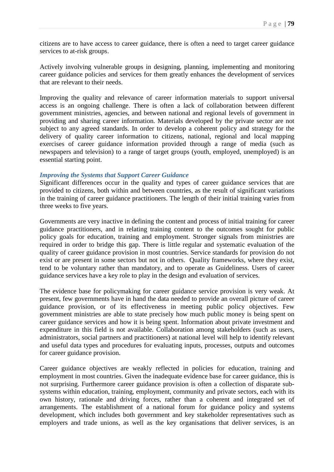citizens are to have access to career guidance, there is often a need to target career guidance services to at-risk groups.

Actively involving vulnerable groups in designing, planning, implementing and monitoring career guidance policies and services for them greatly enhances the development of services that are relevant to their needs.

Improving the quality and relevance of career information materials to support universal access is an ongoing challenge. There is often a lack of collaboration between different government ministries, agencies, and between national and regional levels of government in providing and sharing career information. Materials developed by the private sector are not subject to any agreed standards. In order to develop a coherent policy and strategy for the delivery of quality career information to citizens, national, regional and local mapping exercises of career guidance information provided through a range of media (such as newspapers and television) to a range of target groups (youth, employed, unemployed) is an essential starting point.

## *Improving the Systems that Support Career Guidance*

Significant differences occur in the quality and types of career guidance services that are provided to citizens, both within and between countries, as the result of significant variations in the training of career guidance practitioners. The length of their initial training varies from three weeks to five years.

Governments are very inactive in defining the content and process of initial training for career guidance practitioners, and in relating training content to the outcomes sought for public policy goals for education, training and employment. Stronger signals from ministries are required in order to bridge this gap. There is little regular and systematic evaluation of the quality of career guidance provision in most countries. Service standards for provision do not exist or are present in some sectors but not in others. Quality frameworks, where they exist, tend to be voluntary rather than mandatory, and to operate as Guideliness. Users of career guidance services have a key role to play in the design and evaluation of services.

The evidence base for policymaking for career guidance service provision is very weak. At present, few governments have in hand the data needed to provide an overall picture of career guidance provision, or of its effectiveness in meeting public policy objectives. Few government ministries are able to state precisely how much public money is being spent on career guidance services and how it is being spent. Information about private investment and expenditure in this field is not available. Collaboration among stakeholders (such as users, administrators, social partners and practitioners) at national level will help to identify relevant and useful data types and procedures for evaluating inputs, processes, outputs and outcomes for career guidance provision.

Career guidance objectives are weakly reflected in policies for education, training and employment in most countries. Given the inadequate evidence base for career guidance, this is not surprising. Furthermore career guidance provision is often a collection of disparate subsystems within education, training, employment, community and private sectors, each with its own history, rationale and driving forces, rather than a coherent and integrated set of arrangements. The establishment of a national forum for guidance policy and systems development, which includes both government and key stakeholder representatives such as employers and trade unions, as well as the key organisations that deliver services, is an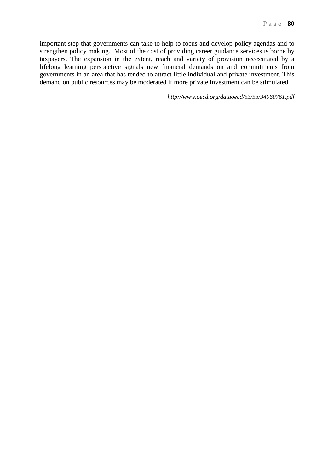important step that governments can take to help to focus and develop policy agendas and to strengthen policy making. Most of the cost of providing career guidance services is borne by taxpayers. The expansion in the extent, reach and variety of provision necessitated by a lifelong learning perspective signals new financial demands on and commitments from governments in an area that has tended to attract little individual and private investment. This demand on public resources may be moderated if more private investment can be stimulated.

*http://www.oecd.org/dataoecd/53/53/34060761.pdf*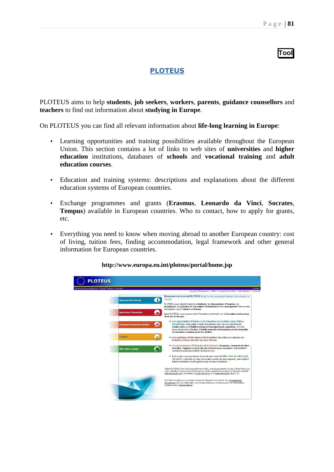# **Tool**

# **PLOTEUS**

PLOTEUS aims to help **students**, **job seekers**, **workers**, **parents**, **guidance counsellors** and **teachers** to find out information about **studying in Europe**.

On PLOTEUS you can find all relevant information about **life-long learning in Europe**:

- Learning opportunities and training possibilities available throughout the European Union. This section contains a lot of links to web sites of **universities** and **higher education** institutions, databases of **schools** and **vocational training** and **adult education courses**.
- Education and training systems: descriptions and explanations about the different education systems of European countries.
- Exchange programmes and grants (**Erasmus**, **Leonardo da Vinci**, **Socrates**, **Tempus**) available in European countries. Who to contact, how to apply for grants, etc.
- Everything you need to know when moving abroad to another European country: cost of living, tuition fees, finding accommodation, legal framework and other general information for European countries.

| Commission européenne > Portail Ploteus > Accueil |                             | Accueil   Recherche   FAQ   A propos de ce site   Votre réaction   Liens uti                                                                                                                                                                                                                                                                        |
|---------------------------------------------------|-----------------------------|-----------------------------------------------------------------------------------------------------------------------------------------------------------------------------------------------------------------------------------------------------------------------------------------------------------------------------------------------------|
|                                                   | <b>Opportunités d'étude</b> | Bienvenue sur le portail PLOTEUS (Portail sur les opportunités d'études et de formation en<br>Europe)                                                                                                                                                                                                                                               |
|                                                   |                             | PLOTEUS a pour objectif d'aider les étudiants, les demandeurs d'emplois, les<br>travailleurs, les parents, les conseillers d'orientation et les enseignants à trouver des<br>informations sur les études en Europe.                                                                                                                                 |
|                                                   | Systèmes d'éducation        | Dans PLOTEUS, vous trouverez des informations pertinentes sur la formation tout au long<br>de la vie en Europe:                                                                                                                                                                                                                                     |
|                                                   | Echanges & bourses d'étude  | . Les opportunités d'études et de formation accessibles dans l'Union<br>européenne. Cette partie contient de nombreux liens vers les sites Internet<br>d'universités ou d'établissements d'enseignement supérieur, vers des<br>bases de données d'écoles, d'établissements de formation professionnelle,<br>de formation continue pour les adultes. |
|                                                   | Contact                     | . Les systèmes d'éducation et de formation: description et explication des<br>différents systèmes éducatifs des pays d'Europe.                                                                                                                                                                                                                      |
|                                                   | Aller dans un pays          | · Les programmes d'échanges et les bourses (Erasmus, Leonardo da Vinci,<br>Socratès. Tempus) existant dans les différents pays européens. Qui contacter?<br>Comment postuler pour obtenir une bourse, etc.                                                                                                                                          |
|                                                   |                             | . Tout ce que vous avez besoin de savoir pour vous installer dans un autre pays<br>européen: coût de la vie, frais d'inscription, recherche d'un logement, cadre légal et<br>autres informations d'ordre général pour les pays européens.                                                                                                           |
|                                                   |                             | Vidéo PLOTEUS: Pour visionner les fichiers vidéo, vous devez installer le plug-in Real Player sur<br>votre ordinateur. (Vous pouvez télécharger la version gratuite de ce plug-in à l'adresse suivante:<br>http://www.real.com). Choisissez la haute résolution ou la basse résolution (durée: 4").                                                 |
|                                                   |                             | PLOTEUS est géré par la Direction Générale "Education et Culture" de la Commission<br>Européenne avec la collaboration des Centres Nationaux de Ressources Pour l'Orientation<br>Professionnelle (Euroguidance).                                                                                                                                    |

## **http://www.europa.eu.int/ploteus/portal/home.jsp**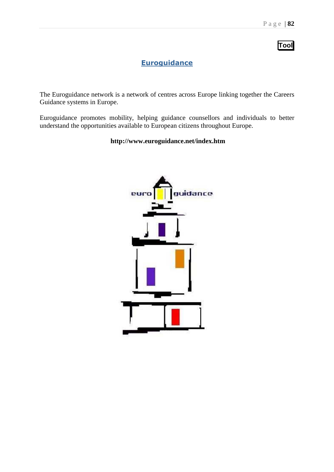**Tool**

# **Euroguidance**

The Euroguidance network is a network of centres across Europe linking together the Careers Guidance systems in Europe.

Euroguidance promotes mobility, helping guidance counsellors and individuals to better understand the opportunities available to European citizens throughout Europe.

# **http://www.euroguidance.net/index.htm**

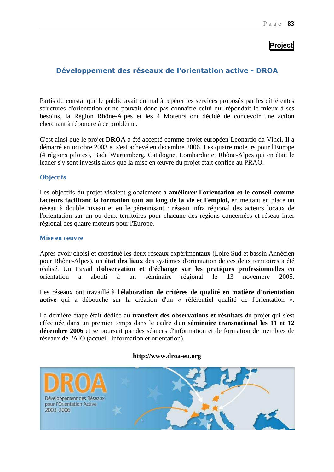# **Project**

# **Développement des réseaux de l'orientation active - DROA**

Partis du constat que le public avait du mal à repérer les services proposés par les différentes structures d'orientation et ne pouvait donc pas connaître celui qui répondait le mieux à ses besoins, la Région Rhône-Alpes et les 4 Moteurs ont décidé de concevoir une action cherchant à répondre à ce problème.

C'est ainsi que le projet **DROA** a été accepté comme projet européen Leonardo da Vinci. Il a démarré en octobre 2003 et s'est achevé en décembre 2006. Les quatre moteurs pour l'Europe (4 régions pilotes), Bade Wurtemberg, Catalogne, Lombardie et Rhône-Alpes qui en était le leader s'y sont investis alors que la mise en œuvre du projet était confiée au PRAO.

# **Objectifs**

Les objectifs du projet visaient globalement à **améliorer l'orientation et le conseil comme facteurs facilitant la formation tout au long de la vie et l'emploi,** en mettant en place un réseau à double niveau et en le pérennisant : réseau infra régional des acteurs locaux de l'orientation sur un ou deux territoires pour chacune des régions concernées et réseau inter régional des quatre moteurs pour l'Europe.

#### **Mise en oeuvre**

Après avoir choisi et constitué les deux réseaux expérimentaux (Loire Sud et bassin Annécien pour Rhône-Alpes), un **état des lieux** des systèmes d'orientation de ces deux territoires a été réalisé. Un travail d'**observation et d'échange sur les pratiques professionnelles** en orientation a abouti à un séminaire régional le 13 novembre 2005.

Les réseaux ont travaillé à l'**élaboration de critères de qualité en matière d'orientation active** qui a débouché sur la création d'un « référentiel qualité de l'orientation ».

La dernière étape était dédiée au **transfert des observations et résultats** du projet qui s'est effectuée dans un premier temps dans le cadre d'un **séminaire transnational les 11 et 12 décembre 2006** et se poursuit par des séances d'information et de formation de membres de réseaux de l'AIO (accueil, information et orientation).

## **http://www.droa-eu.org**

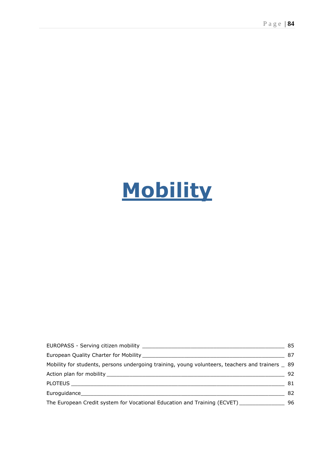# **Mobility**

|                                                                                                  | 85 |
|--------------------------------------------------------------------------------------------------|----|
|                                                                                                  | 87 |
| Mobility for students, persons undergoing training, young volunteers, teachers and trainers _ 89 |    |
|                                                                                                  | 92 |
|                                                                                                  | 81 |
|                                                                                                  | 82 |
| The European Credit system for Vocational Education and Training (ECVET)                         | 96 |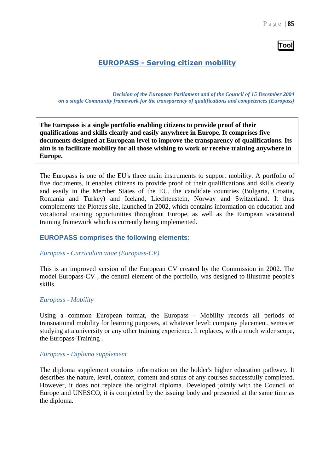**Tool**

# **EUROPASS - Serving citizen mobility**

*Decision of the European Parliament and of the Council of 15 December 2004 on a single Community framework for the transparency of qualifications and competences (Europass)* 

**The Europass is a single portfolio enabling citizens to provide proof of their qualifications and skills clearly and easily anywhere in Europe. It comprises five documents designed at European level to improve the transparency of qualifications. Its aim is to facilitate mobility for all those wishing to work or receive training anywhere in Europe.** 

The Europass is one of the EU's three main instruments to support mobility. A portfolio of five documents, it enables citizens to provide proof of their qualifications and skills clearly and easily in the Member States of the EU, the candidate countries (Bulgaria, Croatia, Romania and Turkey) and Iceland, Liechtenstein, Norway and Switzerland. It thus complements the Ploteus site, launched in 2002, which contains information on education and vocational training opportunities throughout Europe, as well as the European vocational training framework which is currently being implemented.

#### **EUROPASS comprises the following elements:**

#### *Europass - Curriculum vitae (Europass-CV)*

This is an improved version of the European CV created by the Commission in 2002. The model Europass-CV , the central element of the portfolio, was designed to illustrate people's skills.

#### *Europass - Mobility*

Using a common European format, the Europass - Mobility records all periods of transnational mobility for learning purposes, at whatever level: company placement, semester studying at a university or any other training experience. It replaces, with a much wider scope, the Europass-Training .

#### *Europass - Diploma supplement*

The diploma supplement contains information on the holder's higher education pathway. It describes the nature, level, context, content and status of any courses successfully completed. However, it does not replace the original diploma. Developed jointly with the Council of Europe and UNESCO, it is completed by the issuing body and presented at the same time as the diploma.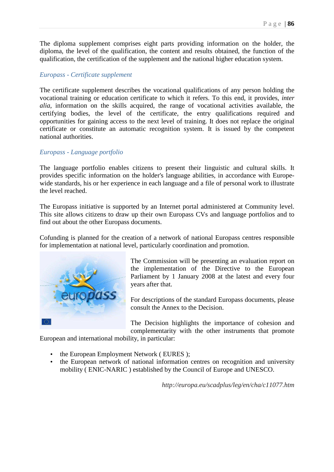The diploma supplement comprises eight parts providing information on the holder, the diploma, the level of the qualification, the content and results obtained, the function of the qualification, the certification of the supplement and the national higher education system.

## *Europass - Certificate supplement*

The certificate supplement describes the vocational qualifications of any person holding the vocational training or education certificate to which it refers. To this end, it provides, *inter alia*, information on the skills acquired, the range of vocational activities available, the certifying bodies, the level of the certificate, the entry qualifications required and opportunities for gaining access to the next level of training. It does not replace the original certificate or constitute an automatic recognition system. It is issued by the competent national authorities.

# *Europass - Language portfolio*

The language portfolio enables citizens to present their linguistic and cultural skills. It provides specific information on the holder's language abilities, in accordance with Europewide standards, his or her experience in each language and a file of personal work to illustrate the level reached.

The Europass initiative is supported by an Internet portal administered at Community level. This site allows citizens to draw up their own Europass CVs and language portfolios and to find out about the other Europass documents.

Cofunding is planned for the creation of a network of national Europass centres responsible for implementation at national level, particularly coordination and promotion.



The Commission will be presenting an evaluation report on the implementation of the Directive to the European Parliament by 1 January 2008 at the latest and every four years after that.

For descriptions of the standard Europass documents, please consult the Annex to the Decision.

The Decision highlights the importance of cohesion and complementarity with the other instruments that promote

European and international mobility, in particular:

- the European Employment Network (EURES);
- the European network of national information centres on recognition and university mobility ( ENIC-NARIC ) established by the Council of Europe and UNESCO.

*http://europa.eu/scadplus/leg/en/cha/c11077.htm*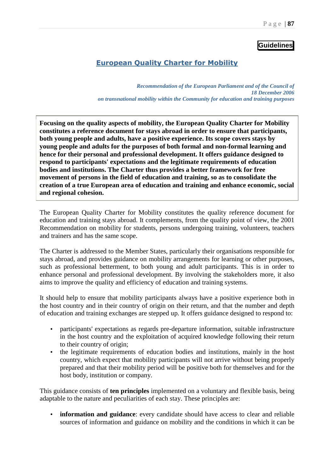# **Guidelines**

# **European Quality Charter for Mobility**

*Recommendation of the European Parliament and of the Council of 18 December 2006 on transnational mobility within the Community for education and training purposes* 

**Focusing on the quality aspects of mobility, the European Quality Charter for Mobility constitutes a reference document for stays abroad in order to ensure that participants, both young people and adults, have a positive experience. Its scope covers stays by young people and adults for the purposes of both formal and non-formal learning and hence for their personal and professional development. It offers guidance designed to respond to participants' expectations and the legitimate requirements of education bodies and institutions. The Charter thus provides a better framework for free movement of persons in the field of education and training, so as to consolidate the creation of a true European area of education and training and enhance economic, social and regional cohesion.** 

The European Quality Charter for Mobility constitutes the quality reference document for education and training stays abroad. It complements, from the quality point of view, the 2001 Recommendation on mobility for students, persons undergoing training, volunteers, teachers and trainers and has the same scope.

The Charter is addressed to the Member States, particularly their organisations responsible for stays abroad, and provides guidance on mobility arrangements for learning or other purposes, such as professional betterment, to both young and adult participants. This is in order to enhance personal and professional development. By involving the stakeholders more, it also aims to improve the quality and efficiency of education and training systems.

It should help to ensure that mobility participants always have a positive experience both in the host country and in their country of origin on their return, and that the number and depth of education and training exchanges are stepped up. It offers guidance designed to respond to:

- participants' expectations as regards pre-departure information, suitable infrastructure in the host country and the exploitation of acquired knowledge following their return to their country of origin;
- the legitimate requirements of education bodies and institutions, mainly in the host country, which expect that mobility participants will not arrive without being properly prepared and that their mobility period will be positive both for themselves and for the host body, institution or company.

This guidance consists of **ten principles** implemented on a voluntary and flexible basis, being adaptable to the nature and peculiarities of each stay. These principles are:

• **information and guidance**: every candidate should have access to clear and reliable sources of information and guidance on mobility and the conditions in which it can be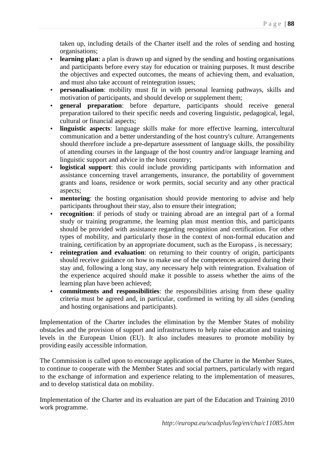taken up, including details of the Charter itself and the roles of sending and hosting organisations;

- **learning plan**: a plan is drawn up and signed by the sending and hosting organisations and participants before every stay for education or training purposes. It must describe the objectives and expected outcomes, the means of achieving them, and evaluation, and must also take account of reintegration issues;
- **personalisation**: mobility must fit in with personal learning pathways, skills and motivation of participants, and should develop or supplement them;
- **general preparation**: before departure, participants should receive general preparation tailored to their specific needs and covering linguistic, pedagogical, legal, cultural or financial aspects;
- **linguistic aspects**: language skills make for more effective learning, intercultural communication and a better understanding of the host country's culture. Arrangements should therefore include a pre-departure assessment of language skills, the possibility of attending courses in the language of the host country and/or language learning and linguistic support and advice in the host country;
- **logistical support**: this could include providing participants with information and assistance concerning travel arrangements, insurance, the portability of government grants and loans, residence or work permits, social security and any other practical aspects;
- **mentoring**: the hosting organisation should provide mentoring to advise and help participants throughout their stay, also to ensure their integration;
- **recognition**: if periods of study or training abroad are an integral part of a formal study or training programme, the learning plan must mention this, and participants should be provided with assistance regarding recognition and certification. For other types of mobility, and particularly those in the context of non-formal education and training, certification by an appropriate document, such as the Europass , is necessary;
- reintegration and evaluation: on returning to their country of origin, participants should receive guidance on how to make use of the competences acquired during their stay and, following a long stay, any necessary help with reintegration. Evaluation of the experience acquired should make it possible to assess whether the aims of the learning plan have been achieved;
- **commitments and responsibilities**: the responsibilities arising from these quality criteria must be agreed and, in particular, confirmed in writing by all sides (sending and hosting organisations and participants).

Implementation of the Charter includes the elimination by the Member States of mobility obstacles and the provision of support and infrastructures to help raise education and training levels in the European Union (EU). It also includes measures to promote mobility by providing easily accessible information.

The Commission is called upon to encourage application of the Charter in the Member States, to continue to cooperate with the Member States and social partners, particularly with regard to the exchange of information and experience relating to the implementation of measures, and to develop statistical data on mobility.

Implementation of the Charter and its evaluation are part of the Education and Training 2010 work programme.

*http://europa.eu/scadplus/leg/en/cha/c11085.htm*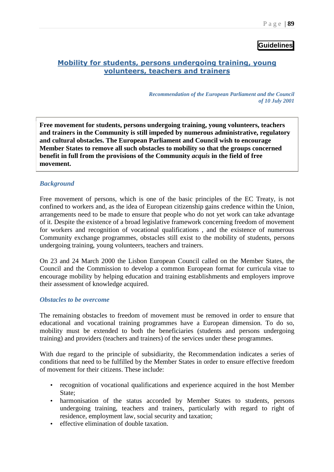**Guidelines**

# **Mobility for students, persons undergoing training, young volunteers, teachers and trainers**

*Recommendation of the European Parliament and the Council of 10 July 2001* 

**Free movement for students, persons undergoing training, young volunteers, teachers and trainers in the Community is still impeded by numerous administrative, regulatory and cultural obstacles. The European Parliament and Council wish to encourage Member States to remove all such obstacles to mobility so that the groups concerned benefit in full from the provisions of the Community** *acquis* **in the field of free movement.** 

# *Background*

Free movement of persons, which is one of the basic principles of the EC Treaty, is not confined to workers and, as the idea of European citizenship gains credence within the Union, arrangements need to be made to ensure that people who do not yet work can take advantage of it. Despite the existence of a broad legislative framework concerning freedom of movement for workers and recognition of vocational qualifications , and the existence of numerous Community exchange programmes, obstacles still exist to the mobility of students, persons undergoing training, young volunteers, teachers and trainers.

On 23 and 24 March 2000 the Lisbon European Council called on the Member States, the Council and the Commission to develop a common European format for curricula vitae to encourage mobility by helping education and training establishments and employers improve their assessment of knowledge acquired.

#### *Obstacles to be overcome*

The remaining obstacles to freedom of movement must be removed in order to ensure that educational and vocational training programmes have a European dimension. To do so, mobility must be extended to both the beneficiaries (students and persons undergoing training) and providers (teachers and trainers) of the services under these programmes.

With due regard to the principle of subsidiarity, the Recommendation indicates a series of conditions that need to be fulfilled by the Member States in order to ensure effective freedom of movement for their citizens. These include:

- recognition of vocational qualifications and experience acquired in the host Member State;
- harmonisation of the status accorded by Member States to students, persons undergoing training, teachers and trainers, particularly with regard to right of residence, employment law, social security and taxation;
- effective elimination of double taxation.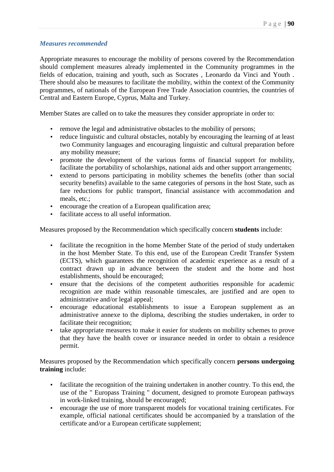## *Measures recommended*

Appropriate measures to encourage the mobility of persons covered by the Recommendation should complement measures already implemented in the Community programmes in the fields of education, training and youth, such as Socrates , Leonardo da Vinci and Youth . There should also be measures to facilitate the mobility, within the context of the Community programmes, of nationals of the European Free Trade Association countries, the countries of Central and Eastern Europe, Cyprus, Malta and Turkey.

Member States are called on to take the measures they consider appropriate in order to:

- remove the legal and administrative obstacles to the mobility of persons;
- reduce linguistic and cultural obstacles, notably by encouraging the learning of at least two Community languages and encouraging linguistic and cultural preparation before any mobility measure;
- promote the development of the various forms of financial support for mobility, facilitate the portability of scholarships, national aids and other support arrangements;
- extend to persons participating in mobility schemes the benefits (other than social security benefits) available to the same categories of persons in the host State, such as fare reductions for public transport, financial assistance with accommodation and meals, etc.;
- encourage the creation of a European qualification area;
- facilitate access to all useful information.

Measures proposed by the Recommendation which specifically concern **students** include:

- facilitate the recognition in the home Member State of the period of study undertaken in the host Member State. To this end, use of the European Credit Transfer System (ECTS), which guarantees the recognition of academic experience as a result of a contract drawn up in advance between the student and the home and host establishments, should be encouraged;
- ensure that the decisions of the competent authorities responsible for academic recognition are made within reasonable timescales, are justified and are open to administrative and/or legal appeal;
- encourage educational establishments to issue a European supplement as an administrative annexe to the diploma, describing the studies undertaken, in order to facilitate their recognition;
- take appropriate measures to make it easier for students on mobility schemes to prove that they have the health cover or insurance needed in order to obtain a residence permit.

Measures proposed by the Recommendation which specifically concern **persons undergoing training** include:

- facilitate the recognition of the training undertaken in another country. To this end, the use of the " Europass Training " document, designed to promote European pathways in work-linked training, should be encouraged;
- encourage the use of more transparent models for vocational training certificates. For example, official national certificates should be accompanied by a translation of the certificate and/or a European certificate supplement;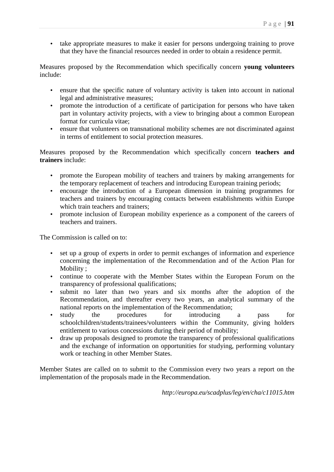• take appropriate measures to make it easier for persons undergoing training to prove that they have the financial resources needed in order to obtain a residence permit.

Measures proposed by the Recommendation which specifically concern **young volunteers** include:

- ensure that the specific nature of voluntary activity is taken into account in national legal and administrative measures;
- promote the introduction of a certificate of participation for persons who have taken part in voluntary activity projects, with a view to bringing about a common European format for curricula vitae;
- ensure that volunteers on transnational mobility schemes are not discriminated against in terms of entitlement to social protection measures.

Measures proposed by the Recommendation which specifically concern **teachers and trainers** include:

- promote the European mobility of teachers and trainers by making arrangements for the temporary replacement of teachers and introducing European training periods;
- encourage the introduction of a European dimension in training programmes for teachers and trainers by encouraging contacts between establishments within Europe which train teachers and trainers:
- promote inclusion of European mobility experience as a component of the careers of teachers and trainers.

The Commission is called on to:

- set up a group of experts in order to permit exchanges of information and experience concerning the implementation of the Recommendation and of the Action Plan for Mobility ;
- continue to cooperate with the Member States within the European Forum on the transparency of professional qualifications;
- submit no later than two years and six months after the adoption of the Recommendation, and thereafter every two years, an analytical summary of the national reports on the implementation of the Recommendation;
- study the procedures for introducing a pass for schoolchildren/students/trainees/volunteers within the Community, giving holders entitlement to various concessions during their period of mobility;
- draw up proposals designed to promote the transparency of professional qualifications and the exchange of information on opportunities for studying, performing voluntary work or teaching in other Member States.

Member States are called on to submit to the Commission every two years a report on the implementation of the proposals made in the Recommendation.

*http://europa.eu/scadplus/leg/en/cha/c11015.htm*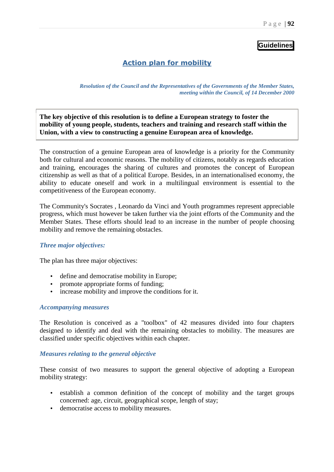**Guidelines**

# **Action plan for mobility**

*Resolution of the Council and the Representatives of the Governments of the Member States, meeting within the Council, of 14 December 2000* 

**The key objective of this resolution is to define a European strategy to foster the mobility of young people, students, teachers and training and research staff within the Union, with a view to constructing a genuine European area of knowledge.** 

The construction of a genuine European area of knowledge is a priority for the Community both for cultural and economic reasons. The mobility of citizens, notably as regards education and training, encourages the sharing of cultures and promotes the concept of European citizenship as well as that of a political Europe. Besides, in an internationalised economy, the ability to educate oneself and work in a multilingual environment is essential to the competitiveness of the European economy.

The Community's Socrates , Leonardo da Vinci and Youth programmes represent appreciable progress, which must however be taken further via the joint efforts of the Community and the Member States. These efforts should lead to an increase in the number of people choosing mobility and remove the remaining obstacles.

## *Three major objectives:*

The plan has three major objectives:

- define and democratise mobility in Europe;
- promote appropriate forms of funding;
- increase mobility and improve the conditions for it.

#### *Accompanying measures*

The Resolution is conceived as a "toolbox" of 42 measures divided into four chapters designed to identify and deal with the remaining obstacles to mobility. The measures are classified under specific objectives within each chapter.

## *Measures relating to the general objective*

These consist of two measures to support the general objective of adopting a European mobility strategy:

- establish a common definition of the concept of mobility and the target groups concerned: age, circuit, geographical scope, length of stay;
- democratise access to mobility measures.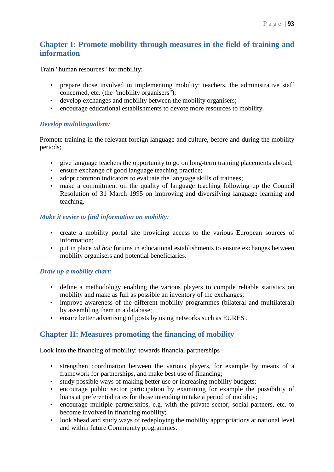# **Chapter I: Promote mobility through measures in the field of training and information**

Train "human resources" for mobility:

- prepare those involved in implementing mobility: teachers, the administrative staff concerned, etc. (the "mobility organisers");
- develop exchanges and mobility between the mobility organisers;
- encourage educational establishments to devote more resources to mobility.

# *Develop multilingualism:*

Promote training in the relevant foreign language and culture, before and during the mobility periods;

- give language teachers the opportunity to go on long-term training placements abroad;
- ensure exchange of good language teaching practice;
- adopt common indicators to evaluate the language skills of trainees;
- make a commitment on the quality of language teaching following up the Council Resolution of 31 March 1995 on improving and diversifying language learning and teaching.

# *Make it easier to find information on mobility:*

- create a mobility portal site providing access to the various European sources of information;
- put in place *ad hoc* forums in educational establishments to ensure exchanges between mobility organisers and potential beneficiaries.

# *Draw up a mobility chart:*

- define a methodology enabling the various players to compile reliable statistics on mobility and make as full as possible an inventory of the exchanges;
- improve awareness of the different mobility programmes (bilateral and multilateral) by assembling them in a database;
- ensure better advertising of posts by using networks such as EURES .

# **Chapter II: Measures promoting the financing of mobility**

Look into the financing of mobility: towards financial partnerships

- strengthen coordination between the various players, for example by means of a framework for partnerships, and make best use of financing;
- study possible ways of making better use or increasing mobility budgets;
- encourage public sector participation by examining for example the possibility of loans at preferential rates for those intending to take a period of mobility;
- encourage multiple partnerships, e.g. with the private sector, social partners, etc. to become involved in financing mobility;
- look ahead and study ways of redeploying the mobility appropriations at national level and within future Community programmes.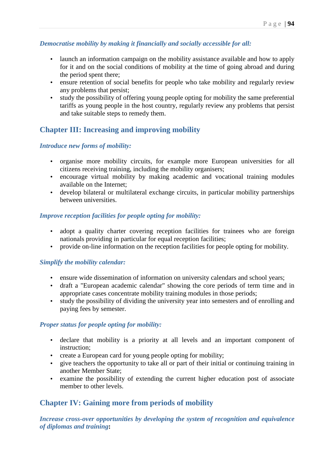# *Democratise mobility by making it financially and socially accessible for all:*

- launch an information campaign on the mobility assistance available and how to apply for it and on the social conditions of mobility at the time of going abroad and during the period spent there;
- ensure retention of social benefits for people who take mobility and regularly review any problems that persist;
- study the possibility of offering young people opting for mobility the same preferential tariffs as young people in the host country, regularly review any problems that persist and take suitable steps to remedy them.

# **Chapter III: Increasing and improving mobility**

# *Introduce new forms of mobility:*

- organise more mobility circuits, for example more European universities for all citizens receiving training, including the mobility organisers;
- encourage virtual mobility by making academic and vocational training modules available on the Internet;
- develop bilateral or multilateral exchange circuits, in particular mobility partnerships between universities.

# *Improve reception facilities for people opting for mobility:*

- adopt a quality charter covering reception facilities for trainees who are foreign nationals providing in particular for equal reception facilities;
- provide on-line information on the reception facilities for people opting for mobility.

## *Simplify the mobility calendar:*

- ensure wide dissemination of information on university calendars and school years;
- draft a "European academic calendar" showing the core periods of term time and in appropriate cases concentrate mobility training modules in those periods;
- study the possibility of dividing the university year into semesters and of enrolling and paying fees by semester.

## *Proper status for people opting for mobility:*

- declare that mobility is a priority at all levels and an important component of instruction;
- create a European card for young people opting for mobility;
- give teachers the opportunity to take all or part of their initial or continuing training in another Member State;
- examine the possibility of extending the current higher education post of associate member to other levels.

# **Chapter IV: Gaining more from periods of mobility**

*Increase cross-over opportunities by developing the system of recognition and equivalence of diplomas and training***:**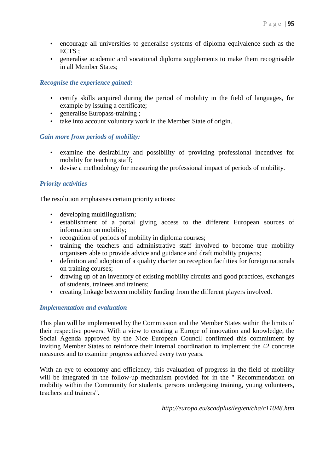- encourage all universities to generalise systems of diploma equivalence such as the ECTS ;
- generalise academic and vocational diploma supplements to make them recognisable in all Member States;

# *Recognise the experience gained:*

- certify skills acquired during the period of mobility in the field of languages, for example by issuing a certificate;
- generalise Europass-training ;
- take into account voluntary work in the Member State of origin.

# *Gain more from periods of mobility:*

- examine the desirability and possibility of providing professional incentives for mobility for teaching staff;
- devise a methodology for measuring the professional impact of periods of mobility.

# *Priority activities*

The resolution emphasises certain priority actions:

- developing multilingualism;
- establishment of a portal giving access to the different European sources of information on mobility;
- recognition of periods of mobility in diploma courses;
- training the teachers and administrative staff involved to become true mobility organisers able to provide advice and guidance and draft mobility projects;
- definition and adoption of a quality charter on reception facilities for foreign nationals on training courses;
- drawing up of an inventory of existing mobility circuits and good practices, exchanges of students, trainees and trainers;
- creating linkage between mobility funding from the different players involved.

## *Implementation and evaluation*

This plan will be implemented by the Commission and the Member States within the limits of their respective powers. With a view to creating a Europe of innovation and knowledge, the Social Agenda approved by the Nice European Council confirmed this commitment by inviting Member States to reinforce their internal coordination to implement the 42 concrete measures and to examine progress achieved every two years.

With an eye to economy and efficiency, this evaluation of progress in the field of mobility will be integrated in the follow-up mechanism provided for in the " Recommendation on mobility within the Community for students, persons undergoing training, young volunteers, teachers and trainers".

*http://europa.eu/scadplus/leg/en/cha/c11048.htm*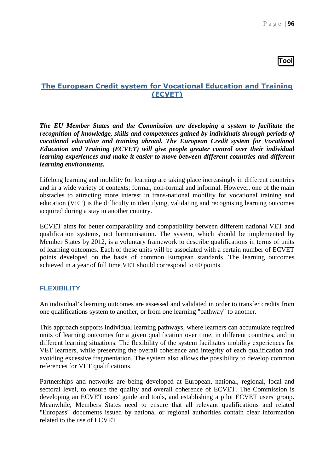# **Tool**

# **The European Credit system for Vocational Education and Training (ECVET)**

*The EU Member States and the Commission are developing a system to facilitate the recognition of knowledge, skills and competences gained by individuals through periods of vocational education and training abroad. The European Credit system for Vocational Education and Training (ECVET) will give people greater control over their individual learning experiences and make it easier to move between different countries and different learning environments.*

Lifelong learning and mobility for learning are taking place increasingly in different countries and in a wide variety of contexts; formal, non-formal and informal. However, one of the main obstacles to attracting more interest in trans-national mobility for vocational training and education (VET) is the difficulty in identifying, validating and recognising learning outcomes acquired during a stay in another country.

ECVET aims for better comparability and compatibility between different national VET and qualification systems, not harmonisation. The system, which should be implemented by Member States by 2012, is a voluntary framework to describe qualifications in terms of units of learning outcomes. Each of these units will be associated with a certain number of ECVET points developed on the basis of common European standards. The learning outcomes achieved in a year of full time VET should correspond to 60 points.

## **FLEXIBILITY**

An individual's learning outcomes are assessed and validated in order to transfer credits from one qualifications system to another, or from one learning "pathway" to another.

This approach supports individual learning pathways, where learners can accumulate required units of learning outcomes for a given qualification over time, in different countries, and in different learning situations. The flexibility of the system facilitates mobility experiences for VET learners, while preserving the overall coherence and integrity of each qualification and avoiding excessive fragmentation. The system also allows the possibility to develop common references for VET qualifications.

Partnerships and networks are being developed at European, national, regional, local and sectoral level, to ensure the quality and overall coherence of ECVET. The Commission is developing an ECVET users' guide and tools, and establishing a pilot ECVET users' group. Meanwhile, Members States need to ensure that all relevant qualifications and related "Europass" documents issued by national or regional authorities contain clear information related to the use of ECVET.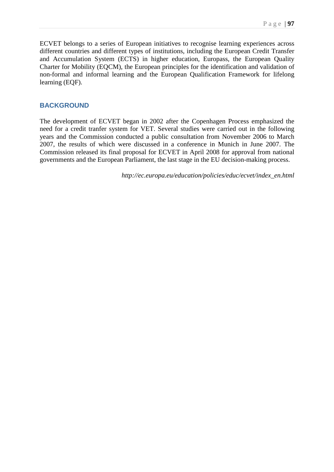ECVET belongs to a series of European initiatives to recognise learning experiences across different countries and different types of institutions, including the European Credit Transfer and Accumulation System (ECTS) in higher education, Europass, the European Quality Charter for Mobility (EQCM), the European principles for the identification and validation of non-formal and informal learning and the European Qualification Framework for lifelong learning (EQF).

# **BACKGROUND**

The development of ECVET began in 2002 after the Copenhagen Process emphasized the need for a credit tranfer system for VET. Several studies were carried out in the following years and the Commission conducted a public consultation from November 2006 to March 2007, the results of which were discussed in a conference in Munich in June 2007. The Commission released its final proposal for ECVET in April 2008 for approval from national governments and the European Parliament, the last stage in the EU decision-making process.

*http://ec.europa.eu/education/policies/educ/ecvet/index\_en.html*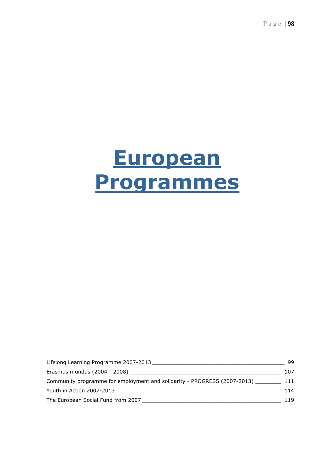# **European Programmes**

| Lifelong Learning Programme 2007-2013                                    |     |
|--------------------------------------------------------------------------|-----|
| Erasmus mundus (2004 - 2008)                                             | 107 |
| Community programme for employment and solidarity - PROGRESS (2007-2013) | 111 |
| Youth in Action 2007-2013                                                | 114 |
| The European Social Fund from 2007                                       |     |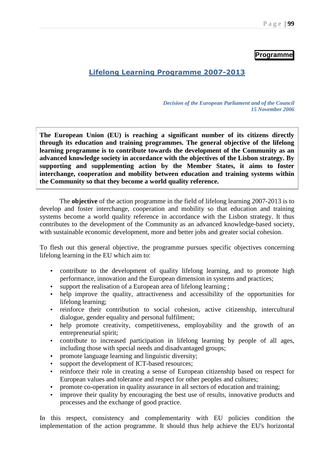# **Programme**

# **Lifelong Learning Programme 2007-2013**

*Decision of the European Parliament and of the Council 15 November 2006* 

**The European Union (EU) is reaching a significant number of its citizens directly through its education and training programmes. The general objective of the lifelong learning programme is to contribute towards the development of the Community as an advanced knowledge society in accordance with the objectives of the Lisbon strategy. By supporting and supplementing action by the Member States, it aims to foster interchange, cooperation and mobility between education and training systems within the Community so that they become a world quality reference.** 

The **objective** of the action programme in the field of lifelong learning 2007-2013 is to develop and foster interchange, cooperation and mobility so that education and training systems become a world quality reference in accordance with the Lisbon strategy. It thus contributes to the development of the Community as an advanced knowledge-based society, with sustainable economic development, more and better jobs and greater social cohesion.

To flesh out this general objective, the programme pursues specific objectives concerning lifelong learning in the EU which aim to:

- contribute to the development of quality lifelong learning, and to promote high performance, innovation and the European dimension in systems and practices;
- support the realisation of a European area of lifelong learning;
- help improve the quality, attractiveness and accessibility of the opportunities for lifelong learning;
- reinforce their contribution to social cohesion, active citizenship, intercultural dialogue, gender equality and personal fulfilment;
- help promote creativity, competitiveness, employability and the growth of an entrepreneurial spirit;
- contribute to increased participation in lifelong learning by people of all ages, including those with special needs and disadvantaged groups;
- promote language learning and linguistic diversity;
- support the development of ICT-based resources;
- reinforce their role in creating a sense of European citizenship based on respect for European values and tolerance and respect for other peoples and cultures;
- promote co-operation in quality assurance in all sectors of education and training;
- improve their quality by encouraging the best use of results, innovative products and processes and the exchange of good practice.

In this respect, consistency and complementarity with EU policies condition the implementation of the action programme. It should thus help achieve the EU's horizontal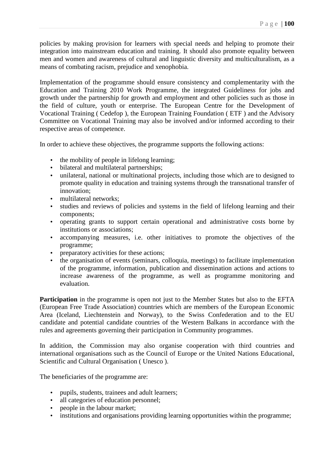policies by making provision for learners with special needs and helping to promote their integration into mainstream education and training. It should also promote equality between men and women and awareness of cultural and linguistic diversity and multiculturalism, as a means of combating racism, prejudice and xenophobia.

Implementation of the programme should ensure consistency and complementarity with the Education and Training 2010 Work Programme, the integrated Guideliness for jobs and growth under the partnership for growth and employment and other policies such as those in the field of culture, youth or enterprise. The European Centre for the Development of Vocational Training ( Cedefop ), the European Training Foundation ( ETF ) and the Advisory Committee on Vocational Training may also be involved and/or informed according to their respective areas of competence.

In order to achieve these objectives, the programme supports the following actions:

- the mobility of people in lifelong learning;
- bilateral and multilateral partnerships;
- unilateral, national or multinational projects, including those which are to designed to promote quality in education and training systems through the transnational transfer of innovation;
- multilateral networks;
- studies and reviews of policies and systems in the field of lifelong learning and their components;
- operating grants to support certain operational and administrative costs borne by institutions or associations;
- accompanying measures, i.e. other initiatives to promote the objectives of the programme;
- preparatory activities for these actions;
- the organisation of events (seminars, colloquia, meetings) to facilitate implementation of the programme, information, publication and dissemination actions and actions to increase awareness of the programme, as well as programme monitoring and evaluation.

**Participation** in the programme is open not just to the Member States but also to the EFTA (European Free Trade Association) countries which are members of the European Economic Area (Iceland, Liechtenstein and Norway), to the Swiss Confederation and to the EU candidate and potential candidate countries of the Western Balkans in accordance with the rules and agreements governing their participation in Community programmes.

In addition, the Commission may also organise cooperation with third countries and international organisations such as the Council of Europe or the United Nations Educational, Scientific and Cultural Organisation ( Unesco ).

The beneficiaries of the programme are:

- pupils, students, trainees and adult learners;
- all categories of education personnel;
- people in the labour market;
- institutions and organisations providing learning opportunities within the programme;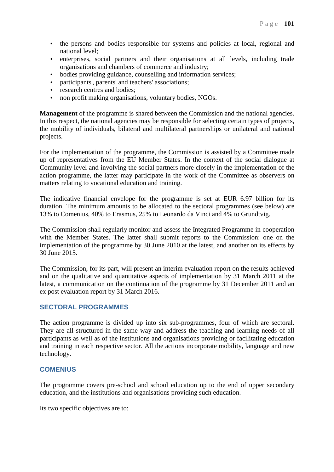- the persons and bodies responsible for systems and policies at local, regional and national level;
- enterprises, social partners and their organisations at all levels, including trade organisations and chambers of commerce and industry;
- bodies providing guidance, counselling and information services;
- participants', parents' and teachers' associations:
- research centres and bodies:
- non profit making organisations, voluntary bodies, NGOs.

**Management** of the programme is shared between the Commission and the national agencies. In this respect, the national agencies may be responsible for selecting certain types of projects, the mobility of individuals, bilateral and multilateral partnerships or unilateral and national projects.

For the implementation of the programme, the Commission is assisted by a Committee made up of representatives from the EU Member States. In the context of the social dialogue at Community level and involving the social partners more closely in the implementation of the action programme, the latter may participate in the work of the Committee as observers on matters relating to vocational education and training.

The indicative financial envelope for the programme is set at EUR 6.97 billion for its duration. The minimum amounts to be allocated to the sectoral programmes (see below) are 13% to Comenius, 40% to Erasmus, 25% to Leonardo da Vinci and 4% to Grundtvig.

The Commission shall regularly monitor and assess the Integrated Programme in cooperation with the Member States. The latter shall submit reports to the Commission: one on the implementation of the programme by 30 June 2010 at the latest, and another on its effects by 30 June 2015.

The Commission, for its part, will present an interim evaluation report on the results achieved and on the qualitative and quantitative aspects of implementation by 31 March 2011 at the latest, a communication on the continuation of the programme by 31 December 2011 and an ex post evaluation report by 31 March 2016.

## **SECTORAL PROGRAMMES**

The action programme is divided up into six sub-programmes, four of which are sectoral. They are all structured in the same way and address the teaching and learning needs of all participants as well as of the institutions and organisations providing or facilitating education and training in each respective sector. All the actions incorporate mobility, language and new technology.

## **COMENIUS**

The programme covers pre-school and school education up to the end of upper secondary education, and the institutions and organisations providing such education.

Its two specific objectives are to: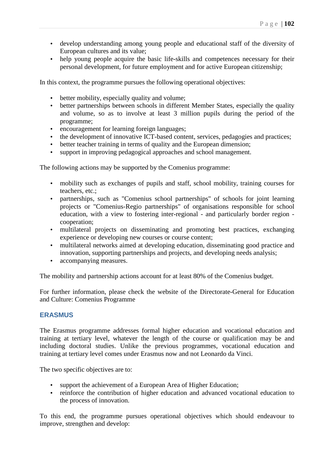- develop understanding among young people and educational staff of the diversity of European cultures and its value;
- help young people acquire the basic life-skills and competences necessary for their personal development, for future employment and for active European citizenship;

In this context, the programme pursues the following operational objectives:

- better mobility, especially quality and volume;
- better partnerships between schools in different Member States, especially the quality and volume, so as to involve at least 3 million pupils during the period of the programme;
- encouragement for learning foreign languages;
- the development of innovative ICT-based content, services, pedagogies and practices;
- better teacher training in terms of quality and the European dimension;
- support in improving pedagogical approaches and school management.

The following actions may be supported by the Comenius programme:

- mobility such as exchanges of pupils and staff, school mobility, training courses for teachers, etc.;
- partnerships, such as "Comenius school partnerships" of schools for joint learning projects or "Comenius-Regio partnerships" of organisations responsible for school education, with a view to fostering inter-regional - and particularly border region cooperation;
- multilateral projects on disseminating and promoting best practices, exchanging experience or developing new courses or course content;
- multilateral networks aimed at developing education, disseminating good practice and innovation, supporting partnerships and projects, and developing needs analysis;
- accompanying measures.

The mobility and partnership actions account for at least 80% of the Comenius budget.

For further information, please check the website of the Directorate-General for Education and Culture: Comenius Programme

## **ERASMUS**

The Erasmus programme addresses formal higher education and vocational education and training at tertiary level, whatever the length of the course or qualification may be and including doctoral studies. Unlike the previous programmes, vocational education and training at tertiary level comes under Erasmus now and not Leonardo da Vinci.

The two specific objectives are to:

- support the achievement of a European Area of Higher Education;
- reinforce the contribution of higher education and advanced vocational education to the process of innovation.

To this end, the programme pursues operational objectives which should endeavour to improve, strengthen and develop: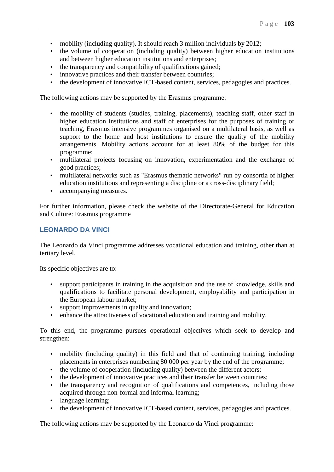- mobility (including quality). It should reach 3 million individuals by 2012;
- the volume of cooperation (including quality) between higher education institutions and between higher education institutions and enterprises;
- the transparency and compatibility of qualifications gained;
- innovative practices and their transfer between countries;
- the development of innovative ICT-based content, services, pedagogies and practices.

The following actions may be supported by the Erasmus programme:

- the mobility of students (studies, training, placements), teaching staff, other staff in higher education institutions and staff of enterprises for the purposes of training or teaching, Erasmus intensive programmes organised on a multilateral basis, as well as support to the home and host institutions to ensure the quality of the mobility arrangements. Mobility actions account for at least 80% of the budget for this programme;
- multilateral projects focusing on innovation, experimentation and the exchange of good practices;
- multilateral networks such as "Erasmus thematic networks" run by consortia of higher education institutions and representing a discipline or a cross-disciplinary field;
- accompanying measures.

For further information, please check the website of the Directorate-General for Education and Culture: Erasmus programme

# **LEONARDO DA VINCI**

The Leonardo da Vinci programme addresses vocational education and training, other than at tertiary level.

Its specific objectives are to:

- support participants in training in the acquisition and the use of knowledge, skills and qualifications to facilitate personal development, employability and participation in the European labour market;
- support improvements in quality and innovation;
- enhance the attractiveness of vocational education and training and mobility.

To this end, the programme pursues operational objectives which seek to develop and strengthen:

- mobility (including quality) in this field and that of continuing training, including placements in enterprises numbering 80 000 per year by the end of the programme;
- the volume of cooperation (including quality) between the different actors;
- the development of innovative practices and their transfer between countries;
- the transparency and recognition of qualifications and competences, including those acquired through non-formal and informal learning;
- language learning;
- the development of innovative ICT-based content, services, pedagogies and practices.

The following actions may be supported by the Leonardo da Vinci programme: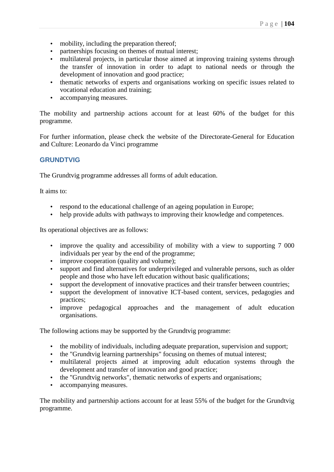- mobility, including the preparation thereof;
- partnerships focusing on themes of mutual interest;
- multilateral projects, in particular those aimed at improving training systems through the transfer of innovation in order to adapt to national needs or through the development of innovation and good practice;
- thematic networks of experts and organisations working on specific issues related to vocational education and training;
- accompanying measures.

The mobility and partnership actions account for at least 60% of the budget for this programme.

For further information, please check the website of the Directorate-General for Education and Culture: Leonardo da Vinci programme

# **GRUNDTVIG**

The Grundtvig programme addresses all forms of adult education.

It aims to:

- respond to the educational challenge of an ageing population in Europe;
- help provide adults with pathways to improving their knowledge and competences.

Its operational objectives are as follows:

- improve the quality and accessibility of mobility with a view to supporting 7 000 individuals per year by the end of the programme;
- improve cooperation (quality and volume):
- support and find alternatives for underprivileged and vulnerable persons, such as older people and those who have left education without basic qualifications;
- support the development of innovative practices and their transfer between countries;
- support the development of innovative ICT-based content, services, pedagogies and practices;
- improve pedagogical approaches and the management of adult education organisations.

The following actions may be supported by the Grundtvig programme:

- the mobility of individuals, including adequate preparation, supervision and support;
- the "Grundtvig learning partnerships" focusing on themes of mutual interest;
- multilateral projects aimed at improving adult education systems through the development and transfer of innovation and good practice;
- the "Grundtvig networks", thematic networks of experts and organisations;
- accompanying measures.

The mobility and partnership actions account for at least 55% of the budget for the Grundtvig programme.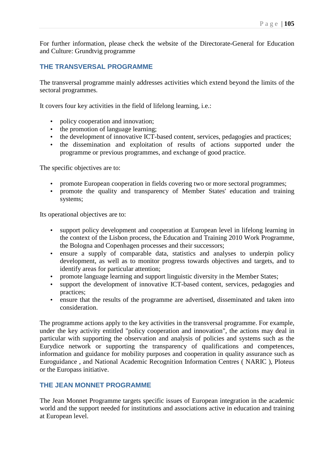For further information, please check the website of the Directorate-General for Education and Culture: Grundtvig programme

# **THE TRANSVERSAL PROGRAMME**

The transversal programme mainly addresses activities which extend beyond the limits of the sectoral programmes.

It covers four key activities in the field of lifelong learning, i.e.:

- policy cooperation and innovation;
- the promotion of language learning;
- the development of innovative ICT-based content, services, pedagogies and practices;
- the dissemination and exploitation of results of actions supported under the programme or previous programmes, and exchange of good practice.

The specific objectives are to:

- promote European cooperation in fields covering two or more sectoral programmes;
- promote the quality and transparency of Member States' education and training systems;

Its operational objectives are to:

- support policy development and cooperation at European level in lifelong learning in the context of the Lisbon process, the Education and Training 2010 Work Programme, the Bologna and Copenhagen processes and their successors;
- ensure a supply of comparable data, statistics and analyses to underpin policy development, as well as to monitor progress towards objectives and targets, and to identify areas for particular attention;
- promote language learning and support linguistic diversity in the Member States;
- support the development of innovative ICT-based content, services, pedagogies and practices;
- ensure that the results of the programme are advertised, disseminated and taken into consideration.

The programme actions apply to the key activities in the transversal programme. For example, under the key activity entitled "policy cooperation and innovation", the actions may deal in particular with supporting the observation and analysis of policies and systems such as the Eurydice network or supporting the transparency of qualifications and competences, information and guidance for mobility purposes and cooperation in quality assurance such as Euroguidance , and National Academic Recognition Information Centres ( NARIC ), Ploteus or the Europass initiative.

# **THE JEAN MONNET PROGRAMME**

The Jean Monnet Programme targets specific issues of European integration in the academic world and the support needed for institutions and associations active in education and training at European level.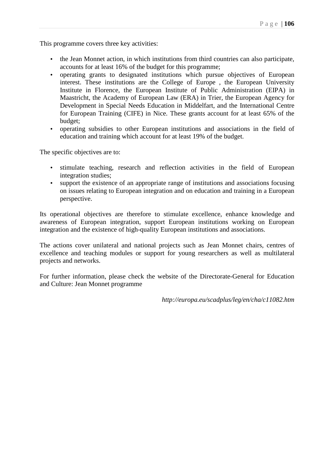This programme covers three key activities:

- the Jean Monnet action, in which institutions from third countries can also participate, accounts for at least 16% of the budget for this programme;
- operating grants to designated institutions which pursue objectives of European interest. These institutions are the College of Europe , the European University Institute in Florence, the European Institute of Public Administration (EIPA) in Maastricht, the Academy of European Law (ERA) in Trier, the European Agency for Development in Special Needs Education in Middelfart, and the International Centre for European Training (CIFE) in Nice. These grants account for at least 65% of the budget;
- operating subsidies to other European institutions and associations in the field of education and training which account for at least 19% of the budget.

The specific objectives are to:

- stimulate teaching, research and reflection activities in the field of European integration studies;
- support the existence of an appropriate range of institutions and associations focusing on issues relating to European integration and on education and training in a European perspective.

Its operational objectives are therefore to stimulate excellence, enhance knowledge and awareness of European integration, support European institutions working on European integration and the existence of high-quality European institutions and associations.

The actions cover unilateral and national projects such as Jean Monnet chairs, centres of excellence and teaching modules or support for young researchers as well as multilateral projects and networks.

For further information, please check the website of the Directorate-General for Education and Culture: Jean Monnet programme

*http://europa.eu/scadplus/leg/en/cha/c11082.htm*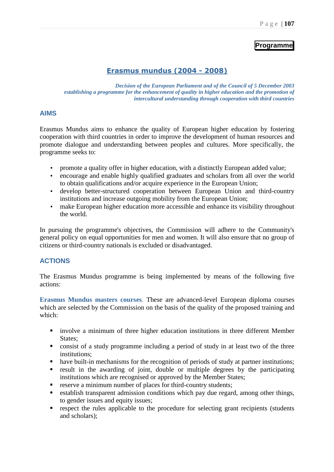# **Programme**

# **Erasmus mundus (2004 - 2008)**

*Decision of the European Parliament and of the Council of 5 December 2003 establishing a programme for the enhancement of quality in higher education and the promotion of intercultural understanding through cooperation with third countries* 

# **AIMS**

Erasmus Mundus aims to enhance the quality of European higher education by fostering cooperation with third countries in order to improve the development of human resources and promote dialogue and understanding between peoples and cultures. More specifically, the programme seeks to:

- promote a quality offer in higher education, with a distinctly European added value;
- encourage and enable highly qualified graduates and scholars from all over the world to obtain qualifications and/or acquire experience in the European Union;
- develop better-structured cooperation between European Union and third-country institutions and increase outgoing mobility from the European Union;
- make European higher education more accessible and enhance its visibility throughout the world.

In pursuing the programme's objectives, the Commission will adhere to the Community's general policy on equal opportunities for men and women. It will also ensure that no group of citizens or third-country nationals is excluded or disadvantaged.

# **ACTIONS**

The Erasmus Mundus programme is being implemented by means of the following five actions:

**Erasmus Mundus masters courses**. These are advanced-level European diploma courses which are selected by the Commission on the basis of the quality of the proposed training and which:

- **u** involve a minimum of three higher education institutions in three different Member States;
- consist of a study programme including a period of study in at least two of the three institutions;
- have built-in mechanisms for the recognition of periods of study at partner institutions;
- result in the awarding of joint, double or multiple degrees by the participating institutions which are recognised or approved by the Member States;
- **EXECUTE:** reserve a minimum number of places for third-country students;
- **Example 1** establish transparent admission conditions which pay due regard, among other things, to gender issues and equity issues;
- **Exercise 1** respect the rules applicable to the procedure for selecting grant recipients (students and scholars);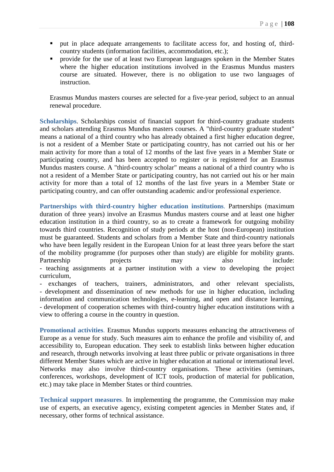- put in place adequate arrangements to facilitate access for, and hosting of, thirdcountry students (information facilities, accommodation, etc.);
- **•** provide for the use of at least two European languages spoken in the Member States where the higher education institutions involved in the Erasmus Mundus masters course are situated. However, there is no obligation to use two languages of instruction.

Erasmus Mundus masters courses are selected for a five-year period, subject to an annual renewal procedure.

**Scholarships**. Scholarships consist of financial support for third-country graduate students and scholars attending Erasmus Mundus masters courses. A "third-country graduate student" means a national of a third country who has already obtained a first higher education degree, is not a resident of a Member State or participating country, has not carried out his or her main activity for more than a total of 12 months of the last five years in a Member State or participating country, and has been accepted to register or is registered for an Erasmus Mundus masters course. A "third-country scholar" means a national of a third country who is not a resident of a Member State or participating country, has not carried out his or her main activity for more than a total of 12 months of the last five years in a Member State or participating country, and can offer outstanding academic and/or professional experience.

**Partnerships with third-country higher education institutions**. Partnerships (maximum duration of three years) involve an Erasmus Mundus masters course and at least one higher education institution in a third country, so as to create a framework for outgoing mobility towards third countries. Recognition of study periods at the host (non-European) institution must be guaranteed. Students and scholars from a Member State and third-country nationals who have been legally resident in the European Union for at least three years before the start of the mobility programme (for purposes other than study) are eligible for mobility grants. Partnership projects may also include: - teaching assignments at a partner institution with a view to developing the project curriculum,

- exchanges of teachers, trainers, administrators, and other relevant specialists, - development and dissemination of new methods for use in higher education, including information and communication technologies, e-learning, and open and distance learning, - development of cooperation schemes with third-country higher education institutions with a view to offering a course in the country in question.

**Promotional activities**. Erasmus Mundus supports measures enhancing the attractiveness of Europe as a venue for study. Such measures aim to enhance the profile and visibility of, and accessibility to, European education. They seek to establish links between higher education and research, through networks involving at least three public or private organisations in three different Member States which are active in higher education at national or international level. Networks may also involve third-country organisations. These activities (seminars, conferences, workshops, development of ICT tools, production of material for publication, etc.) may take place in Member States or third countries.

**Technical support measures**. In implementing the programme, the Commission may make use of experts, an executive agency, existing competent agencies in Member States and, if necessary, other forms of technical assistance.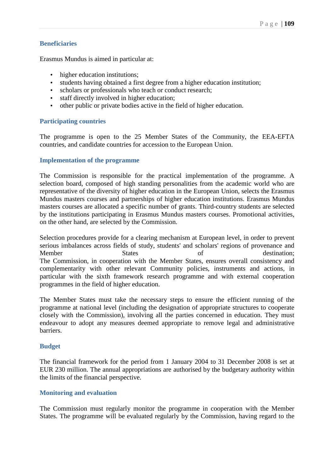## **Beneficiaries**

Erasmus Mundus is aimed in particular at:

- higher education institutions;
- students having obtained a first degree from a higher education institution;
- scholars or professionals who teach or conduct research;
- staff directly involved in higher education;
- other public or private bodies active in the field of higher education.

### **Participating countries**

The programme is open to the 25 Member States of the Community, the EEA-EFTA countries, and candidate countries for accession to the European Union.

### **Implementation of the programme**

The Commission is responsible for the practical implementation of the programme. A selection board, composed of high standing personalities from the academic world who are representative of the diversity of higher education in the European Union, selects the Erasmus Mundus masters courses and partnerships of higher education institutions. Erasmus Mundus masters courses are allocated a specific number of grants. Third-country students are selected by the institutions participating in Erasmus Mundus masters courses. Promotional activities, on the other hand, are selected by the Commission.

Selection procedures provide for a clearing mechanism at European level, in order to prevent serious imbalances across fields of study, students' and scholars' regions of provenance and Member States States of destination; The Commission, in cooperation with the Member States, ensures overall consistency and complementarity with other relevant Community policies, instruments and actions, in particular with the sixth framework research programme and with external cooperation programmes in the field of higher education.

The Member States must take the necessary steps to ensure the efficient running of the programme at national level (including the designation of appropriate structures to cooperate closely with the Commission), involving all the parties concerned in education. They must endeavour to adopt any measures deemed appropriate to remove legal and administrative **barriers** 

### **Budget**

The financial framework for the period from 1 January 2004 to 31 December 2008 is set at EUR 230 million. The annual appropriations are authorised by the budgetary authority within the limits of the financial perspective.

### **Monitoring and evaluation**

The Commission must regularly monitor the programme in cooperation with the Member States. The programme will be evaluated regularly by the Commission, having regard to the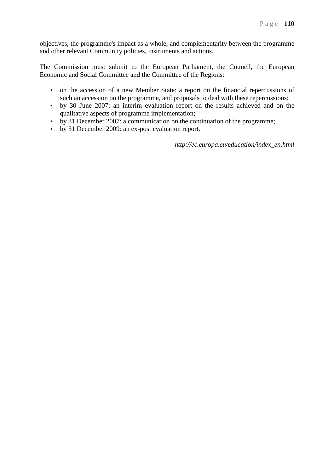objectives, the programme's impact as a whole, and complementarity between the programme and other relevant Community policies, instruments and actions.

The Commission must submit to the European Parliament, the Council, the European Economic and Social Committee and the Committee of the Regions:

- on the accession of a new Member State: a report on the financial repercussions of such an accession on the programme, and proposals to deal with these repercussions;
- by 30 June 2007: an interim evaluation report on the results achieved and on the qualitative aspects of programme implementation;
- by 31 December 2007: a communication on the continuation of the programme;
- by 31 December 2009: an ex-post evaluation report.

*http://ec.europa.eu/education/index\_en.html*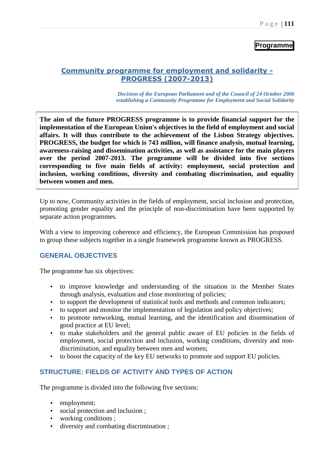# **Programme**

## **Community programme for employment and solidarity - PROGRESS (2007-2013)**

*Decision of the European Parliament and of the Council of 24 October 2006 establishing a Community Programme for Employment and Social Solidarity* 

**The aim of the future PROGRESS programme is to provide financial support for the implementation of the European Union's objectives in the field of employment and social affairs. It will thus contribute to the achievement of the Lisbon Strategy objectives. PROGRESS, the budget for which is 743 million, will finance analysis, mutual learning, awareness-raising and dissemination activities, as well as assistance for the main players over the period 2007-2013. The programme will be divided into five sections corresponding to five main fields of activity: employment, social protection and inclusion, working conditions, diversity and combating discrimination, and equality between women and men.** 

Up to now, Community activities in the fields of employment, social inclusion and protection, promoting gender equality and the principle of non-discrimination have been supported by separate action programmes.

With a view to improving coherence and efficiency, the European Commission has proposed to group these subjects together in a single framework programme known as PROGRESS.

## **GENERAL OBJECTIVES**

The programme has six objectives:

- to improve knowledge and understanding of the situation in the Member States through analysis, evaluation and close monitoring of policies;
- to support the development of statistical tools and methods and common indicators;
- to support and monitor the implementation of legislation and policy objectives:
- to promote networking, mutual learning, and the identification and dissemination of good practice at EU level;
- to make stakeholders and the general public aware of EU policies in the fields of employment, social protection and inclusion, working conditions, diversity and nondiscrimination, and equality between men and women;
- to boost the capacity of the key EU networks to promote and support EU policies.

## **STRUCTURE: FIELDS OF ACTIVITY AND TYPES OF ACTION**

The programme is divided into the following five sections:

- employment;
- social protection and inclusion ;
- working conditions ;
- diversity and combating discrimination ;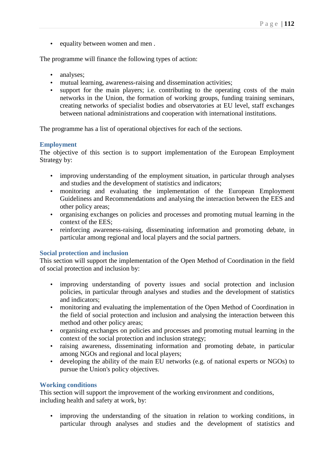• equality between women and men .

The programme will finance the following types of action:

- analyses;
- mutual learning, awareness-raising and dissemination activities;
- support for the main players; i.e. contributing to the operating costs of the main networks in the Union, the formation of working groups, funding training seminars, creating networks of specialist bodies and observatories at EU level, staff exchanges between national administrations and cooperation with international institutions.

The programme has a list of operational objectives for each of the sections.

### **Employment**

The objective of this section is to support implementation of the European Employment Strategy by:

- improving understanding of the employment situation, in particular through analyses and studies and the development of statistics and indicators;
- monitoring and evaluating the implementation of the European Employment Guideliness and Recommendations and analysing the interaction between the EES and other policy areas;
- organising exchanges on policies and processes and promoting mutual learning in the context of the EES;
- reinforcing awareness-raising, disseminating information and promoting debate, in particular among regional and local players and the social partners.

### **Social protection and inclusion**

This section will support the implementation of the Open Method of Coordination in the field of social protection and inclusion by:

- improving understanding of poverty issues and social protection and inclusion policies, in particular through analyses and studies and the development of statistics and indicators;
- monitoring and evaluating the implementation of the Open Method of Coordination in the field of social protection and inclusion and analysing the interaction between this method and other policy areas;
- organising exchanges on policies and processes and promoting mutual learning in the context of the social protection and inclusion strategy;
- raising awareness, disseminating information and promoting debate, in particular among NGOs and regional and local players;
- developing the ability of the main EU networks (e.g. of national experts or NGOs) to pursue the Union's policy objectives.

## **Working conditions**

This section will support the improvement of the working environment and conditions, including health and safety at work, by:

• improving the understanding of the situation in relation to working conditions, in particular through analyses and studies and the development of statistics and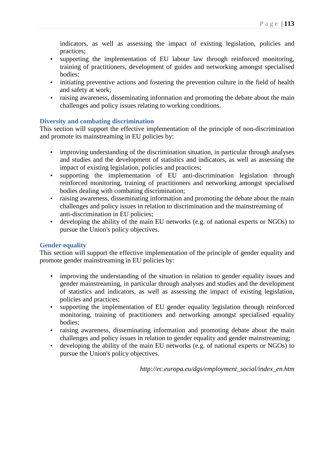indicators, as well as assessing the impact of existing legislation, policies and practices;

- supporting the implementation of EU labour law through reinforced monitoring, training of practitioners, development of guides and networking amongst specialised bodies;
- initiating preventive actions and fostering the prevention culture in the field of health and safety at work;
- raising awareness, disseminating information and promoting the debate about the main challenges and policy issues relating to working conditions.

## **Diversity and combating discrimination**

This section will support the effective implementation of the principle of non-discrimination and promote its mainstreaming in EU policies by:

- improving understanding of the discrimination situation, in particular through analyses and studies and the development of statistics and indicators, as well as assessing the impact of existing legislation, policies and practices;
- supporting the implementation of EU anti-discrimination legislation through reinforced monitoring, training of practitioners and networking amongst specialised bodies dealing with combating discrimination;
- raising awareness, disseminating information and promoting the debate about the main challenges and policy issues in relation to discrimination and the mainstreaming of anti-discrimination in EU policies;
- developing the ability of the main EU networks (e.g. of national experts or NGOs) to pursue the Union's policy objectives.

## **Gender equality**

This section will support the effective implementation of the principle of gender equality and promote gender mainstreaming in EU policies by:

- improving the understanding of the situation in relation to gender equality issues and gender mainstreaming, in particular through analyses and studies and the development of statistics and indicators, as well as assessing the impact of existing legislation, policies and practices;
- supporting the implementation of EU gender equality legislation through reinforced monitoring, training of practitioners and networking amongst specialised equality bodies;
- raising awareness, disseminating information and promoting debate about the main challenges and policy issues in relation to gender equality and gender mainstreaming;
- developing the ability of the main EU networks (e.g. of national experts or NGOs) to pursue the Union's policy objectives.

*http://ec.europa.eu/dgs/employment\_social/index\_en.htm*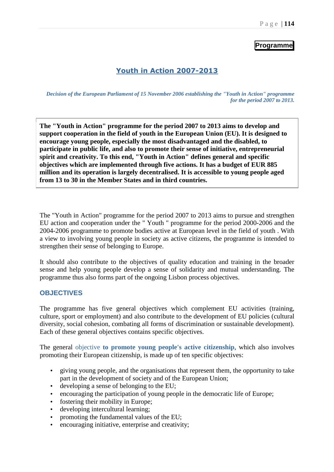**Programme**

# **Youth in Action 2007-2013**

*Decision of the European Parliament of 15 November 2006 establishing the "Youth in Action" programme for the period 2007 to 2013.* 

**The "Youth in Action" programme for the period 2007 to 2013 aims to develop and support cooperation in the field of youth in the European Union (EU). It is designed to encourage young people, especially the most disadvantaged and the disabled, to participate in public life, and also to promote their sense of initiative, entrepreneurial**  spirit and creativity. To this end, "Youth in Action" defines general and specific **objectives which are implemented through five actions. It has a budget of EUR 885 million and its operation is largely decentralised. It is accessible to young people aged from 13 to 30 in the Member States and in third countries.** 

The "Youth in Action" programme for the period 2007 to 2013 aims to pursue and strengthen EU action and cooperation under the " Youth " programme for the period 2000-2006 and the 2004-2006 programme to promote bodies active at European level in the field of youth . With a view to involving young people in society as active citizens, the programme is intended to strengthen their sense of belonging to Europe.

It should also contribute to the objectives of quality education and training in the broader sense and help young people develop a sense of solidarity and mutual understanding. The programme thus also forms part of the ongoing Lisbon process objectives.

### **OBJECTIVES**

The programme has five general objectives which complement EU activities (training, culture, sport or employment) and also contribute to the development of EU policies (cultural diversity, social cohesion, combating all forms of discrimination or sustainable development). Each of these general objectives contains specific objectives.

The general objective **to promote young people's active citizenship**, which also involves promoting their European citizenship, is made up of ten specific objectives:

- giving young people, and the organisations that represent them, the opportunity to take part in the development of society and of the European Union;
- developing a sense of belonging to the EU;
- encouraging the participation of young people in the democratic life of Europe;
- fostering their mobility in Europe;
- developing intercultural learning;
- promoting the fundamental values of the EU;
- encouraging initiative, enterprise and creativity;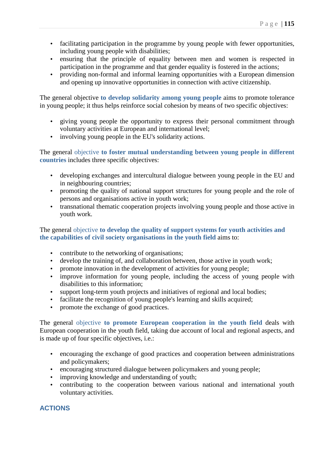- facilitating participation in the programme by young people with fewer opportunities, including young people with disabilities;
- ensuring that the principle of equality between men and women is respected in participation in the programme and that gender equality is fostered in the actions;
- providing non-formal and informal learning opportunities with a European dimension and opening up innovative opportunities in connection with active citizenship.

The general objective **to develop solidarity among young people** aims to promote tolerance in young people; it thus helps reinforce social cohesion by means of two specific objectives:

- giving young people the opportunity to express their personal commitment through voluntary activities at European and international level;
- involving young people in the EU's solidarity actions.

The general objective **to foster mutual understanding between young people in different countries** includes three specific objectives:

- developing exchanges and intercultural dialogue between young people in the EU and in neighbouring countries;
- promoting the quality of national support structures for young people and the role of persons and organisations active in youth work;
- transnational thematic cooperation projects involving young people and those active in youth work.

## The general objective **to develop the quality of support systems for youth activities and the capabilities of civil society organisations in the youth field** aims to:

- contribute to the networking of organisations;
- develop the training of, and collaboration between, those active in youth work;
- promote innovation in the development of activities for young people;
- improve information for young people, including the access of young people with disabilities to this information;
- support long-term youth projects and initiatives of regional and local bodies;
- facilitate the recognition of young people's learning and skills acquired;
- promote the exchange of good practices.

The general objective **to promote European cooperation in the youth field** deals with European cooperation in the youth field, taking due account of local and regional aspects, and is made up of four specific objectives, i.e.:

- encouraging the exchange of good practices and cooperation between administrations and policymakers;
- encouraging structured dialogue between policymakers and young people;
- improving knowledge and understanding of youth;
- contributing to the cooperation between various national and international youth voluntary activities.

## **ACTIONS**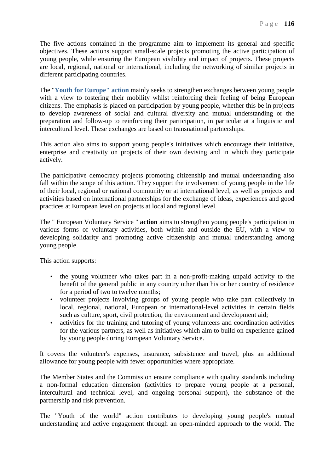The five actions contained in the programme aim to implement its general and specific objectives. These actions support small-scale projects promoting the active participation of young people, while ensuring the European visibility and impact of projects. These projects are local, regional, national or international, including the networking of similar projects in different participating countries.

The "**Youth for Europe" action** mainly seeks to strengthen exchanges between young people with a view to fostering their mobility whilst reinforcing their feeling of being European citizens. The emphasis is placed on participation by young people, whether this be in projects to develop awareness of social and cultural diversity and mutual understanding or the preparation and follow-up to reinforcing their participation, in particular at a linguistic and intercultural level. These exchanges are based on transnational partnerships.

This action also aims to support young people's initiatives which encourage their initiative, enterprise and creativity on projects of their own devising and in which they participate actively.

The participative democracy projects promoting citizenship and mutual understanding also fall within the scope of this action. They support the involvement of young people in the life of their local, regional or national community or at international level, as well as projects and activities based on international partnerships for the exchange of ideas, experiences and good practices at European level on projects at local and regional level.

The " European Voluntary Service " **action** aims to strengthen young people's participation in various forms of voluntary activities, both within and outside the EU, with a view to developing solidarity and promoting active citizenship and mutual understanding among young people.

This action supports:

- the young volunteer who takes part in a non-profit-making unpaid activity to the benefit of the general public in any country other than his or her country of residence for a period of two to twelve months;
- volunteer projects involving groups of young people who take part collectively in local, regional, national, European or international-level activities in certain fields such as culture, sport, civil protection, the environment and development aid;
- activities for the training and tutoring of young volunteers and coordination activities for the various partners, as well as initiatives which aim to build on experience gained by young people during European Voluntary Service.

It covers the volunteer's expenses, insurance, subsistence and travel, plus an additional allowance for young people with fewer opportunities where appropriate.

The Member States and the Commission ensure compliance with quality standards including a non-formal education dimension (activities to prepare young people at a personal, intercultural and technical level, and ongoing personal support), the substance of the partnership and risk prevention.

The "Youth of the world" action contributes to developing young people's mutual understanding and active engagement through an open-minded approach to the world. The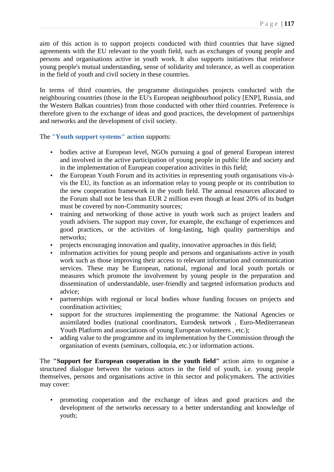aim of this action is to support projects conducted with third countries that have signed agreements with the EU relevant to the youth field, such as exchanges of young people and persons and organisations active in youth work. It also supports initiatives that reinforce young people's mutual understanding, sense of solidarity and tolerance, as well as cooperation in the field of youth and civil society in these countries.

In terms of third countries, the programme distinguishes projects conducted with the neighbouring countries (those in the EU's European neighbourhood policy [ENP], Russia, and the Western Balkan countries) from those conducted with other third countries. Preference is therefore given to the exchange of ideas and good practices, the development of partnerships and networks and the development of civil society.

The **"Youth support systems" action** supports:

- bodies active at European level, NGOs pursuing a goal of general European interest and involved in the active participation of young people in public life and society and in the implementation of European cooperation activities in this field;
- the European Youth Forum and its activities in representing youth organisations vis-àvis the EU, its function as an information relay to young people or its contribution to the new cooperation framework in the youth field. The annual resources allocated to the Forum shall not be less than EUR 2 million even though at least 20% of its budget must be covered by non-Community sources;
- training and networking of those active in youth work such as project leaders and youth advisers. The support may cover, for example, the exchange of experiences and good practices, or the activities of long-lasting, high quality partnerships and networks;
- projects encouraging innovation and quality, innovative approaches in this field;
- information activities for young people and persons and organisations active in youth work such as those improving their access to relevant information and communication services. These may be European, national, regional and local youth portals or measures which promote the involvement by young people in the preparation and dissemination of understandable, user-friendly and targeted information products and advice;
- partnerships with regional or local bodies whose funding focuses on projects and coordination activities;
- support for the structures implementing the programme: the National Agencies or assimilated bodies (national coordinators, Eurodesk network , Euro-Mediterranean Youth Platform and associations of young European volunteers, etc.);
- adding value to the programme and its implementation by the Commission through the organisation of events (seminars, colloquia, etc.) or information actions.

The **"Support for European cooperation in the youth field"** action aims to organise a structured dialogue between the various actors in the field of youth, i.e. young people themselves, persons and organisations active in this sector and policymakers. The activities may cover:

• promoting cooperation and the exchange of ideas and good practices and the development of the networks necessary to a better understanding and knowledge of youth;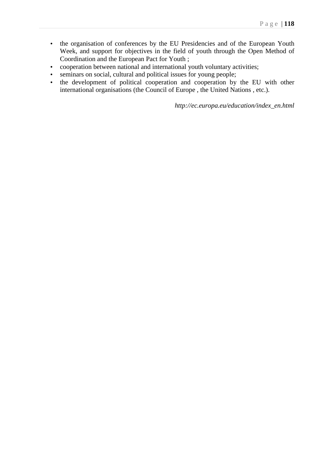- the organisation of conferences by the EU Presidencies and of the European Youth Week, and support for objectives in the field of youth through the Open Method of Coordination and the European Pact for Youth ;
- cooperation between national and international youth voluntary activities;
- seminars on social, cultural and political issues for young people;
- the development of political cooperation and cooperation by the EU with other international organisations (the Council of Europe , the United Nations , etc.).

*http://ec.europa.eu/education/index\_en.html*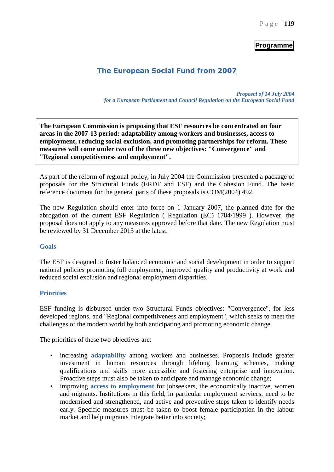**Programme**

# **The European Social Fund from 2007**

*Proposal of 14 July 2004 for a European Parliament and Council Regulation on the European Social Fund* 

**The European Commission is proposing that ESF resources be concentrated on four areas in the 2007-13 period: adaptability among workers and businesses, access to employment, reducing social exclusion, and promoting partnerships for reform. These measures will come under two of the three new objectives: "Convergence" and "Regional competitiveness and employment".** 

As part of the reform of regional policy, in July 2004 the Commission presented a package of proposals for the Structural Funds (ERDF and ESF) and the Cohesion Fund. The basic reference document for the general parts of these proposals is COM(2004) 492.

The new Regulation should enter into force on 1 January 2007, the planned date for the abrogation of the current ESF Regulation ( Regulation (EC) 1784/1999 ). However, the proposal does not apply to any measures approved before that date. The new Regulation must be reviewed by 31 December 2013 at the latest.

### **Goals**

The ESF is designed to foster balanced economic and social development in order to support national policies promoting full employment, improved quality and productivity at work and reduced social exclusion and regional employment disparities.

### **Priorities**

ESF funding is disbursed under two Structural Funds objectives: "Convergence", for less developed regions, and "Regional competitiveness and employment", which seeks to meet the challenges of the modern world by both anticipating and promoting economic change.

The priorities of these two objectives are:

- increasing **adaptability** among workers and businesses. Proposals include greater investment in human resources through lifelong learning schemes, making qualifications and skills more accessible and fostering enterprise and innovation. Proactive steps must also be taken to anticipate and manage economic change;
- improving **access to employment** for jobseekers, the economically inactive, women and migrants. Institutions in this field, in particular employment services, need to be modernised and strengthened, and active and preventive steps taken to identify needs early. Specific measures must be taken to boost female participation in the labour market and help migrants integrate better into society;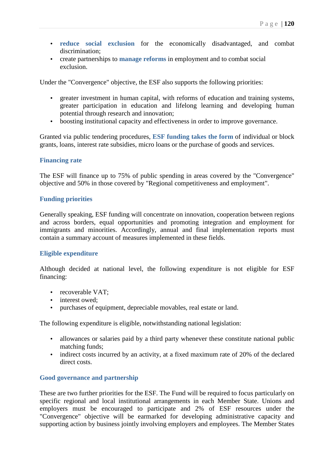- **reduce social exclusion** for the economically disadvantaged, and combat discrimination;
- create partnerships to **manage reforms** in employment and to combat social exclusion.

Under the "Convergence" objective, the ESF also supports the following priorities:

- greater investment in human capital, with reforms of education and training systems, greater participation in education and lifelong learning and developing human potential through research and innovation;
- boosting institutional capacity and effectiveness in order to improve governance.

Granted via public tendering procedures, **ESF funding takes the form** of individual or block grants, loans, interest rate subsidies, micro loans or the purchase of goods and services.

### **Financing rate**

The ESF will finance up to 75% of public spending in areas covered by the "Convergence" objective and 50% in those covered by "Regional competitiveness and employment".

### **Funding priorities**

Generally speaking, ESF funding will concentrate on innovation, cooperation between regions and across borders, equal opportunities and promoting integration and employment for immigrants and minorities. Accordingly, annual and final implementation reports must contain a summary account of measures implemented in these fields.

## **Eligible expenditure**

Although decided at national level, the following expenditure is not eligible for ESF financing:

- recoverable VAT;
- interest owed:
- purchases of equipment, depreciable movables, real estate or land.

The following expenditure is eligible, notwithstanding national legislation:

- allowances or salaries paid by a third party whenever these constitute national public matching funds;
- indirect costs incurred by an activity, at a fixed maximum rate of 20% of the declared direct costs.

### **Good governance and partnership**

These are two further priorities for the ESF. The Fund will be required to focus particularly on specific regional and local institutional arrangements in each Member State. Unions and employers must be encouraged to participate and 2% of ESF resources under the "Convergence" objective will be earmarked for developing administrative capacity and supporting action by business jointly involving employers and employees. The Member States